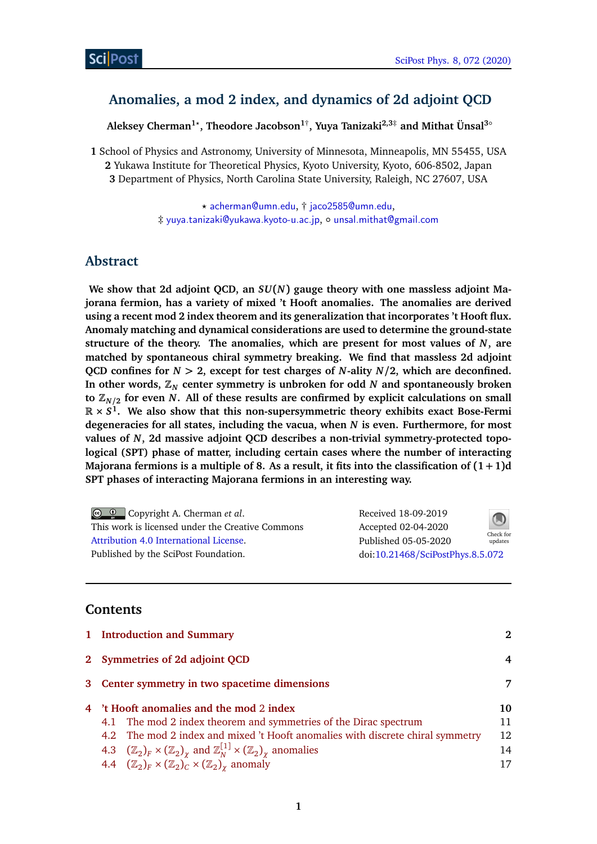## **Anomalies, a mod 2 index, and dynamics of 2d adjoint QCD**

**Aleksey Cherman1***?* **, Theodore Jacobson1**† **, Yuya Tanizaki2,3**‡ **and Mithat Ünsal3**◦

**1** School of Physics and Astronomy, University of Minnesota, Minneapolis, MN 55455, USA **2** Yukawa Institute for Theoretical Physics, Kyoto University, Kyoto, 606-8502, Japan **3** Department of Physics, North Carolina State University, Raleigh, NC 27607, USA

> *?* [acherman@umn.edu](mailto:acherman@umn.edu), † [jaco2585@umn.edu](mailto:jaco2585@umn.edu), ‡ [yuya.tanizaki@yukawa.kyoto-u.ac.jp](mailto:yuya.tanizaki@yukawa.kyoto-u.ac.jp), ◦ [unsal.mithat@gmail.com](mailto:unsal.mithat@gmail.com)

### **Abstract**

**We show that 2d adjoint QCD, an** *SU***(***N***) gauge theory with one massless adjoint Majorana fermion, has a variety of mixed 't Hooft anomalies. The anomalies are derived using a recent mod 2 index theorem and its generalization that incorporates 't Hooft flux. Anomaly matching and dynamical considerations are used to determine the ground-state structure of the theory. The anomalies, which are present for most values of** *N***, are matched by spontaneous chiral symmetry breaking. We find that massless 2d adjoint QCD confines for** *N >* **2, except for test charges of** *N***-ality** *N/***2, which are deconfined.** In other words,  $\mathbb{Z}_N$  center symmetry is unbroken for odd  $N$  and spontaneously broken **to Z***N/***<sup>2</sup> for even** *N***. All of these results are confirmed by explicit calculations on small R ×** *S* **1 . We also show that this non-supersymmetric theory exhibits exact Bose-Fermi degeneracies for all states, including the vacua, when** *N* **is even. Furthermore, for most values of** *N***, 2d massive adjoint QCD describes a non-trivial symmetry-protected topological (SPT) phase of matter, including certain cases where the number of interacting Majorana fermions is a multiple of 8. As a result, it fits into the classification of (1 + 1)d SPT phases of interacting Majorana fermions in an interesting way.**

| © © Copyright A. Cherman et al.                  | Received 18-09-2019              | $\bigcirc$ |
|--------------------------------------------------|----------------------------------|------------|
| This work is licensed under the Creative Commons | Accepted 02-04-2020              | Check for  |
| Attribution 4.0 International License.           | Published 05-05-2020             | updates    |
| Published by the SciPost Foundation.             | doi:10.21468/SciPostPhys.8.5.072 |            |

### **Contents**

|                                          | 1 Introduction and Summary                                                                                      | 2  |  |
|------------------------------------------|-----------------------------------------------------------------------------------------------------------------|----|--|
|                                          | 2 Symmetries of 2d adjoint QCD                                                                                  | 4  |  |
|                                          | 3 Center symmetry in two spacetime dimensions                                                                   |    |  |
| 4 't Hooft anomalies and the mod 2 index |                                                                                                                 | 10 |  |
|                                          | 4.1 The mod 2 index theorem and symmetries of the Dirac spectrum                                                | 11 |  |
|                                          | 4.2 The mod 2 index and mixed 't Hooft anomalies with discrete chiral symmetry                                  | 12 |  |
|                                          | 4.3 $(\mathbb{Z}_2)_F \times (\mathbb{Z}_2)_\chi$ and $\mathbb{Z}_N^{[1]} \times (\mathbb{Z}_2)_\chi$ anomalies | 14 |  |
|                                          | 4.4 $(\mathbb{Z}_2)_F \times (\mathbb{Z}_2)_C \times (\mathbb{Z}_2)_\chi$ anomaly                               | 17 |  |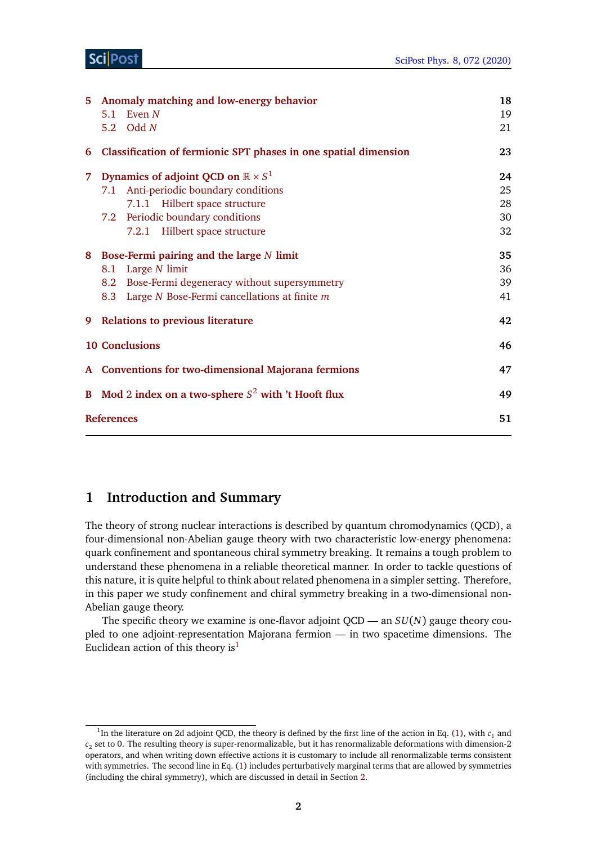| 5.                                         | 5.1                                                    | Anomaly matching and low-energy behavior<br>Even $N$<br>5.2 Odd $N$ | 18<br>19<br>21 |
|--------------------------------------------|--------------------------------------------------------|---------------------------------------------------------------------|----------------|
| 6                                          |                                                        | Classification of fermionic SPT phases in one spatial dimension     | 23             |
| 7.                                         |                                                        | Dynamics of adjoint QCD on $\mathbb{R} \times S^1$                  | 24             |
|                                            | 7.1                                                    | Anti-periodic boundary conditions                                   | 25             |
|                                            |                                                        | 7.1.1 Hilbert space structure                                       | 28             |
|                                            |                                                        | 7.2 Periodic boundary conditions                                    | 30             |
|                                            |                                                        | 7.2.1 Hilbert space structure                                       | 32             |
| 8 Bose-Fermi pairing and the large N limit |                                                        |                                                                     | 35             |
|                                            | 8.1                                                    | Large $N$ limit                                                     | 36             |
|                                            |                                                        | 8.2 Bose-Fermi degeneracy without supersymmetry                     | 39             |
|                                            |                                                        | 8.3 Large N Bose-Fermi cancellations at finite m                    | 41             |
| 9                                          | <b>Relations to previous literature</b>                |                                                                     | 42             |
|                                            | <b>10 Conclusions</b>                                  |                                                                     | 46             |
|                                            | A Conventions for two-dimensional Majorana fermions    |                                                                     |                |
|                                            | B Mod 2 index on a two-sphere $S^2$ with 't Hooft flux |                                                                     |                |
|                                            | 51<br><b>References</b>                                |                                                                     |                |

### <span id="page-1-0"></span>**1 Introduction and Summary**

The theory of strong nuclear interactions is described by quantum chromodynamics (QCD), a four-dimensional non-Abelian gauge theory with two characteristic low-energy phenomena: quark confinement and spontaneous chiral symmetry breaking. It remains a tough problem to understand these phenomena in a reliable theoretical manner. In order to tackle questions of this nature, it is quite helpful to think about related phenomena in a simpler setting. Therefore, in this paper we study confinement and chiral symmetry breaking in a two-dimensional non-Abelian gauge theory.

The specific theory we examine is one-flavor adjoint QCD — an *SU*(*N*) gauge theory coupled to one adjoint-representation Majorana fermion — in two spacetime dimensions. The Euclidean action of this theory is<sup>[1](#page-1-1)</sup>

<span id="page-1-1"></span><sup>&</sup>lt;sup>1</sup>In the literature on 2d adjoint QCD, the theory is defined by the first line of the action in Eq. [\(1\)](#page-2-0), with  $c_1$  and *c*2 set to 0. The resulting theory is super-renormalizable, but it has renormalizable deformations with dimension-2 operators, and when writing down effective actions it is customary to include all renormalizable terms consistent with symmetries. The second line in Eq. [\(1\)](#page-2-0) includes perturbatively marginal terms that are allowed by symmetries (including the chiral symmetry), which are discussed in detail in Section [2.](#page-4-0)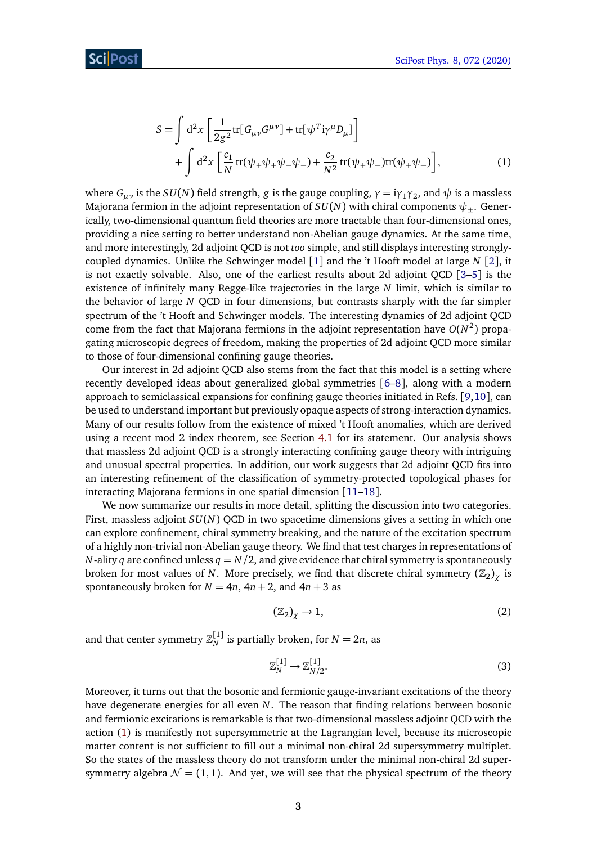<span id="page-2-0"></span>
$$
S = \int d^{2}x \left[ \frac{1}{2g^{2}} tr[G_{\mu\nu}G^{\mu\nu}] + tr[\psi^{T}i\gamma^{\mu}D_{\mu}] \right] + \int d^{2}x \left[ \frac{c_{1}}{N} tr(\psi_{+}\psi_{+}\psi_{-}\psi_{-}) + \frac{c_{2}}{N^{2}} tr(\psi_{+}\psi_{-})tr(\psi_{+}\psi_{-}) \right],
$$
 (1)

where  $G_{\mu\nu}$  is the  $SU(N)$  field strength,  $g$  is the gauge coupling,  $\gamma=$  i $\gamma_1\gamma_2,$  and  $\psi$  is a massless Majorana fermion in the adjoint representation of  $SU(N)$  with chiral components  $\psi_+$ . Generically, two-dimensional quantum field theories are more tractable than four-dimensional ones, providing a nice setting to better understand non-Abelian gauge dynamics. At the same time, and more interestingly, 2d adjoint QCD is not *too* simple, and still displays interesting stronglycoupled dynamics. Unlike the Schwinger model [[1](#page-50-0)] and the 't Hooft model at large *N* [[2](#page-50-1)], it is not exactly solvable. Also, one of the earliest results about 2d adjoint QCD [[3–](#page-50-2)[5](#page-50-3)] is the existence of infinitely many Regge-like trajectories in the large *N* limit, which is similar to the behavior of large *N* QCD in four dimensions, but contrasts sharply with the far simpler spectrum of the 't Hooft and Schwinger models. The interesting dynamics of 2d adjoint QCD come from the fact that Majorana fermions in the adjoint representation have  $O(N^2)$  propagating microscopic degrees of freedom, making the properties of 2d adjoint QCD more similar to those of four-dimensional confining gauge theories.

Our interest in 2d adjoint QCD also stems from the fact that this model is a setting where recently developed ideas about generalized global symmetries [[6](#page-50-4)[–8](#page-50-5)], along with a modern approach to semiclassical expansions for confining gauge theories initiated in Refs. [[9,](#page-50-6)[10](#page-50-7)], can be used to understand important but previously opaque aspects of strong-interaction dynamics. Many of our results follow from the existence of mixed 't Hooft anomalies, which are derived using a recent mod 2 index theorem, see Section [4.1](#page-10-0) for its statement. Our analysis shows that massless 2d adjoint QCD is a strongly interacting confining gauge theory with intriguing and unusual spectral properties. In addition, our work suggests that 2d adjoint QCD fits into an interesting refinement of the classification of symmetry-protected topological phases for interacting Majorana fermions in one spatial dimension [[11](#page-50-8)[–18](#page-51-0)].

We now summarize our results in more detail, splitting the discussion into two categories. First, massless adjoint *SU*(*N*) QCD in two spacetime dimensions gives a setting in which one can explore confinement, chiral symmetry breaking, and the nature of the excitation spectrum of a highly non-trivial non-Abelian gauge theory. We find that test charges in representations of *N*-ality *q* are confined unless  $q = N/2$ , and give evidence that chiral symmetry is spontaneously broken for most values of *N*. More precisely, we find that discrete chiral symmetry  $(\mathbb{Z}_2)_\chi$  is spontaneously broken for  $N = 4n$ ,  $4n + 2$ , and  $4n + 3$  as

$$
\left(\mathbb{Z}_2\right)_\chi \to 1,\tag{2}
$$

and that center symmetry  $\mathbb{Z}_N^{[1]}$  is partially broken, for  $N = 2n$ , as

$$
\mathbb{Z}_N^{[1]} \to \mathbb{Z}_{N/2}^{[1]}.\tag{3}
$$

Moreover, it turns out that the bosonic and fermionic gauge-invariant excitations of the theory have degenerate energies for all even *N*. The reason that finding relations between bosonic and fermionic excitations is remarkable is that two-dimensional massless adjoint QCD with the action [\(1\)](#page-2-0) is manifestly not supersymmetric at the Lagrangian level, because its microscopic matter content is not sufficient to fill out a minimal non-chiral 2d supersymmetry multiplet. So the states of the massless theory do not transform under the minimal non-chiral 2d supersymmetry algebra  $\mathcal{N} = (1, 1)$ . And yet, we will see that the physical spectrum of the theory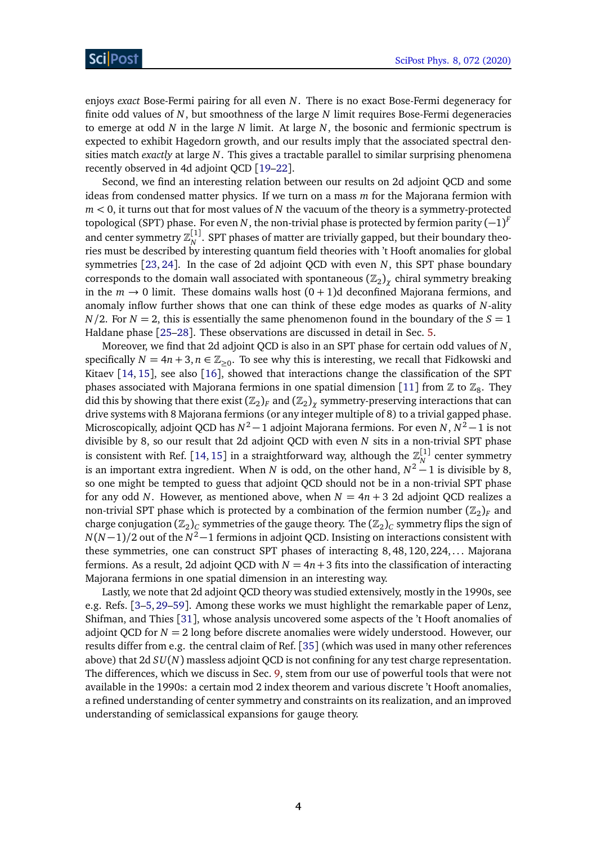enjoys *exact* Bose-Fermi pairing for all even *N*. There is no exact Bose-Fermi degeneracy for finite odd values of *N*, but smoothness of the large *N* limit requires Bose-Fermi degeneracies to emerge at odd *N* in the large *N* limit. At large *N*, the bosonic and fermionic spectrum is expected to exhibit Hagedorn growth, and our results imply that the associated spectral densities match *exactly* at large *N*. This gives a tractable parallel to similar surprising phenomena recently observed in 4d adjoint QCD [[19](#page-51-1)[–22](#page-51-2)].

Second, we find an interesting relation between our results on 2d adjoint QCD and some ideas from condensed matter physics. If we turn on a mass *m* for the Majorana fermion with *m <* 0, it turns out that for most values of *N* the vacuum of the theory is a symmetry-protected topological (SPT) phase. For even  $N$ , the non-trivial phase is protected by fermion parity  $(-1)^F$ and center symmetry  $\mathbb{Z}_N^{[1]}$ . SPT phases of matter are trivially gapped, but their boundary theories must be described by interesting quantum field theories with 't Hooft anomalies for global symmetries [[23,](#page-51-3) [24](#page-51-4)]. In the case of 2d adjoint QCD with even *N*, this SPT phase boundary corresponds to the domain wall associated with spontaneous  $(\mathbb{Z}_2)_{\chi}$  chiral symmetry breaking in the  $m \to 0$  limit. These domains walls host  $(0 + 1)d$  deconfined Majorana fermions, and anomaly inflow further shows that one can think of these edge modes as quarks of *N*-ality  $N/2$ . For  $N = 2$ , this is essentially the same phenomenon found in the boundary of the  $S = 1$ Haldane phase [[25](#page-51-5)[–28](#page-51-6)]. These observations are discussed in detail in Sec. [5.](#page-17-0)

Moreover, we find that 2d adjoint QCD is also in an SPT phase for certain odd values of *N*, specifically  $N = 4n + 3, n \in \mathbb{Z}_{\geq 0}$ . To see why this is interesting, we recall that Fidkowski and Kitaev [[14,](#page-50-9) [15](#page-50-10)], see also [[16](#page-50-11)], showed that interactions change the classification of the SPT phases associated with Majorana fermions in one spatial dimension [[11](#page-50-8)] from  $\mathbb Z$  to  $\mathbb Z_8$ . They did this by showing that there exist  $(\mathbb{Z}_2)_F$  and  $(\mathbb{Z}_2)_\chi$  symmetry-preserving interactions that can drive systems with 8 Majorana fermions (or any integer multiple of 8) to a trivial gapped phase. Microscopically, adjoint QCD has *N* <sup>2</sup> −1 adjoint Majorana fermions. For even *N*, *N* <sup>2</sup> −1 is not divisible by 8, so our result that 2d adjoint QCD with even *N* sits in a non-trivial SPT phase is consistent with Ref. [[14,](#page-50-9) [15](#page-50-10)] in a straightforward way, although the  $\mathbb{Z}_N^{[1]}$  center symmetry is an important extra ingredient. When *N* is odd, on the other hand,  $N^2 - 1$  is divisible by 8, so one might be tempted to guess that adjoint QCD should not be in a non-trivial SPT phase for any odd *N*. However, as mentioned above, when  $N = 4n + 3$  2d adjoint QCD realizes a non-trivial SPT phase which is protected by a combination of the fermion number  $(\mathbb{Z}_2)_F$  and charge conjugation  $(\mathbb{Z}_2)_C$  symmetries of the gauge theory. The  $(\mathbb{Z}_2)_C$  symmetry flips the sign of *N*(*N* −1)*/*2 out of the *N* <sup>2</sup>−1 fermions in adjoint QCD. Insisting on interactions consistent with these symmetries, one can construct SPT phases of interacting 8,48,120,224,... Majorana fermions. As a result, 2d adjoint QCD with  $N = 4n + 3$  fits into the classification of interacting Majorana fermions in one spatial dimension in an interesting way.

Lastly, we note that 2d adjoint QCD theory was studied extensively, mostly in the 1990s, see e.g. Refs. [[3–](#page-50-2)[5,](#page-50-3)[29–](#page-51-7)[59](#page-53-0)]. Among these works we must highlight the remarkable paper of Lenz, Shifman, and Thies [[31](#page-51-8)], whose analysis uncovered some aspects of the 't Hooft anomalies of adjoint QCD for *N* = 2 long before discrete anomalies were widely understood. However, our results differ from e.g. the central claim of Ref. [[35](#page-52-0)] (which was used in many other references above) that 2d *SU*(*N*) massless adjoint QCD is not confining for any test charge representation. The differences, which we discuss in Sec. [9,](#page-41-0) stem from our use of powerful tools that were not available in the 1990s: a certain mod 2 index theorem and various discrete 't Hooft anomalies, a refined understanding of center symmetry and constraints on its realization, and an improved understanding of semiclassical expansions for gauge theory.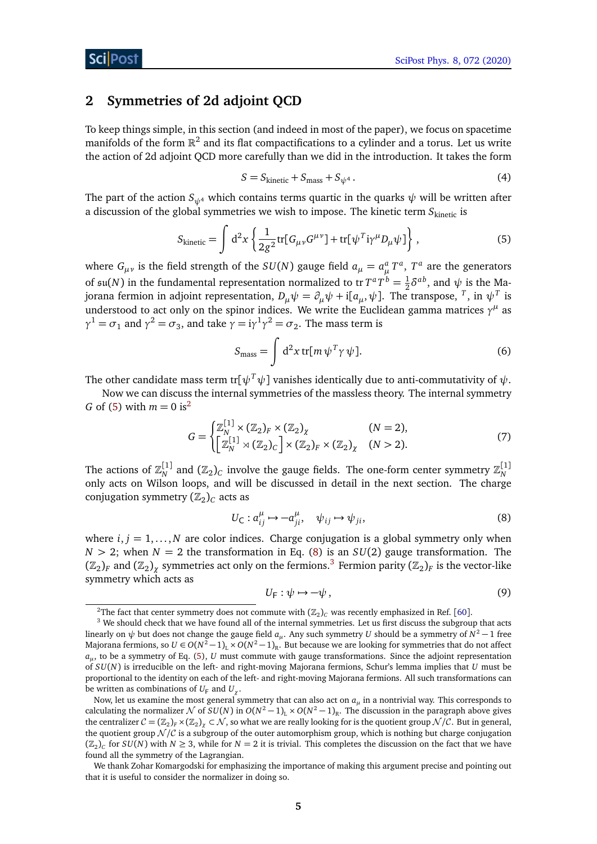### <span id="page-4-0"></span>**2 Symmetries of 2d adjoint QCD**

To keep things simple, in this section (and indeed in most of the paper), we focus on spacetime manifolds of the form  $\mathbb{R}^2$  and its flat compactifications to a cylinder and a torus. Let us write the action of 2d adjoint QCD more carefully than we did in the introduction. It takes the form

<span id="page-4-1"></span>
$$
S = S_{\text{kinetic}} + S_{\text{mass}} + S_{\psi^4} \,. \tag{4}
$$

The part of the action  $S_{\psi^4}$  which contains terms quartic in the quarks  $\psi$  will be written after a discussion of the global symmetries we wish to impose. The kinetic term S<sub>kinetic</sub> is

$$
S_{\text{kinetic}} = \int d^2x \left\{ \frac{1}{2g^2} \text{tr} [G_{\mu\nu} G^{\mu\nu}] + \text{tr} [\psi^T i \gamma^\mu D_\mu \psi] \right\},\tag{5}
$$

where  $G_{\mu\nu}$  is the field strength of the  $SU(N)$  gauge field  $a_{\mu} = a_{\mu}^a T^a$ ,  $T^a$  are the generators of  $\mathfrak{su}(N)$  in the fundamental representation normalized to tr $T^a T^b = \frac{1}{2}$  $\frac{1}{2}\delta^{ab}$ , and  $\psi$  is the Majorana fermion in adjoint representation,  $D_\mu \psi = \partial_\mu \psi + \mathrm{i} [a_\mu, \psi]$ . The transpose,  $^T$ , in  $\psi^T$  is understood to act only on the spinor indices. We write the Euclidean gamma matrices  $\gamma^{\mu}$  as *γ*<sup>1</sup> = *σ*<sub>1</sub> and *γ*<sup>2</sup> = *σ*<sub>3</sub>, and take *γ* = i*γ*<sup>1</sup>*γ*<sup>2</sup> = *σ*<sub>2</sub>. The mass term is

$$
S_{\text{mass}} = \int d^2x \, \text{tr}[m \, \psi^T \gamma \, \psi]. \tag{6}
$$

The other candidate mass term tr[ $\psi^T \psi$ ] vanishes identically due to anti-commutativity of  $\psi$ .

Now we can discuss the internal symmetries of the massless theory. The internal symmetry *G* of [\(5\)](#page-4-1) with  $m = 0$  is<sup>[2](#page-4-2)</sup>

$$
G = \begin{cases} \mathbb{Z}_N^{[1]} \times (\mathbb{Z}_2)_F \times (\mathbb{Z}_2)_\chi & (N = 2), \\ \left[ \mathbb{Z}_N^{[1]} \rtimes (\mathbb{Z}_2)_C \right] \times (\mathbb{Z}_2)_F \times (\mathbb{Z}_2)_\chi & (N > 2). \end{cases}
$$
(7)

The actions of  $\mathbb{Z}_N^{[1]}$  and  $(\mathbb{Z}_2)_C$  involve the gauge fields. The one-form center symmetry  $\mathbb{Z}_N^{[1]}$ only acts on Wilson loops, and will be discussed in detail in the next section. The charge conjugation symmetry  $(\mathbb{Z}_2)_C$  acts as

$$
U_{\mathsf{C}}: a_{ij}^{\mu} \mapsto -a_{ji}^{\mu}, \quad \psi_{ij} \mapsto \psi_{ji}, \tag{8}
$$

where  $i, j = 1, \ldots, N$  are color indices. Charge conjugation is a global symmetry only when  $N > 2$ ; when  $N = 2$  the transformation in Eq. [\(8\)](#page-4-3) is an  $SU(2)$  gauge transformation. The  $(\Bbb Z_2)_F$  and  $(\Bbb Z_2)_\chi$  symmetries act only on the fermions.<sup>[3](#page-4-4)</sup> Fermion parity  $(\Bbb Z_2)_F$  is the vector-like symmetry which acts as

<span id="page-4-3"></span>
$$
U_{\mathsf{F}} : \psi \mapsto -\psi \,, \tag{9}
$$

<span id="page-4-4"></span><span id="page-4-2"></span> $^2$ The fact that center symmetry does not commute with  $(\mathbb{Z}_2)_C$  was recently emphasized in Ref. [[60](#page-53-1)].

<sup>&</sup>lt;sup>3</sup> We should check that we have found all of the internal symmetries. Let us first discuss the subgroup that acts linearly on  $\psi$  but does not change the gauge field  $a_\mu$ . Any such symmetry  $U$  should be a symmetry of  $N^2-1$  free Majorana fermions, so  $U\in O(N^2-1)_\text{L}\times O(N^2-1)_\text{R}$ . But because we are looking for symmetries that do not affect *aµ* , to be a symmetry of Eq. [\(5\)](#page-4-1), *U* must commute with gauge transformations. Since the adjoint representation of *SU*(*N*) is irreducible on the left- and right-moving Majorana fermions, Schur's lemma implies that *U* must be proportional to the identity on each of the left- and right-moving Majorana fermions. All such transformations can be written as combinations of  $U_F$  and  $U_\chi$ .

Now, let us examine the most general symmetry that can also act on *a<sup>µ</sup>* in a nontrivial way. This corresponds to calculating the normalizer  $N$  of  $SU(N)$  in  $O(N^2-1)_L \times O(N^2-1)_R$ . The discussion in the paragraph above gives the centralizer  $C=(\mathbb{Z}_2)_F\times(\mathbb{Z}_2)_\chi\subset\mathcal{N}$ , so what we are really looking for is the quotient group  $\mathcal{N}/\mathcal{C}$ . But in general, the quotient group  $N/C$  is a subgroup of the outer automorphism group, which is nothing but charge conjugation  $(\mathbb{Z}_2)_C$  for  $SU(N)$  with  $N \geq 3$ , while for  $N = 2$  it is trivial. This completes the discussion on the fact that we have found all the symmetry of the Lagrangian.

We thank Zohar Komargodski for emphasizing the importance of making this argument precise and pointing out that it is useful to consider the normalizer in doing so.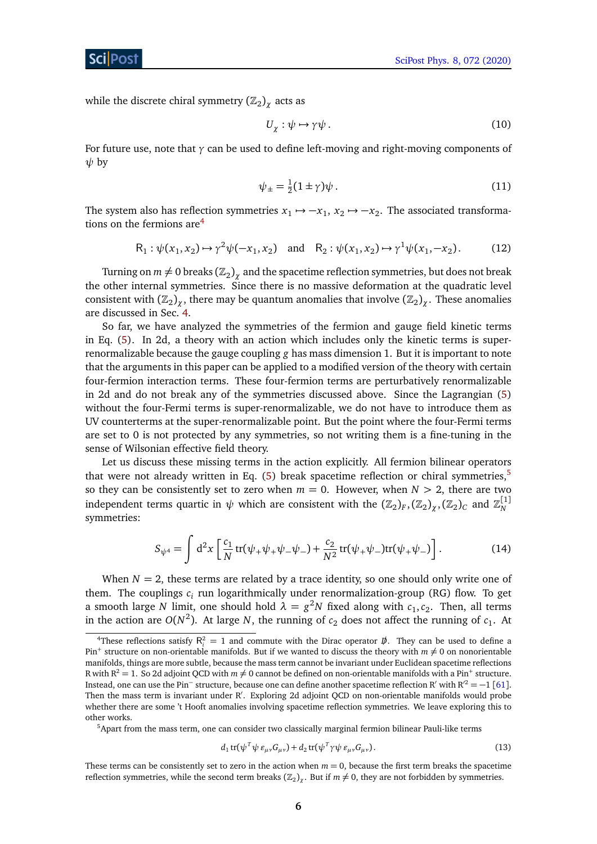while the discrete chiral symmetry  $(\mathbb{Z}_2)_\chi$  acts as

$$
U_{\chi} : \psi \mapsto \gamma \psi \,. \tag{10}
$$

For future use, note that *γ* can be used to define left-moving and right-moving components of *ψ* by

$$
\psi_{\pm} = \frac{1}{2}(1 \pm \gamma)\psi. \tag{11}
$$

The system also has reflection symmetries  $x_1 \mapsto -x_1$ ,  $x_2 \mapsto -x_2$ . The associated transformations on the fermions  $are^4$  $are^4$ 

$$
R_1: \psi(x_1, x_2) \mapsto \gamma^2 \psi(-x_1, x_2) \quad \text{and} \quad R_2: \psi(x_1, x_2) \mapsto \gamma^1 \psi(x_1, -x_2). \tag{12}
$$

Turning on  $m\neq 0$  breaks  $\left( \mathbb{Z}_2 \right)_\chi$  and the spacetime reflection symmetries, but does not break the other internal symmetries. Since there is no massive deformation at the quadratic level consistent with  $(\mathbb{Z}_2)_\chi$ , there may be quantum anomalies that involve  $(\mathbb{Z}_2)_\chi$ . These anomalies are discussed in Sec. [4.](#page-9-0)

So far, we have analyzed the symmetries of the fermion and gauge field kinetic terms in Eq. [\(5\)](#page-4-1). In 2d, a theory with an action which includes only the kinetic terms is superrenormalizable because the gauge coupling *g* has mass dimension 1. But it is important to note that the arguments in this paper can be applied to a modified version of the theory with certain four-fermion interaction terms. These four-fermion terms are perturbatively renormalizable in 2d and do not break any of the symmetries discussed above. Since the Lagrangian [\(5\)](#page-4-1) without the four-Fermi terms is super-renormalizable, we do not have to introduce them as UV counterterms at the super-renormalizable point. But the point where the four-Fermi terms are set to 0 is not protected by any symmetries, so not writing them is a fine-tuning in the sense of Wilsonian effective field theory.

Let us discuss these missing terms in the action explicitly. All fermion bilinear operators that were not already written in Eq. [\(5\)](#page-4-1) break spacetime reflection or chiral symmetries,<sup>[5](#page-5-1)</sup> so they can be consistently set to zero when  $m = 0$ . However, when  $N > 2$ , there are two independent terms quartic in  $\psi$  which are consistent with the  $(\mathbb{Z}_2)_F, (\mathbb{Z}_2)_\chi, (\mathbb{Z}_2)_C$  and  $\mathbb{Z}_N^{[1]}$ symmetries:

<span id="page-5-2"></span>
$$
S_{\psi^4} = \int d^2x \left[ \frac{c_1}{N} tr(\psi_+ \psi_+ \psi_- \psi_-) + \frac{c_2}{N^2} tr(\psi_+ \psi_-) tr(\psi_+ \psi_-) \right]. \tag{14}
$$

When  $N = 2$ , these terms are related by a trace identity, so one should only write one of them. The couplings  $c_i$  run logarithmically under renormalization-group (RG) flow. To get a smooth large *N* limit, one should hold  $\lambda = g^2N$  fixed along with  $c_1, c_2$ . Then, all terms in the action are  $O(N^2)$ . At large *N*, the running of  $c_2$  does not affect the running of  $c_1$ . At

<span id="page-5-1"></span><sup>5</sup>Apart from the mass term, one can consider two classically marginal fermion bilinear Pauli-like terms

$$
d_1 \operatorname{tr}(\psi^T \psi \, \varepsilon_{\mu\nu} G_{\mu\nu}) + d_2 \operatorname{tr}(\psi^T \gamma \psi \, \varepsilon_{\mu\nu} G_{\mu\nu}). \tag{13}
$$

These terms can be consistently set to zero in the action when  $m = 0$ , because the first term breaks the spacetime reflection symmetries, while the second term breaks ( $\mathbb{Z}_2$ )<sub>*χ*</sub>. But if  $m \neq 0$ , they are not forbidden by symmetries.

<span id="page-5-0"></span><sup>&</sup>lt;sup>4</sup>These reflections satisfy  $R_i^2 = 1$  and commute with the Dirac operator  $\vec{p}$ . They can be used to define a Pin<sup>+</sup> structure on non-orientable manifolds. But if we wanted to discuss the theory with  $m \neq 0$  on nonorientable manifolds, things are more subtle, because the mass term cannot be invariant under Euclidean spacetime reflections R with R<sup>2</sup>  $=$  1. So 2d adjoint QCD with  $m\neq 0$  cannot be defined on non-orientable manifolds with a Pin<sup>+</sup> structure. Instead, one can use the Pin<sup>−</sup> structure, because one can define another spacetime reflection R<sup>'</sup> with R<sup>2</sup> = -1 [[61](#page-53-2)]. Then the mass term is invariant under R'. Exploring 2d adjoint QCD on non-orientable manifolds would probe whether there are some 't Hooft anomalies involving spacetime reflection symmetries. We leave exploring this to other works.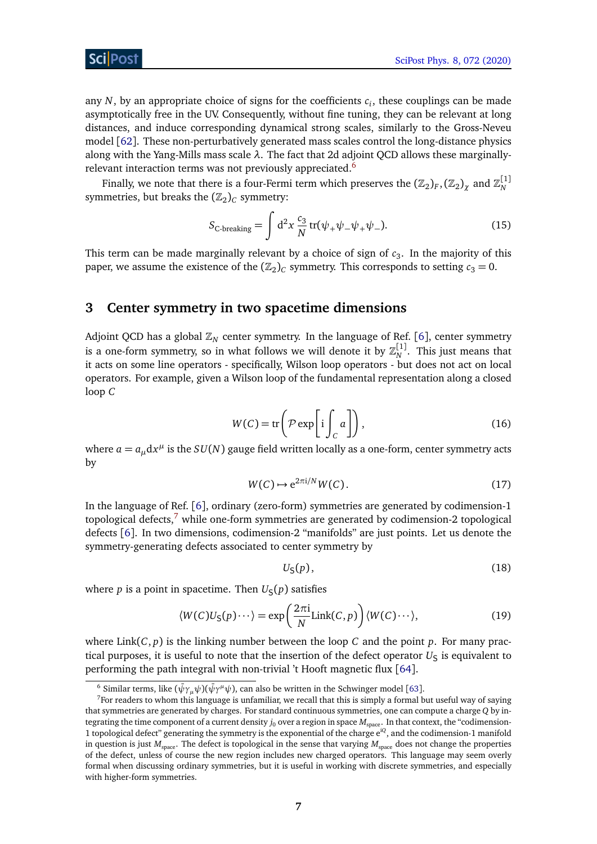### ScilPos<sup>.</sup>

any  $N$ , by an appropriate choice of signs for the coefficients  $c_i$ , these couplings can be made asymptotically free in the UV. Consequently, without fine tuning, they can be relevant at long distances, and induce corresponding dynamical strong scales, similarly to the Gross-Neveu model [[62](#page-53-3)]. These non-perturbatively generated mass scales control the long-distance physics along with the Yang-Mills mass scale *λ*. The fact that 2d adjoint QCD allows these marginally-relevant interaction terms was not previously appreciated.<sup>[6](#page-6-1)</sup>

Finally, we note that there is a four-Fermi term which preserves the  $(\mathbb{Z}_2)_F, (\mathbb{Z}_2)_\chi$  and  $\mathbb{Z}_N^{[1]}$ symmetries, but breaks the  $(\mathbb{Z}_2)_C$  symmetry:

<span id="page-6-3"></span>
$$
S_{\text{C-breaking}} = \int d^2x \frac{c_3}{N} \operatorname{tr}(\psi_+ \psi_- \psi_+ \psi_-). \tag{15}
$$

This term can be made marginally relevant by a choice of sign of  $c_3$ . In the majority of this paper, we assume the existence of the  $(\mathbb{Z}_2)_C$  symmetry. This corresponds to setting  $c_3 = 0$ .

### <span id="page-6-0"></span>**3 Center symmetry in two spacetime dimensions**

Adjoint QCD has a global  $\mathbb{Z}_N$  center symmetry. In the language of Ref. [[6](#page-50-4)], center symmetry is a one-form symmetry, so in what follows we will denote it by  $\mathbb{Z}_N^{[1]}$ . This just means that it acts on some line operators - specifically, Wilson loop operators - but does not act on local operators. For example, given a Wilson loop of the fundamental representation along a closed loop *C*

$$
W(C) = \text{tr}\left(\mathcal{P}\exp\left[i\int_C a\right]\right),\tag{16}
$$

where  $a = a_{\mu} dx^{\mu}$  is the  $SU(N)$  gauge field written locally as a one-form, center symmetry acts by

$$
W(C) \mapsto e^{2\pi i/N} W(C). \tag{17}
$$

In the language of Ref. [[6](#page-50-4)], ordinary (zero-form) symmetries are generated by codimension-1 topological defects, $7$  while one-form symmetries are generated by codimension-2 topological defects [[6](#page-50-4)]. In two dimensions, codimension-2 "manifolds" are just points. Let us denote the symmetry-generating defects associated to center symmetry by

$$
U_{\mathsf{S}}(p),\tag{18}
$$

where *p* is a point in spacetime. Then  $U_{\varsigma}(p)$  satisfies

$$
\langle W(C)U_{\mathsf{S}}(p)\cdots\rangle = \exp\left(\frac{2\pi i}{N}\text{Link}(C,p)\right)\langle W(C)\cdots\rangle,\tag{19}
$$

where  $\text{Link}(C, p)$  is the linking number between the loop *C* and the point *p*. For many practical purposes, it is useful to note that the insertion of the defect operator  $U<sub>S</sub>$  is equivalent to performing the path integral with non-trivial 't Hooft magnetic flux [[64](#page-53-4)].

<span id="page-6-2"></span><span id="page-6-1"></span> $^6$  Similar terms, like ( $\bar{\psi}\gamma_\mu\psi$ )( $\bar{\psi}\gamma^\mu\psi$ ), can also be written in the Schwinger model [[63](#page-53-5)].

 $<sup>7</sup>$  For readers to whom this language is unfamiliar, we recall that this is simply a formal but useful way of saying</sup> that symmetries are generated by charges. For standard continuous symmetries, one can compute a charge *Q* by integrating the time component of a current density  $j_0$  over a region in space  $M_{\text{vanc}}$ . In that context, the "codimension-1 topological defect" generating the symmetry is the exponential of the charge e<sup>i</sup>*<sup>Q</sup>* , and the codimension-1 manifold in question is just  $M_{space}$ . The defect is topological in the sense that varying  $M_{space}$  does not change the properties of the defect, unless of course the new region includes new charged operators. This language may seem overly formal when discussing ordinary symmetries, but it is useful in working with discrete symmetries, and especially with higher-form symmetries.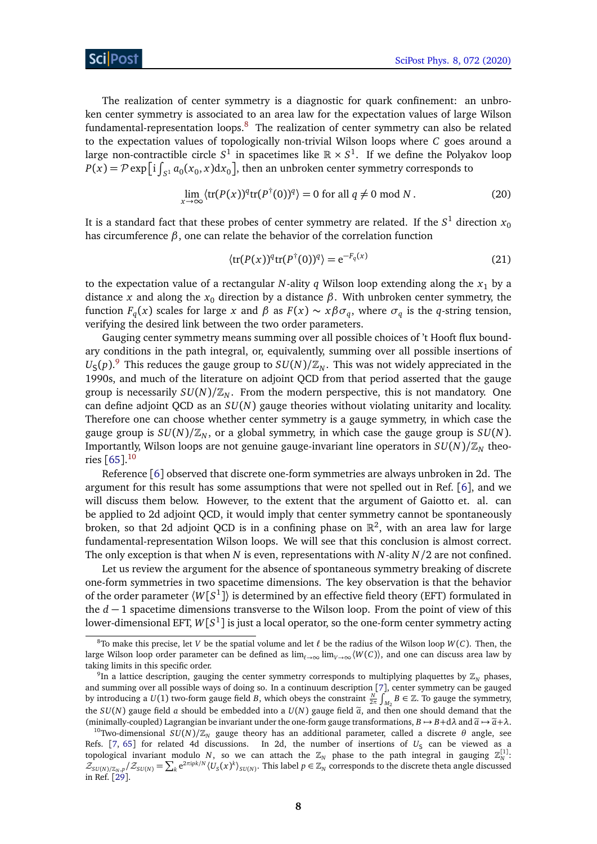The realization of center symmetry is a diagnostic for quark confinement: an unbroken center symmetry is associated to an area law for the expectation values of large Wilson fundamental-representation loops. $8$  The realization of center symmetry can also be related to the expectation values of topologically non-trivial Wilson loops where *C* goes around a large non-contractible circle  $S^1$  in spacetimes like  $\mathbb{R}\times S^1.$  If we define the Polyakov loop  $P(x) = \mathcal{P} \exp\left[i \int_{S^1} a_0(x_0, x) dx_0\right]$ , then an unbroken center symmetry corresponds to

$$
\lim_{x \to \infty} \langle \text{tr}(P(x))^q \text{tr}(P^{\dagger}(0))^q \rangle = 0 \text{ for all } q \neq 0 \text{ mod } N. \tag{20}
$$

It is a standard fact that these probes of center symmetry are related. If the  $S^1$  direction  $\overline{x}_0$ has circumference *β*, one can relate the behavior of the correlation function

$$
\langle \text{tr}(P(x))^{q} \text{tr}(P^{\dagger}(0))^{q} \rangle = e^{-F_q(x)} \tag{21}
$$

to the expectation value of a rectangular  $N$ -ality  $q$  Wilson loop extending along the  $x_1$  by a distance *x* and along the *x*<sup>0</sup> direction by a distance *β*. With unbroken center symmetry, the function  $F_q(x)$  scales for large *x* and  $\beta$  as  $F(x) \sim x \beta \sigma_q$ , where  $\sigma_q$  is the *q*-string tension, verifying the desired link between the two order parameters.

Gauging center symmetry means summing over all possible choices of 't Hooft flux boundary conditions in the path integral, or, equivalently, summing over all possible insertions of  $U_{\mathsf{S}}(p).^\mathsf{9}$  $U_{\mathsf{S}}(p).^\mathsf{9}$  $U_{\mathsf{S}}(p).^\mathsf{9}$  This reduces the gauge group to  $SU(N)/\mathbb{Z}_N$ . This was not widely appreciated in the 1990s, and much of the literature on adjoint QCD from that period asserted that the gauge group is necessarily  $SU(N)/\mathbb{Z}_N$ . From the modern perspective, this is not mandatory. One can define adjoint QCD as an *SU*(*N*) gauge theories without violating unitarity and locality. Therefore one can choose whether center symmetry is a gauge symmetry, in which case the gauge group is  $SU(N)/\mathbb{Z}_N$ , or a global symmetry, in which case the gauge group is  $SU(N)$ . Importantly, Wilson loops are not genuine gauge-invariant line operators in  $SU(N)/\mathbb{Z}_N$  theories [[65](#page-53-6)]. [10](#page-7-2)

Reference [[6](#page-50-4)] observed that discrete one-form symmetries are always unbroken in 2d. The argument for this result has some assumptions that were not spelled out in Ref. [[6](#page-50-4)], and we will discuss them below. However, to the extent that the argument of Gaiotto et. al. can be applied to 2d adjoint QCD, it would imply that center symmetry cannot be spontaneously broken, so that 2d adjoint QCD is in a confining phase on  $\mathbb{R}^2$ , with an area law for large fundamental-representation Wilson loops. We will see that this conclusion is almost correct. The only exception is that when *N* is even, representations with *N*-ality *N/*2 are not confined.

Let us review the argument for the absence of spontaneous symmetry breaking of discrete one-form symmetries in two spacetime dimensions. The key observation is that the behavior of the order parameter  $\langle W[S^1] \rangle$  is determined by an effective field theory (EFT) formulated in the *d* − 1 spacetime dimensions transverse to the Wilson loop. From the point of view of this lower-dimensional EFT,  $W[S^1]$  is just a local operator, so the one-form center symmetry acting

<span id="page-7-0"></span><sup>&</sup>lt;sup>8</sup>To make this precise, let *V* be the spatial volume and let  $\ell$  be the radius of the Wilson loop  $W(C)$ . Then, the large Wilson loop order parameter can be defined as  $\lim_{t\to\infty} \lim_{V\to\infty} \langle W(C) \rangle$ , and one can discuss area law by taking limits in this specific order.

<span id="page-7-1"></span> $^9$ In a lattice description, gauging the center symmetry corresponds to multiplying plaquettes by  $\mathbb{Z}_N$  phases, and summing over all possible ways of doing so. In a continuum description [[7](#page-50-12)], center symmetry can be gauged by introducing a  $U(1)$  two-form gauge field *B*, which obeys the constraint  $\frac{N}{2\pi}\int_{M_2} B \in \mathbb{Z}$ . To gauge the symmetry, the *SU*(*N*) gauge field *a* should be embedded into a  $U(N)$  gauge field  $\tilde{a}$ , and then one should demand that the (minimally-coupled) Lagrangian be invariant under the one-form gauge transformations,  $B \rightarrow B + d\lambda$  and  $\tilde{a} \rightarrow \tilde{a} + \lambda$ .

<span id="page-7-2"></span><sup>&</sup>lt;sup>10</sup>Two-dimensional *SU*(*N*)/ $\mathbb{Z}_N$  gauge theory has an additional parameter, called a discrete *θ* angle, see Refs. [[7,](#page-50-12) [65](#page-53-6)] for related 4d discussions. In 2d, the number of insertions of U<sub>S</sub> can be viewed as a topological invariant modulo *N*, so we can attach the  $\mathbb{Z}_N$  phase to the path integral in gauging  $\mathbb{Z}_N^{[1]}$ .  $\mathcal{Z}_{SU(N)/\mathbb{Z}_N,p}/\mathcal{Z}_{SU(N)} = \sum_k e^{2\pi i p k/N} \langle U_s(x)^k \rangle_{SU(N)}$ . This label  $p \in \mathbb{Z}_N$  corresponds to the discrete theta angle discussed in Ref. [[29](#page-51-7)].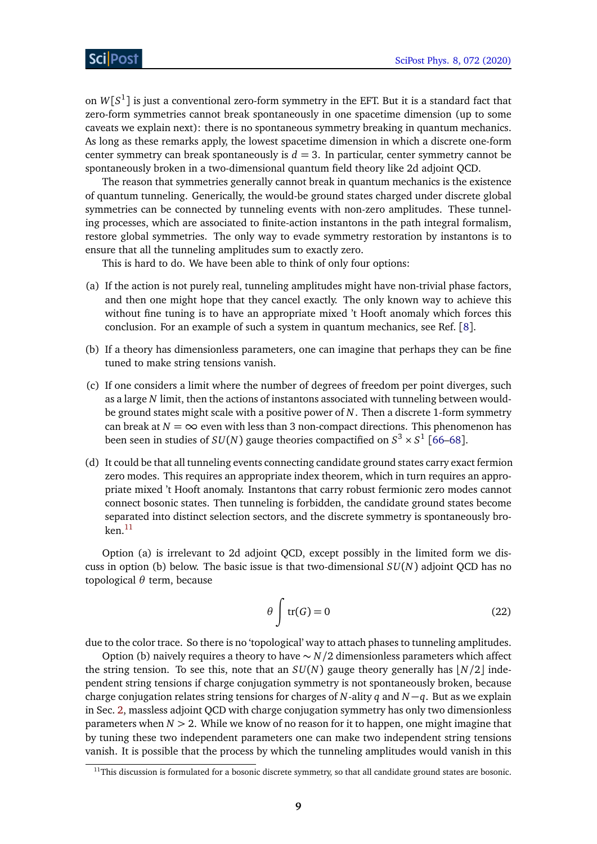on  $W[S^1]$  is just a conventional zero-form symmetry in the EFT. But it is a standard fact that zero-form symmetries cannot break spontaneously in one spacetime dimension (up to some caveats we explain next): there is no spontaneous symmetry breaking in quantum mechanics. As long as these remarks apply, the lowest spacetime dimension in which a discrete one-form center symmetry can break spontaneously is  $d = 3$ . In particular, center symmetry cannot be spontaneously broken in a two-dimensional quantum field theory like 2d adjoint QCD.

The reason that symmetries generally cannot break in quantum mechanics is the existence of quantum tunneling. Generically, the would-be ground states charged under discrete global symmetries can be connected by tunneling events with non-zero amplitudes. These tunneling processes, which are associated to finite-action instantons in the path integral formalism, restore global symmetries. The only way to evade symmetry restoration by instantons is to ensure that all the tunneling amplitudes sum to exactly zero.

This is hard to do. We have been able to think of only four options:

- (a) If the action is not purely real, tunneling amplitudes might have non-trivial phase factors, and then one might hope that they cancel exactly. The only known way to achieve this without fine tuning is to have an appropriate mixed 't Hooft anomaly which forces this conclusion. For an example of such a system in quantum mechanics, see Ref. [[8](#page-50-5)].
- (b) If a theory has dimensionless parameters, one can imagine that perhaps they can be fine tuned to make string tensions vanish.
- (c) If one considers a limit where the number of degrees of freedom per point diverges, such as a large *N* limit, then the actions of instantons associated with tunneling between wouldbe ground states might scale with a positive power of *N*. Then a discrete 1-form symmetry can break at  $N = \infty$  even with less than 3 non-compact directions. This phenomenon has been seen in studies of  $SU(N)$  gauge theories compactified on  $S^3 \times S^1$  [[66](#page-53-7)[–68](#page-54-0)].
- (d) It could be that all tunneling events connecting candidate ground states carry exact fermion zero modes. This requires an appropriate index theorem, which in turn requires an appropriate mixed 't Hooft anomaly. Instantons that carry robust fermionic zero modes cannot connect bosonic states. Then tunneling is forbidden, the candidate ground states become separated into distinct selection sectors, and the discrete symmetry is spontaneously bro- $ken.<sup>11</sup>$  $ken.<sup>11</sup>$  $ken.<sup>11</sup>$

Option (a) is irrelevant to 2d adjoint QCD, except possibly in the limited form we discuss in option (b) below. The basic issue is that two-dimensional *SU*(*N*) adjoint QCD has no topological *θ* term, because

$$
\theta \int tr(G) = 0 \tag{22}
$$

due to the color trace. So there is no 'topological' way to attach phases to tunneling amplitudes.

Option (b) naively requires a theory to have ∼ *N/*2 dimensionless parameters which affect the string tension. To see this, note that an  $SU(N)$  gauge theory generally has  $N/2$  independent string tensions if charge conjugation symmetry is not spontaneously broken, because charge conjugation relates string tensions for charges of *N*-ality *q* and *N* −*q*. But as we explain in Sec. [2,](#page-4-0) massless adjoint QCD with charge conjugation symmetry has only two dimensionless parameters when *N >* 2. While we know of no reason for it to happen, one might imagine that by tuning these two independent parameters one can make two independent string tensions vanish. It is possible that the process by which the tunneling amplitudes would vanish in this

<span id="page-8-0"></span> $11$ This discussion is formulated for a bosonic discrete symmetry, so that all candidate ground states are bosonic.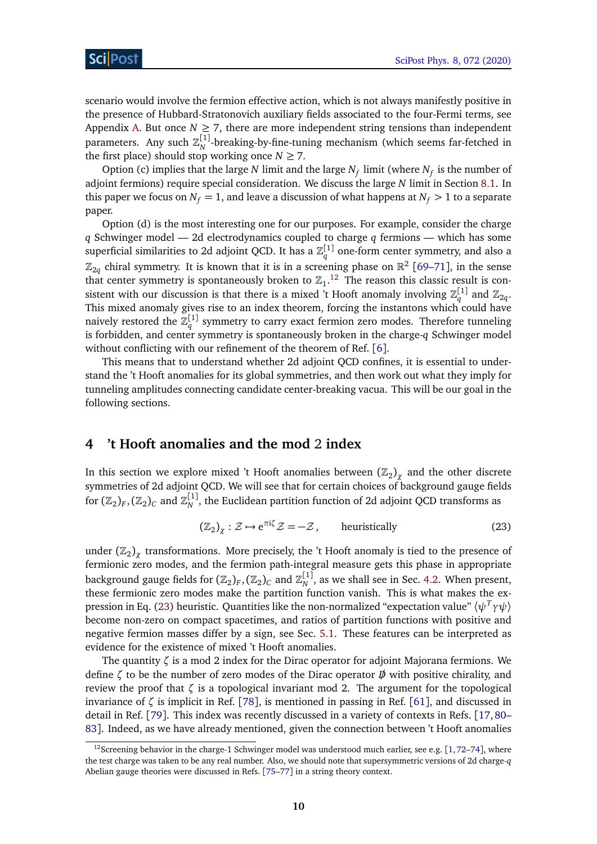scenario would involve the fermion effective action, which is not always manifestly positive in the presence of Hubbard-Stratonovich auxiliary fields associated to the four-Fermi terms, see Appendix [A.](#page-46-0) But once  $N \geq 7$ , there are more independent string tensions than independent parameters. Any such  $\mathbb{Z}_N^{[1]}$ -breaking-by-fine-tuning mechanism (which seems far-fetched in the first place) should stop working once  $N \ge 7$ .

Option (c) implies that the large *N* limit and the large  $N_f$  limit (where  $N_f$  is the number of adjoint fermions) require special consideration. We discuss the large *N* limit in Section [8.1.](#page-35-0) In this paper we focus on  $N_f = 1$ , and leave a discussion of what happens at  $N_f > 1$  to a separate paper.

Option (d) is the most interesting one for our purposes. For example, consider the charge *q* Schwinger model — 2d electrodynamics coupled to charge *q* fermions — which has some superficial similarities to 2d adjoint QCD. It has a  $\mathbb{Z}_q^{[1]}$  one-form center symmetry, and also a  $\mathbb{Z}_{2q}$  chiral symmetry. It is known that it is in a screening phase on  $\mathbb{R}^2$  [[69–](#page-54-1)[71](#page-54-2)], in the sense that center symmetry is spontaneously broken to  $\mathbb{Z}_1$ .<sup>[12](#page-9-1)</sup> The reason this classic result is consistent with our discussion is that there is a mixed 't Hooft anomaly involving  $\mathbb{Z}_q^{[1]}$  and  $\mathbb{Z}_{2q}.$ This mixed anomaly gives rise to an index theorem, forcing the instantons which could have naively restored the  $\mathbb{Z}_q^{[1]}$  symmetry to carry exact fermion zero modes. Therefore tunneling is forbidden, and center symmetry is spontaneously broken in the charge-*q* Schwinger model without conflicting with our refinement of the theorem of Ref. [[6](#page-50-4)].

This means that to understand whether 2d adjoint QCD confines, it is essential to understand the 't Hooft anomalies for its global symmetries, and then work out what they imply for tunneling amplitudes connecting candidate center-breaking vacua. This will be our goal in the following sections.

### <span id="page-9-0"></span>**4 't Hooft anomalies and the mod** 2 **index**

In this section we explore mixed 't Hooft anomalies between  $(\mathbb{Z}_2)_\chi$  and the other discrete symmetries of 2d adjoint QCD. We will see that for certain choices of background gauge fields for  $(\Bbb Z_2)_F,(\Bbb Z_2)_C$  and  $\Bbb Z_N^{[1]},$  the Euclidean partition function of 2d adjoint QCD transforms as

<span id="page-9-2"></span>
$$
(\mathbb{Z}_2)_{\chi} : \mathcal{Z} \mapsto e^{\pi i \zeta} \mathcal{Z} = -\mathcal{Z}, \qquad \text{heuristically} \tag{23}
$$

under  $(\mathbb{Z}_2)_\chi$  transformations. More precisely, the 't Hooft anomaly is tied to the presence of fermionic zero modes, and the fermion path-integral measure gets this phase in appropriate background gauge fields for  $(\mathbb{Z}_2)_F, (\mathbb{Z}_2)_C$  and  $\mathbb{Z}_N^{[1]},$  as we shall see in Sec. [4.2.](#page-11-0) When present, these fermionic zero modes make the partition function vanish. This is what makes the expression in Eq. [\(23\)](#page-9-2) heuristic. Quantities like the non-normalized "expectation value" 〈*ψ<sup>T</sup> γψ*〉 become non-zero on compact spacetimes, and ratios of partition functions with positive and negative fermion masses differ by a sign, see Sec. [5.1.](#page-18-0) These features can be interpreted as evidence for the existence of mixed 't Hooft anomalies.

The quantity *ζ* is a mod 2 index for the Dirac operator for adjoint Majorana fermions. We define *ζ* to be the number of zero modes of the Dirac operator *D/* with positive chirality, and review the proof that *ζ* is a topological invariant mod 2. The argument for the topological invariance of *ζ* is implicit in Ref. [[78](#page-54-3)], is mentioned in passing in Ref. [[61](#page-53-2)], and discussed in detail in Ref. [[79](#page-54-4)]. This index was recently discussed in a variety of contexts in Refs. [[17,](#page-50-13)[80–](#page-54-5) [83](#page-54-6)]. Indeed, as we have already mentioned, given the connection between 't Hooft anomalies

<span id="page-9-1"></span><sup>&</sup>lt;sup>12</sup>Screening behavior in the charge-1 Schwinger model was understood much earlier, see e.g. [[1,](#page-50-0)[72](#page-54-7)[–74](#page-54-8)], where the test charge was taken to be any real number. Also, we should note that supersymmetric versions of 2d charge-*q* Abelian gauge theories were discussed in Refs. [[75](#page-54-9)[–77](#page-54-10)] in a string theory context.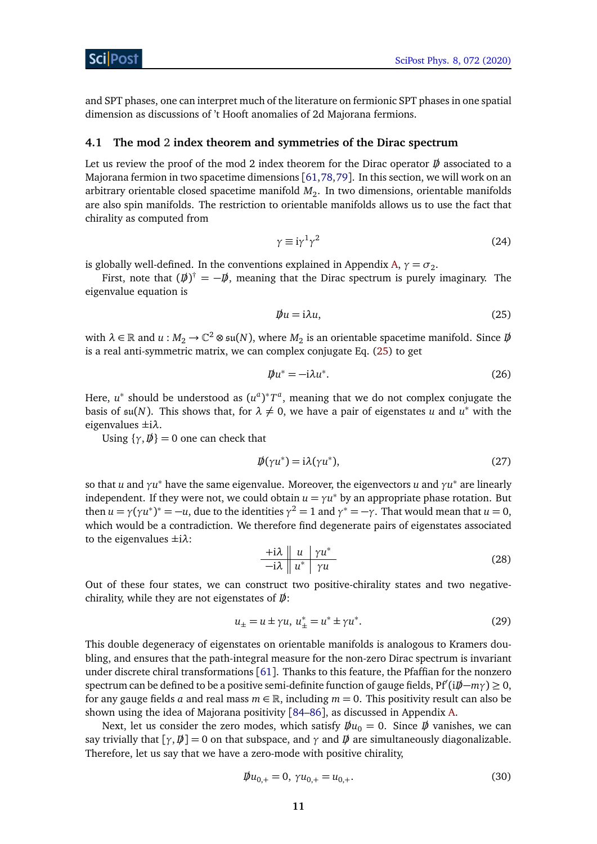and SPT phases, one can interpret much of the literature on fermionic SPT phases in one spatial dimension as discussions of 't Hooft anomalies of 2d Majorana fermions.

#### <span id="page-10-0"></span>**4.1 The mod** 2 **index theorem and symmetries of the Dirac spectrum**

Let us review the proof of the mod 2 index theorem for the Dirac operator  $\vec{p}$  associated to a Majorana fermion in two spacetime dimensions [[61,](#page-53-2)[78,](#page-54-3)[79](#page-54-4)]. In this section, we will work on an arbitrary orientable closed spacetime manifold  $M_2$ . In two dimensions, orientable manifolds are also spin manifolds. The restriction to orientable manifolds allows us to use the fact that chirality as computed from

$$
\gamma \equiv i\gamma^1 \gamma^2 \tag{24}
$$

is globally well-defined. In the conventions explained in Appendix [A,](#page-46-0)  $\gamma = \sigma_2$ .

First, note that  $(\psi)^{\dagger} = -\psi$ , meaning that the Dirac spectrum is purely imaginary. The eigenvalue equation is

<span id="page-10-1"></span>
$$
\psi u = i\lambda u,\tag{25}
$$

with  $\lambda \in \mathbb{R}$  and  $u : M_2 \to \mathbb{C}^2 \otimes \mathfrak{su}(N)$ , where  $M_2$  is an orientable spacetime manifold. Since  $D\!\!\!\!/$ is a real anti-symmetric matrix, we can complex conjugate Eq. [\(25\)](#page-10-1) to get

$$
\mathbf{D}u^* = -\mathbf{i}\lambda u^*.\tag{26}
$$

Here,  $u^*$  should be understood as  $(u^a)^*T^a$ , meaning that we do not complex conjugate the basis of  $\mathfrak{su}(N)$ . This shows that, for  $\lambda \neq 0$ , we have a pair of eigenstates *u* and  $u^*$  with the eigenvalues ±i*λ*.

Using  $\{ \gamma, \vec{\psi} \} = 0$  one can check that

$$
\mathbf{D}(\gamma u^*) = \mathbf{i}\lambda(\gamma u^*),\tag{27}
$$

so that *u* and *γu* <sup>∗</sup> have the same eigenvalue. Moreover, the eigenvectors *u* and *γu* ∗ are linearly independent. If they were not, we could obtain  $u = \gamma u^*$  by an appropriate phase rotation. But then  $u = \gamma (\gamma u^*)^* = -u$ , due to the identities  $\gamma^2 = 1$  and  $\gamma^* = -\gamma$ . That would mean that  $u = 0$ , which would be a contradiction. We therefore find degenerate pairs of eigenstates associated to the eigenvalues ±i*λ*:

$$
\frac{+i\lambda \parallel u \mid \gamma u^*}{-i\lambda \parallel u^* \mid \gamma u}
$$
 (28)

Out of these four states, we can construct two positive-chirality states and two negativechirality, while they are not eigenstates of *D/*:

$$
u_{\pm} = u \pm \gamma u, \ u_{\pm}^* = u^* \pm \gamma u^*.
$$
 (29)

This double degeneracy of eigenstates on orientable manifolds is analogous to Kramers doubling, and ensures that the path-integral measure for the non-zero Dirac spectrum is invariant under discrete chiral transformations [[61](#page-53-2)]. Thanks to this feature, the Pfaffian for the nonzero spectrum can be defined to be a positive semi-definite function of gauge fields, Pf<sup>0</sup> (i*D/*−*mγ*) ≥ 0, for any gauge fields *a* and real mass  $m \in \mathbb{R}$ , including  $m = 0$ . This positivity result can also be shown using the idea of Majorana positivity [[84–](#page-54-11)[86](#page-55-0)], as discussed in Appendix [A.](#page-46-0)

Next, let us consider the zero modes, which satisfy  $\bar{\psi}u_0 = 0$ . Since  $\bar{\psi}$  vanishes, we can say trivially that  $[\gamma, \vec{p}] = 0$  on that subspace, and  $\gamma$  and  $\vec{p}$  are simultaneously diagonalizable. Therefore, let us say that we have a zero-mode with positive chirality,

$$
\psi u_{0,+} = 0, \ \gamma u_{0,+} = u_{0,+}.\tag{30}
$$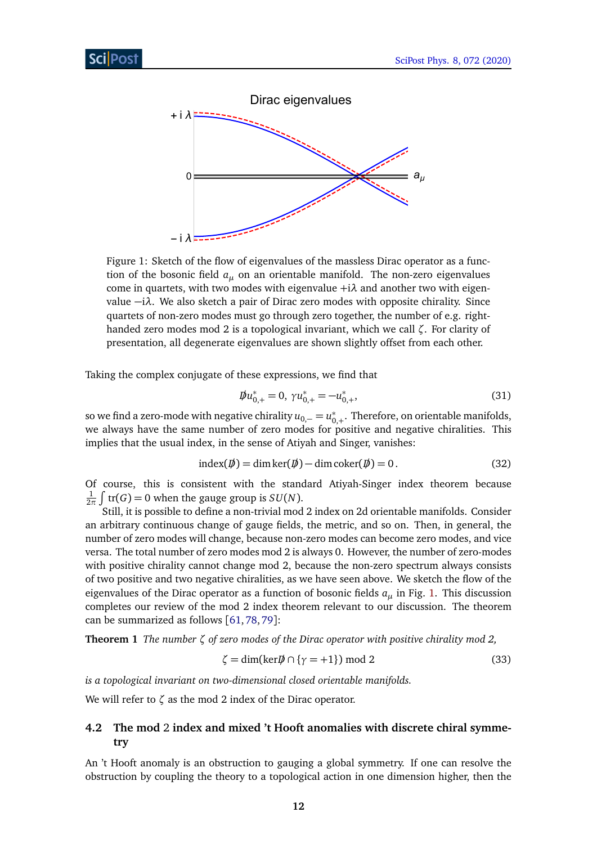<span id="page-11-1"></span>

Figure 1: Sketch of the flow of eigenvalues of the massless Dirac operator as a function of the bosonic field *a<sup>µ</sup>* on an orientable manifold. The non-zero eigenvalues come in quartets, with two modes with eigenvalue +i*λ* and another two with eigenvalue −i*λ*. We also sketch a pair of Dirac zero modes with opposite chirality. Since quartets of non-zero modes must go through zero together, the number of e.g. righthanded zero modes mod 2 is a topological invariant, which we call *ζ*. For clarity of presentation, all degenerate eigenvalues are shown slightly offset from each other.

Taking the complex conjugate of these expressions, we find that

$$
\psi u_{0,+}^{*} = 0, \ \gamma u_{0,+}^{*} = -u_{0,+}^{*}, \tag{31}
$$

so we find a zero-mode with negative chirality  $u_{0,-} = u_0^*$  $_{0,+}^*$ . Therefore, on orientable manifolds, we always have the same number of zero modes for positive and negative chiralities. This implies that the usual index, in the sense of Atiyah and Singer, vanishes:

$$
index(\psi) = dim ker(\psi) - dim coker(\psi) = 0.
$$
\n(32)

Of course, this is consistent with the standard Atiyah-Singer index theorem because 1  $\frac{1}{2\pi} \int tr(G) = 0$  when the gauge group is  $SU(N)$ .

Still, it is possible to define a non-trivial mod 2 index on 2d orientable manifolds. Consider an arbitrary continuous change of gauge fields, the metric, and so on. Then, in general, the number of zero modes will change, because non-zero modes can become zero modes, and vice versa. The total number of zero modes mod 2 is always 0. However, the number of zero-modes with positive chirality cannot change mod 2, because the non-zero spectrum always consists of two positive and two negative chiralities, as we have seen above. We sketch the flow of the eigenvalues of the Dirac operator as a function of bosonic fields *a<sup>µ</sup>* in Fig. [1.](#page-11-1) This discussion completes our review of the mod 2 index theorem relevant to our discussion. The theorem can be summarized as follows [[61,](#page-53-2)[78,](#page-54-3)[79](#page-54-4)]:

**Theorem 1** *The number ζ of zero modes of the Dirac operator with positive chirality mod 2,*

$$
\zeta = \dim(\ker \mathcal{D} \cap \{\gamma = +1\}) \mod 2 \tag{33}
$$

*is a topological invariant on two-dimensional closed orientable manifolds.*

We will refer to *ζ* as the mod 2 index of the Dirac operator.

### <span id="page-11-0"></span>**4.2 The mod** 2 **index and mixed 't Hooft anomalies with discrete chiral symmetry**

An 't Hooft anomaly is an obstruction to gauging a global symmetry. If one can resolve the obstruction by coupling the theory to a topological action in one dimension higher, then the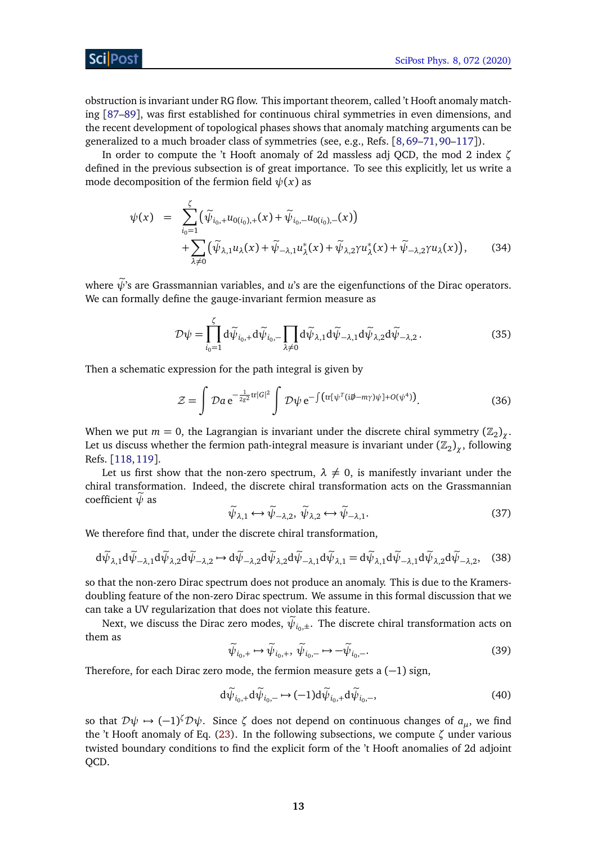obstruction is invariant under RG flow. This important theorem, called 't Hooft anomaly matching [[87–](#page-55-1)[89](#page-55-2)], was first established for continuous chiral symmetries in even dimensions, and the recent development of topological phases shows that anomaly matching arguments can be generalized to a much broader class of symmetries (see, e.g., Refs. [[8,](#page-50-5)[69–](#page-54-1)[71,](#page-54-2)[90–](#page-55-3)[117](#page-57-0)]).

In order to compute the 't Hooft anomaly of 2d massless adj QCD, the mod 2 index *ζ* defined in the previous subsection is of great importance. To see this explicitly, let us write a mode decomposition of the fermion field  $\psi(x)$  as

$$
\psi(x) = \sum_{i_0=1}^{\zeta} (\tilde{\psi}_{i_0,+} u_{0(i_0),+}(x) + \tilde{\psi}_{i_0,-} u_{0(i_0),-}(x)) \n+ \sum_{\lambda \neq 0} (\tilde{\psi}_{\lambda,1} u_{\lambda}(x) + \tilde{\psi}_{-\lambda,1} u_{\lambda}^*(x) + \tilde{\psi}_{\lambda,2} \gamma u_{\lambda}^*(x) + \tilde{\psi}_{-\lambda,2} \gamma u_{\lambda}(x)), \quad (34)
$$

where  $\tilde{\psi}$ 's are Grassmannian variables, and *u*'s are the eigenfunctions of the Dirac operators. We can formally define the gauge-invariant fermion measure as

$$
\mathcal{D}\psi = \prod_{i_0=1}^{\zeta} d\widetilde{\psi}_{i_0,+} d\widetilde{\psi}_{i_0,-} \prod_{\lambda \neq 0} d\widetilde{\psi}_{\lambda,1} d\widetilde{\psi}_{-\lambda,1} d\widetilde{\psi}_{\lambda,2} d\widetilde{\psi}_{-\lambda,2}.
$$
\n(35)

Then a schematic expression for the path integral is given by

$$
\mathcal{Z} = \int \mathcal{D}a \, \mathrm{e}^{-\frac{1}{2g^2} \mathrm{tr}|G|^2} \int \mathcal{D}\psi \, \mathrm{e}^{-\int \left( \mathrm{tr}[\psi^T(i\mathbf{j}\mathbf{k} - m\gamma)\psi] + O(\psi^4) \right)}.
$$
 (36)

When we put  $m = 0$ , the Lagrangian is invariant under the discrete chiral symmetry  $(\mathbb{Z}_2)_{\chi}$ . Let us discuss whether the fermion path-integral measure is invariant under  $(\mathbb{Z}_2)_\chi$ , following Refs. [[118,](#page-57-1)[119](#page-57-2)].

Let us first show that the non-zero spectrum,  $\lambda \neq 0$ , is manifestly invariant under the chiral transformation. Indeed, the discrete chiral transformation acts on the Grassmannian coefficient  $\tilde{\psi}$  as

$$
\widetilde{\psi}_{\lambda,1} \longleftrightarrow \widetilde{\psi}_{-\lambda,2}, \widetilde{\psi}_{\lambda,2} \longleftrightarrow \widetilde{\psi}_{-\lambda,1}. \tag{37}
$$

We therefore find that, under the discrete chiral transformation,

$$
d\widetilde{\psi}_{\lambda,1}d\widetilde{\psi}_{-\lambda,1}d\widetilde{\psi}_{\lambda,2}d\widetilde{\psi}_{-\lambda,2} \to d\widetilde{\psi}_{-\lambda,2}d\widetilde{\psi}_{\lambda,2}d\widetilde{\psi}_{-\lambda,1}d\widetilde{\psi}_{\lambda,1} = d\widetilde{\psi}_{\lambda,1}d\widetilde{\psi}_{-\lambda,1}d\widetilde{\psi}_{\lambda,2}d\widetilde{\psi}_{-\lambda,2}, \quad (38)
$$

so that the non-zero Dirac spectrum does not produce an anomaly. This is due to the Kramersdoubling feature of the non-zero Dirac spectrum. We assume in this formal discussion that we can take a UV regularization that does not violate this feature.

Next, we discuss the Dirac zero modes,  $\psi_{i_0,\pm}$ . The discrete chiral transformation acts on them as

$$
\widetilde{\psi}_{i_0,+} \mapsto \widetilde{\psi}_{i_0,+}, \ \widetilde{\psi}_{i_0,-} \mapsto -\widetilde{\psi}_{i_0,-}.\tag{39}
$$

Therefore, for each Dirac zero mode, the fermion measure gets a  $(-1)$  sign,

$$
d\widetilde{\psi}_{i_0,+}d\widetilde{\psi}_{i_0,-} \mapsto (-1)d\widetilde{\psi}_{i_0,+}d\widetilde{\psi}_{i_0,-},
$$
\n(40)

so that  $\mathcal{D}\psi \mapsto (-1)^{\zeta} \mathcal{D}\psi$ . Since  $\zeta$  does not depend on continuous changes of  $a_{\mu}$ , we find the 't Hooft anomaly of Eq. [\(23\)](#page-9-2). In the following subsections, we compute *ζ* under various twisted boundary conditions to find the explicit form of the 't Hooft anomalies of 2d adjoint QCD.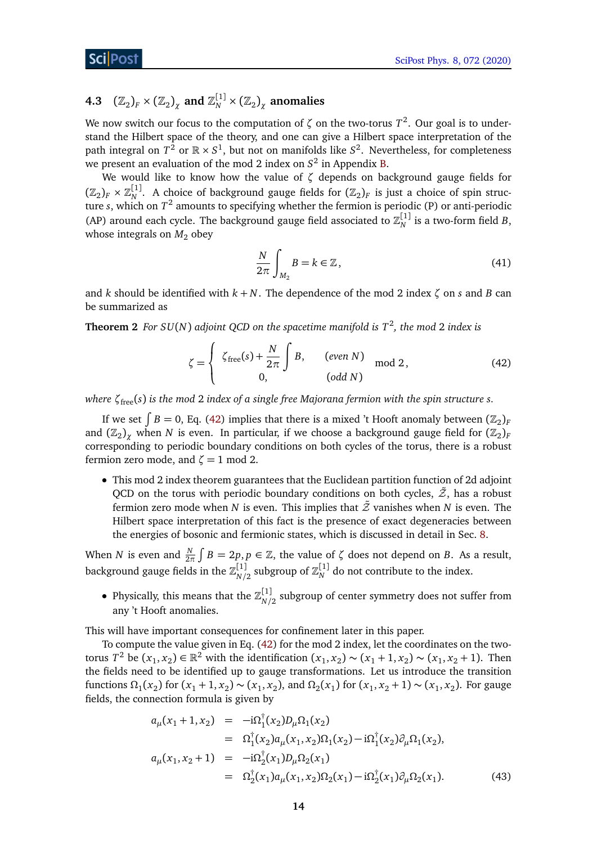# <span id="page-13-0"></span>**4.3**  $(\mathbb{Z}_2)_F \times (\mathbb{Z}_2)_{\chi}$  and  $\mathbb{Z}_N^{[1]} \times (\mathbb{Z}_2)_{\chi}$  anomalies

We now switch our focus to the computation of  $\zeta$  on the two-torus  $T^2$ . Our goal is to understand the Hilbert space of the theory, and one can give a Hilbert space interpretation of the path integral on  $T^2$  or  $\mathbb{R} \times S^1$ , but not on manifolds like  $S^2$ . Nevertheless, for completeness we present an evaluation of the mod 2 index on *S* 2 in Appendix [B.](#page-48-0)

We would like to know how the value of *ζ* depends on background gauge fields for  $(\mathbb{Z}_2)_F \times \mathbb{Z}_N^{[1]}$ . A choice of background gauge fields for  $(\mathbb{Z}_2)_F$  is just a choice of spin structure *s*, which on *T* 2 amounts to specifying whether the fermion is periodic (P) or anti-periodic (AP) around each cycle. The background gauge field associated to  $\mathbb{Z}_N^{[1]}$  is a two-form field *B*, whose integrals on  $M_2$  obey

<span id="page-13-1"></span>
$$
\frac{N}{2\pi} \int_{M_2} B = k \in \mathbb{Z},\tag{41}
$$

and *k* should be identified with  $k + N$ . The dependence of the mod 2 index  $\zeta$  on *s* and *B* can be summarized as

**Theorem 2** *For SU*(*N*) *adjoint QCD on the spacetime manifold is T*<sup>2</sup> *, the mod* 2 *index is*

$$
\zeta = \begin{cases} \zeta_{\text{free}}(s) + \frac{N}{2\pi} \int B, & (even \ N) \\ 0, & (odd \ N) \end{cases} \text{mod } 2, \tag{42}
$$

*where ζ*free(*s*) *is the mod* 2 *index of a single free Majorana fermion with the spin structure s.*

If we set  $\int B = 0$ , Eq. [\(42\)](#page-13-1) implies that there is a mixed 't Hooft anomaly between  $(\mathbb{Z}_2)_F$ and  $\left( \mathbb{Z}_2 \right)_{\chi}$  when  $N$  is even. In particular, if we choose a background gauge field for  $\left( \mathbb{Z}_2 \right)_{F}$ corresponding to periodic boundary conditions on both cycles of the torus, there is a robust fermion zero mode, and  $\zeta = 1$  mod 2.

• This mod 2 index theorem guarantees that the Euclidean partition function of 2d adjoint QCD on the torus with periodic boundary conditions on both cycles,  $\tilde{z}$ , has a robust fermion zero mode when *N* is even. This implies that  $\tilde{Z}$  vanishes when *N* is even. The Hilbert space interpretation of this fact is the presence of exact degeneracies between the energies of bosonic and fermionic states, which is discussed in detail in Sec. [8.](#page-34-0)

When *N* is even and  $\frac{N}{2\pi} \int B = 2p, p \in \mathbb{Z}$ , the value of  $\zeta$  does not depend on *B*. As a result, background gauge fields in the  $\mathbb{Z}_{\frac{N}{2}}^{[1]}$  $\frac{[1]}{N/2}$  subgroup of  $\mathbb{Z}_{N}^{[1]}$  do not contribute to the index.

• Physically, this means that the  $\mathbb{Z}_{N}^{[1]}$  $\frac{N}{10}$  subgroup of center symmetry does not suffer from any 't Hooft anomalies.

This will have important consequences for confinement later in this paper.

To compute the value given in Eq. [\(42\)](#page-13-1) for the mod 2 index, let the coordinates on the twotorus *T*<sup>2</sup> be (*x*<sub>1</sub>, *x*<sub>2</sub>) ∈ ℝ<sup>2</sup> with the identification (*x*<sub>1</sub>, *x*<sub>2</sub>) ∼ (*x*<sub>1</sub> + 1, *x*<sub>2</sub>) ∼ (*x*<sub>1</sub>, *x*<sub>2</sub> + 1). Then the fields need to be identified up to gauge transformations. Let us introduce the transition functions  $\Omega_1(x_2)$  for  $(x_1 + 1, x_2) \sim (x_1, x_2)$ , and  $\Omega_2(x_1)$  for  $(x_1, x_2 + 1) \sim (x_1, x_2)$ . For gauge fields, the connection formula is given by

$$
a_{\mu}(x_1 + 1, x_2) = -i\Omega_1^{\dagger}(x_2)D_{\mu}\Omega_1(x_2)
$$
  
\n
$$
= \Omega_1^{\dagger}(x_2)a_{\mu}(x_1, x_2)\Omega_1(x_2) - i\Omega_1^{\dagger}(x_2)\partial_{\mu}\Omega_1(x_2),
$$
  
\n
$$
a_{\mu}(x_1, x_2 + 1) = -i\Omega_2^{\dagger}(x_1)D_{\mu}\Omega_2(x_1)
$$
  
\n
$$
= \Omega_2^{\dagger}(x_1)a_{\mu}(x_1, x_2)\Omega_2(x_1) - i\Omega_2^{\dagger}(x_1)\partial_{\mu}\Omega_2(x_1).
$$
 (43)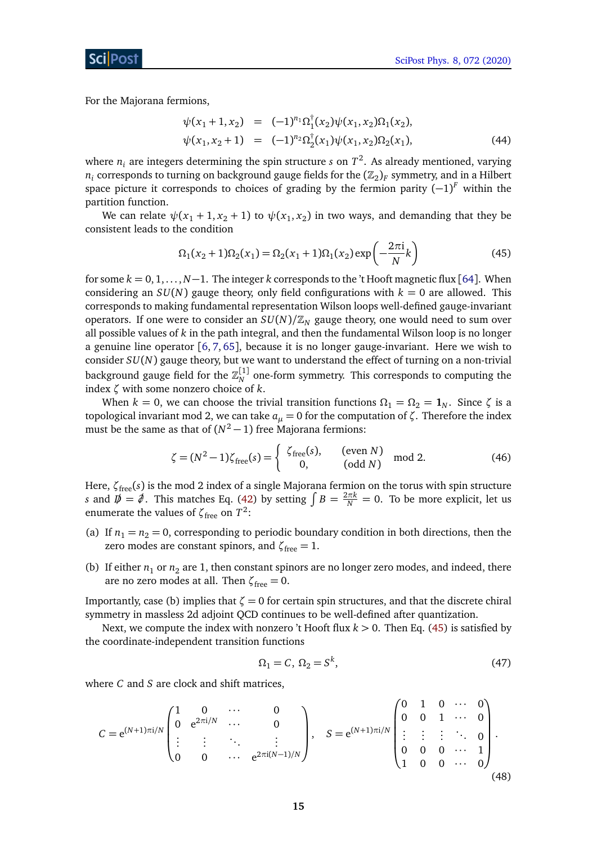For the Majorana fermions,

$$
\psi(x_1 + 1, x_2) = (-1)^{n_1} \Omega_1^{\dagger}(x_2) \psi(x_1, x_2) \Omega_1(x_2),
$$
  
\n
$$
\psi(x_1, x_2 + 1) = (-1)^{n_2} \Omega_2^{\dagger}(x_1) \psi(x_1, x_2) \Omega_2(x_1),
$$
\n(44)

where  $n_i$  are integers determining the spin structure *s* on  $T^2$ . As already mentioned, varying  $n_i$  corresponds to turning on background gauge fields for the  $(\mathbb{Z}_2)_F$  symmetry, and in a Hilbert space picture it corresponds to choices of grading by the fermion parity (−1) *<sup>F</sup>* within the partition function.

We can relate  $\psi(x_1 + 1, x_2 + 1)$  to  $\psi(x_1, x_2)$  in two ways, and demanding that they be consistent leads to the condition

<span id="page-14-0"></span>
$$
\Omega_1(x_2 + 1)\Omega_2(x_1) = \Omega_2(x_1 + 1)\Omega_1(x_2) \exp\left(-\frac{2\pi i}{N}k\right)
$$
\n(45)

for some *k* = 0, 1, . . . ,*N*−1. The integer *k* corresponds to the 't Hooft magnetic flux [[64](#page-53-4)]. When considering an  $SU(N)$  gauge theory, only field configurations with  $k = 0$  are allowed. This corresponds to making fundamental representation Wilson loops well-defined gauge-invariant operators. If one were to consider an  $SU(N)/\mathbb{Z}_N$  gauge theory, one would need to sum over all possible values of *k* in the path integral, and then the fundamental Wilson loop is no longer a genuine line operator [[6,](#page-50-4) [7,](#page-50-12) [65](#page-53-6)], because it is no longer gauge-invariant. Here we wish to consider *SU*(*N*) gauge theory, but we want to understand the effect of turning on a non-trivial background gauge field for the  $\mathbb{Z}_N^{[1]}$  one-form symmetry. This corresponds to computing the index *ζ* with some nonzero choice of *k*.

When  $k = 0$ , we can choose the trivial transition functions  $\Omega_1 = \Omega_2 = \mathbf{1}_N$ . Since  $\zeta$  is a topological invariant mod 2, we can take  $a<sub>μ</sub> = 0$  for the computation of  $ζ$ . Therefore the index must be the same as that of  $(N^2-1)$  free Majorana fermions:

$$
\zeta = (N^2 - 1)\zeta_{\text{free}}(s) = \begin{cases} \zeta_{\text{free}}(s), & \text{(even } N) \\ 0, & \text{(odd } N) \end{cases} \quad \text{mod } 2. \tag{46}
$$

Here,  $\zeta$ <sub>free</sub>(*s*) is the mod 2 index of a single Majorana fermion on the torus with spin structure *s* and  $\bar{p} = \hat{\phi}$ . This matches Eq. [\(42\)](#page-13-1) by setting  $\int B = \frac{2\pi k}{N} = 0$ . To be more explicit, let us enumerate the values of  $\zeta_{\text{free}}$  on  $T^2$ :

- (a) If  $n_1 = n_2 = 0$ , corresponding to periodic boundary condition in both directions, then the zero modes are constant spinors, and  $\zeta_{\text{free}} = 1$ .
- (b) If either  $n_1$  or  $n_2$  are 1, then constant spinors are no longer zero modes, and indeed, there are no zero modes at all. Then  $\zeta_{\text{free}} = 0$ .

Importantly, case (b) implies that  $\zeta = 0$  for certain spin structures, and that the discrete chiral symmetry in massless 2d adjoint QCD continues to be well-defined after quantization.

Next, we compute the index with nonzero 't Hooft flux *k >* 0. Then Eq. [\(45\)](#page-14-0) is satisfied by the coordinate-independent transition functions

$$
\Omega_1 = C, \ \Omega_2 = S^k,\tag{47}
$$

where *C* and *S* are clock and shift matrices,

$$
C = e^{(N+1)\pi i/N} \begin{pmatrix} 1 & 0 & \cdots & 0 \\ 0 & e^{2\pi i/N} & \cdots & 0 \\ \vdots & \vdots & \ddots & \vdots \\ 0 & 0 & \cdots & e^{2\pi i(N-1)/N} \end{pmatrix}, \quad S = e^{(N+1)\pi i/N} \begin{pmatrix} 0 & 1 & 0 & \cdots & 0 \\ 0 & 0 & 1 & \cdots & 0 \\ \vdots & \vdots & \vdots & \ddots & 0 \\ 0 & 0 & 0 & \cdots & 1 \\ 1 & 0 & 0 & \cdots & 0 \end{pmatrix}.
$$
\n(48)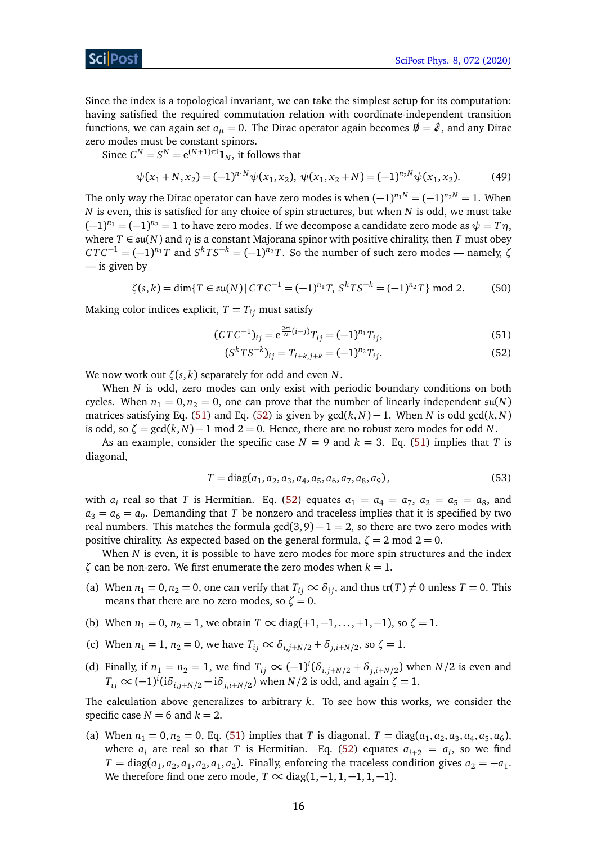### ScilPost

Since the index is a topological invariant, we can take the simplest setup for its computation: having satisfied the required commutation relation with coordinate-independent transition functions, we can again set  $a_{\mu} = 0$ . The Dirac operator again becomes  $\phi = \phi$ , and any Dirac zero modes must be constant spinors.

Since  $C^N = S^N = e^{(N+1)\pi i} \mathbf{1}_N$ , it follows that

$$
\psi(x_1 + N, x_2) = (-1)^{n_1 N} \psi(x_1, x_2), \ \psi(x_1, x_2 + N) = (-1)^{n_2 N} \psi(x_1, x_2). \tag{49}
$$

The only way the Dirac operator can have zero modes is when  $(-1)^{n_1N} = (-1)^{n_2N} = 1$ . When *N* is even, this is satisfied for any choice of spin structures, but when *N* is odd, we must take  $(-1)^{n_1} = (-1)^{n_2} = 1$  to have zero modes. If we decompose a candidate zero mode as  $\psi = T\eta$ , where  $T \in \mathfrak{su}(N)$  and  $\eta$  is a constant Majorana spinor with positive chirality, then *T* must obey  $CTC^{-1} = (-1)^{n_1}T$  and  $S^kTS^{-k} = (-1)^{n_2}T$ . So the number of such zero modes — namely,  $\zeta$ — is given by

 $\zeta(s,k) = \dim\{T \in \mathfrak{su}(N) | CTC^{-1} = (-1)^{n_1}T, S^k TS^{-k} = (-1)^{n_2}T\} \mod 2.$  (50)

Making color indices explicit,  $T = T_{ij}$  must satisfy

$$
(CTC^{-1})_{ij} = e^{\frac{2\pi i}{N}(i-j)}T_{ij} = (-1)^{n_1}T_{ij},
$$
\n(51)

<span id="page-15-1"></span><span id="page-15-0"></span>
$$
(S^{k}TS^{-k})_{ij} = T_{i+k,j+k} = (-1)^{n_2}T_{ij}.
$$
 (52)

We now work out *ζ*(*s*, *k*) separately for odd and even *N*.

When *N* is odd, zero modes can only exist with periodic boundary conditions on both cycles. When  $n_1 = 0, n_2 = 0$ , one can prove that the number of linearly independent  $\mathfrak{su}(N)$ matrices satisfying Eq. [\(51\)](#page-15-0) and Eq. [\(52\)](#page-15-1) is given by  $gcd(k, N) - 1$ . When *N* is odd  $gcd(k, N)$ is odd, so  $\zeta = \gcd(k, N) - 1 \mod 2 = 0$ . Hence, there are no robust zero modes for odd *N*.

As an example, consider the specific case  $N = 9$  and  $k = 3$ . Eq. [\(51\)](#page-15-0) implies that *T* is diagonal,

$$
T = diag(a_1, a_2, a_3, a_4, a_5, a_6, a_7, a_8, a_9),
$$
\n(53)

with  $a_i$  real so that *T* is Hermitian. Eq. [\(52\)](#page-15-1) equates  $a_1 = a_4 = a_7$ ,  $a_2 = a_5 = a_8$ , and  $a_3 = a_6 = a_9$ . Demanding that *T* be nonzero and traceless implies that it is specified by two real numbers. This matches the formula  $gcd(3, 9) - 1 = 2$ , so there are two zero modes with positive chirality. As expected based on the general formula,  $\zeta = 2 \text{ mod } 2 = 0$ .

When *N* is even, it is possible to have zero modes for more spin structures and the index *ζ* can be non-zero. We first enumerate the zero modes when  $k = 1$ .

- (a) When  $n_1 = 0$ ,  $n_2 = 0$ , one can verify that  $T_{ij} \propto \delta_{ij}$ , and thus tr(*T*)  $\neq 0$  unless *T* = 0. This means that there are no zero modes, so  $\zeta = 0$ .
- (b) When  $n_1 = 0$ ,  $n_2 = 1$ , we obtain  $T \propto diag(+1, -1, \ldots, +1, -1)$ , so  $\zeta = 1$ .
- (c) When  $n_1 = 1$ ,  $n_2 = 0$ , we have  $T_{ij} \propto \delta_{i,j+N/2} + \delta_{j,i+N/2}$ , so  $\zeta = 1$ .
- (d) Finally, if  $n_1 = n_2 = 1$ , we find  $T_{ij} \propto (-1)^i (\delta_{i,j+N/2} + \delta_{j,i+N/2})$  when  $N/2$  is even and  $T_{ij} \propto (-1)^i (i\delta_{i,j+N/2} - i\delta_{j,i+N/2})$  when *N*/2 is odd, and again  $\zeta = 1$ .

The calculation above generalizes to arbitrary *k*. To see how this works, we consider the specific case  $N = 6$  and  $k = 2$ .

(a) When  $n_1 = 0, n_2 = 0$ , Eq. [\(51\)](#page-15-0) implies that *T* is diagonal,  $T = diag(a_1, a_2, a_3, a_4, a_5, a_6)$ , where  $a_i$  are real so that *T* is Hermitian. Eq. [\(52\)](#page-15-1) equates  $a_{i+2} = a_i$ , so we find  $T = \text{diag}(a_1, a_2, a_1, a_2, a_1, a_2)$ . Finally, enforcing the traceless condition gives  $a_2 = -a_1$ . We therefore find one zero mode,  $T \propto diag(1, -1, 1, -1, 1, -1)$ .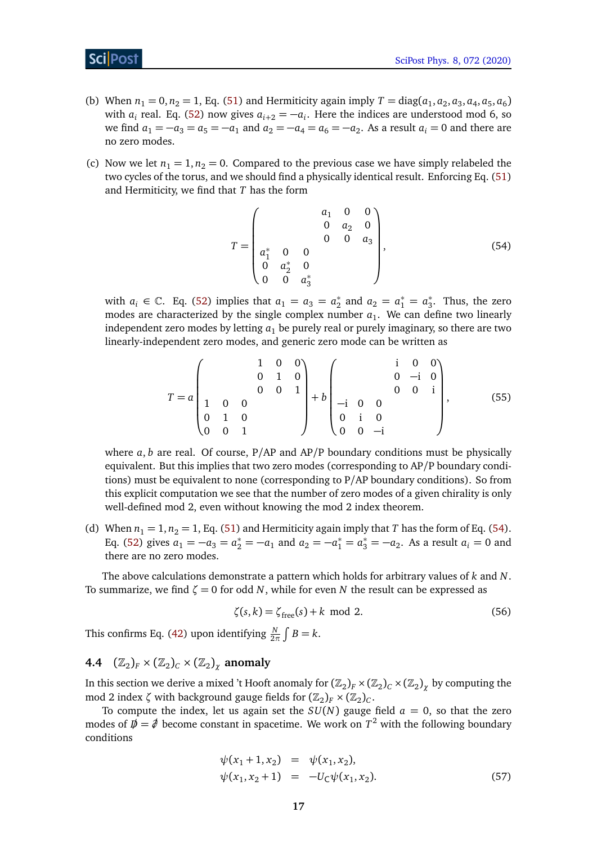### ScilPost

- (b) When  $n_1 = 0, n_2 = 1$ , Eq. [\(51\)](#page-15-0) and Hermiticity again imply  $T = diag(a_1, a_2, a_3, a_4, a_5, a_6)$ with  $a_i$  real. Eq. [\(52\)](#page-15-1) now gives  $a_{i+2} = -a_i$ . Here the indices are understood mod 6, so we find  $a_1 = -a_3 = a_5 = -a_1$  and  $a_2 = -a_4 = a_6 = -a_2$ . As a result  $a_i = 0$  and there are no zero modes.
- (c) Now we let  $n_1 = 1, n_2 = 0$ . Compared to the previous case we have simply relabeled the two cycles of the torus, and we should find a physically identical result. Enforcing Eq. [\(51\)](#page-15-0) and Hermiticity, we find that *T* has the form

<span id="page-16-1"></span>
$$
T = \begin{pmatrix} a_1 & 0 & 0 \\ 0 & a_2 & 0 \\ a_1^* & 0 & 0 & 0 \\ 0 & a_2^* & 0 & 0 \\ 0 & 0 & a_3^* \end{pmatrix}, \tag{54}
$$

with  $a_i \in \mathbb{C}$ . Eq. [\(52\)](#page-15-1) implies that  $a_1 = a_3 = a_2^*$  $a_2^*$  and  $a_2 = a_1^* = a_3^*$  $\frac{1}{3}$ . Thus, the zero modes are characterized by the single complex number  $a_1$ . We can define two linearly independent zero modes by letting  $a_1$  be purely real or purely imaginary, so there are two linearly-independent zero modes, and generic zero mode can be written as

$$
T = a \begin{pmatrix} 1 & 0 & 0 \\ 0 & 1 & 0 \\ 1 & 0 & 0 & 1 \\ 0 & 1 & 0 & 0 \\ 0 & 0 & 1 & 0 \end{pmatrix} + b \begin{pmatrix} i & 0 & 0 \\ 0 & -i & 0 \\ -i & 0 & 0 & i \\ 0 & i & 0 & 0 \\ 0 & 0 & -i & 0 \end{pmatrix},
$$
(55)

where  $a, b$  are real. Of course,  $P/AP$  and  $AP/P$  boundary conditions must be physically equivalent. But this implies that two zero modes (corresponding to AP/P boundary conditions) must be equivalent to none (corresponding to P/AP boundary conditions). So from this explicit computation we see that the number of zero modes of a given chirality is only well-defined mod 2, even without knowing the mod 2 index theorem.

(d) When  $n_1 = 1$ ,  $n_2 = 1$ , Eq. [\(51\)](#page-15-0) and Hermiticity again imply that *T* has the form of Eq. [\(54\)](#page-16-1). Eq. [\(52\)](#page-15-1) gives  $a_1 = -a_3 = a_2^* = -a_1$  and  $a_2 = -a_1^* = a_3^* = -a_2$ . As a result  $a_i = 0$  and there are no zero modes.

The above calculations demonstrate a pattern which holds for arbitrary values of *k* and *N*. To summarize, we find  $\zeta = 0$  for odd *N*, while for even *N* the result can be expressed as

$$
\zeta(s,k) = \zeta_{\text{free}}(s) + k \text{ mod } 2. \tag{56}
$$

This confirms Eq. [\(42\)](#page-13-1) upon identifying  $\frac{N}{2\pi} \int B = k$ .

# <span id="page-16-0"></span>**4.4**  $(\mathbb{Z}_2)_F \times (\mathbb{Z}_2)_C \times (\mathbb{Z}_2)_\chi$  anomaly

In this section we derive a mixed 't Hooft anomaly for  $(\mathbb{Z}_2)_F\times(\mathbb{Z}_2)_C\times(\mathbb{Z}_2)_\chi$  by computing the mod 2 index  $\zeta$  with background gauge fields for  $(\mathbb{Z}_2)_F \times (\mathbb{Z}_2)_C$ .

To compute the index, let us again set the  $SU(N)$  gauge field  $a = 0$ , so that the zero modes of  $\not{\!\! D} = \partial / \partial$  become constant in spacetime. We work on  $T^2$  with the following boundary conditions

$$
\psi(x_1 + 1, x_2) = \psi(x_1, x_2), \n\psi(x_1, x_2 + 1) = -U_C \psi(x_1, x_2).
$$
\n(57)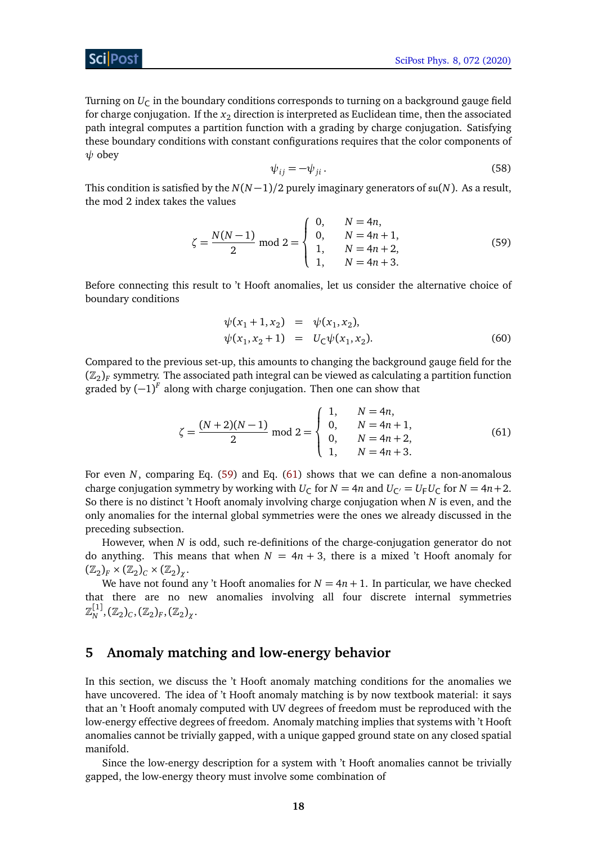Turning on  $U_{\mathsf{C}}$  in the boundary conditions corresponds to turning on a background gauge field for charge conjugation. If the  $x_2$  direction is interpreted as Euclidean time, then the associated path integral computes a partition function with a grading by charge conjugation. Satisfying these boundary conditions with constant configurations requires that the color components of *ψ* obey

<span id="page-17-1"></span>
$$
\psi_{ij} = -\psi_{ji}.
$$
\n(58)

This condition is satisfied by the  $N(N-1)/2$  purely imaginary generators of  $\mathfrak{su}(N)$ . As a result, the mod 2 index takes the values

$$
\zeta = \frac{N(N-1)}{2} \text{ mod } 2 = \begin{cases} 0, & N = 4n, \\ 0, & N = 4n+1, \\ 1, & N = 4n+2, \\ 1, & N = 4n+3. \end{cases} \tag{59}
$$

Before connecting this result to 't Hooft anomalies, let us consider the alternative choice of boundary conditions

<span id="page-17-2"></span>
$$
\psi(x_1 + 1, x_2) = \psi(x_1, x_2), \n\psi(x_1, x_2 + 1) = U_C \psi(x_1, x_2).
$$
\n(60)

Compared to the previous set-up, this amounts to changing the background gauge field for the  $(\mathbb{Z}_2)_F$  symmetry. The associated path integral can be viewed as calculating a partition function graded by  $(-1)^F$  along with charge conjugation. Then one can show that

$$
\zeta = \frac{(N+2)(N-1)}{2} \text{ mod } 2 = \begin{cases} 1, & N = 4n, \\ 0, & N = 4n+1, \\ 0, & N = 4n+2, \\ 1, & N = 4n+3. \end{cases}
$$
(61)

For even *N*, comparing Eq. [\(59\)](#page-17-1) and Eq. [\(61\)](#page-17-2) shows that we can define a non-anomalous charge conjugation symmetry by working with  $U_C$  for  $N = 4n$  and  $U_{C} = U_F U_C$  for  $N = 4n + 2$ . So there is no distinct 't Hooft anomaly involving charge conjugation when *N* is even, and the only anomalies for the internal global symmetries were the ones we already discussed in the preceding subsection.

However, when *N* is odd, such re-definitions of the charge-conjugation generator do not do anything. This means that when  $N = 4n + 3$ , there is a mixed 't Hooft anomaly for  $(\mathbb{Z}_2)_F \times (\mathbb{Z}_2)_C \times (\mathbb{Z}_2)_\chi.$ 

We have not found any 't Hooft anomalies for  $N = 4n + 1$ . In particular, we have checked that there are no new anomalies involving all four discrete internal symmetries  $\mathbb{Z}_{N}^{\llbracket 1 \rrbracket},(\mathbb{Z}_{2})_{C},(\mathbb{Z}_{2})_{F},(\mathbb{Z}_{2})_{\chi}.$ 

### <span id="page-17-0"></span>**5 Anomaly matching and low-energy behavior**

In this section, we discuss the 't Hooft anomaly matching conditions for the anomalies we have uncovered. The idea of 't Hooft anomaly matching is by now textbook material: it says that an 't Hooft anomaly computed with UV degrees of freedom must be reproduced with the low-energy effective degrees of freedom. Anomaly matching implies that systems with 't Hooft anomalies cannot be trivially gapped, with a unique gapped ground state on any closed spatial manifold.

Since the low-energy description for a system with 't Hooft anomalies cannot be trivially gapped, the low-energy theory must involve some combination of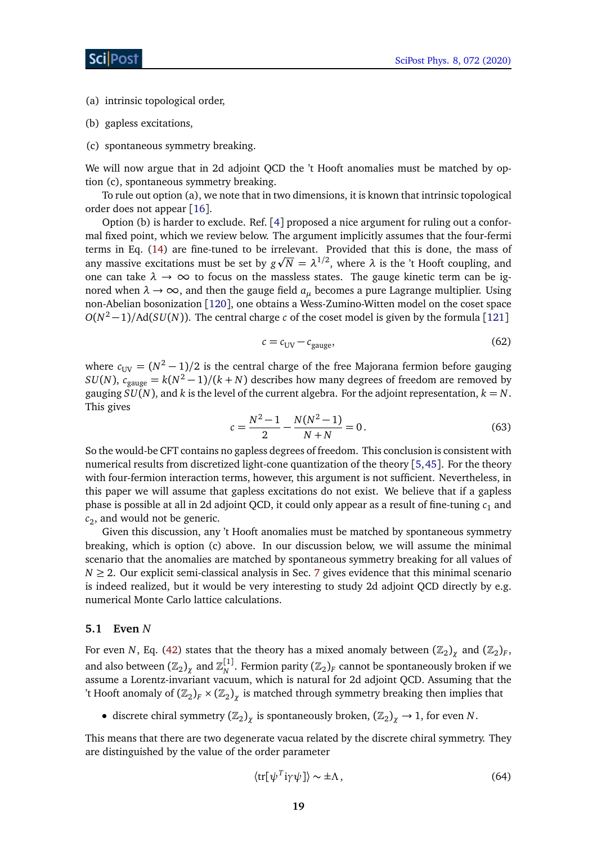- (a) intrinsic topological order,
- (b) gapless excitations,
- (c) spontaneous symmetry breaking.

We will now argue that in 2d adjoint QCD the 't Hooft anomalies must be matched by option (c), spontaneous symmetry breaking.

To rule out option (a), we note that in two dimensions, it is known that intrinsic topological order does not appear [[16](#page-50-11)].

Option (b) is harder to exclude. Ref. [[4](#page-50-14)] proposed a nice argument for ruling out a conformal fixed point, which we review below. The argument implicitly assumes that the four-fermi terms in Eq. [\(14\)](#page-5-2) are fine-tuned to be irrelevant. Provided that this is done, the mass of p any massive excitations must be set by  $g\sqrt{N} = \lambda^{1/2}$ , where  $\lambda$  is the 't Hooft coupling, and one can take  $\lambda \to \infty$  to focus on the massless states. The gauge kinetic term can be ignored when  $\lambda \to \infty$ , and then the gauge field  $a_\mu$  becomes a pure Lagrange multiplier. Using non-Abelian bosonization [[120](#page-57-3)], one obtains a Wess-Zumino-Witten model on the coset space *O*(*N*<sup>2</sup> − 1)/Ad(*SU*(*N*)). The central charge *c* of the coset model is given by the formula [[121](#page-57-4)]

$$
c = c_{UV} - c_{gauge},\tag{62}
$$

where  $c_{UV} = (N^2 - 1)/2$  is the central charge of the free Majorana fermion before gauging *SU*(*N*),  $c_{\text{gauge}} = k(N^2 - 1)/(k + N)$  describes how many degrees of freedom are removed by gauging  $SU(N)$ , and *k* is the level of the current algebra. For the adjoint representation,  $k = N$ . This gives

$$
c = \frac{N^2 - 1}{2} - \frac{N(N^2 - 1)}{N + N} = 0.
$$
\n(63)

So the would-be CFT contains no gapless degrees of freedom. This conclusion is consistent with numerical results from discretized light-cone quantization of the theory [[5,](#page-50-3)[45](#page-52-1)]. For the theory with four-fermion interaction terms, however, this argument is not sufficient. Nevertheless, in this paper we will assume that gapless excitations do not exist. We believe that if a gapless phase is possible at all in 2d adjoint QCD, it could only appear as a result of fine-tuning *c*<sup>1</sup> and *c*2 , and would not be generic.

Given this discussion, any 't Hooft anomalies must be matched by spontaneous symmetry breaking, which is option (c) above. In our discussion below, we will assume the minimal scenario that the anomalies are matched by spontaneous symmetry breaking for all values of  $N \geq 2$ . Our explicit semi-classical analysis in Sec. [7](#page-23-0) gives evidence that this minimal scenario is indeed realized, but it would be very interesting to study 2d adjoint QCD directly by e.g. numerical Monte Carlo lattice calculations.

#### <span id="page-18-0"></span>**5.1 Even** *N*

For even *N*, Eq. [\(42\)](#page-13-1) states that the theory has a mixed anomaly between  $(\mathbb{Z}_2)_\chi$  and  $(\mathbb{Z}_2)_F$ , and also between  $(\mathbb{Z}_2)_\chi$  and  $\mathbb{Z}_N^{[1]}$ . Fermion parity  $(\mathbb{Z}_2)_F$  cannot be spontaneously broken if we assume a Lorentz-invariant vacuum, which is natural for 2d adjoint QCD. Assuming that the 't Hooft anomaly of  $(\mathbb{Z}_2)_F \times (\mathbb{Z}_2)_\chi$  is matched through symmetry breaking then implies that

• discrete chiral symmetry  $(\mathbb{Z}_2)_{\chi}$  is spontaneously broken,  $(\mathbb{Z}_2)_{\chi} \to 1$ , for even *N*.

This means that there are two degenerate vacua related by the discrete chiral symmetry. They are distinguished by the value of the order parameter

$$
\langle \text{tr}[\psi^T \text{i}\gamma \psi] \rangle \sim \pm \Lambda, \tag{64}
$$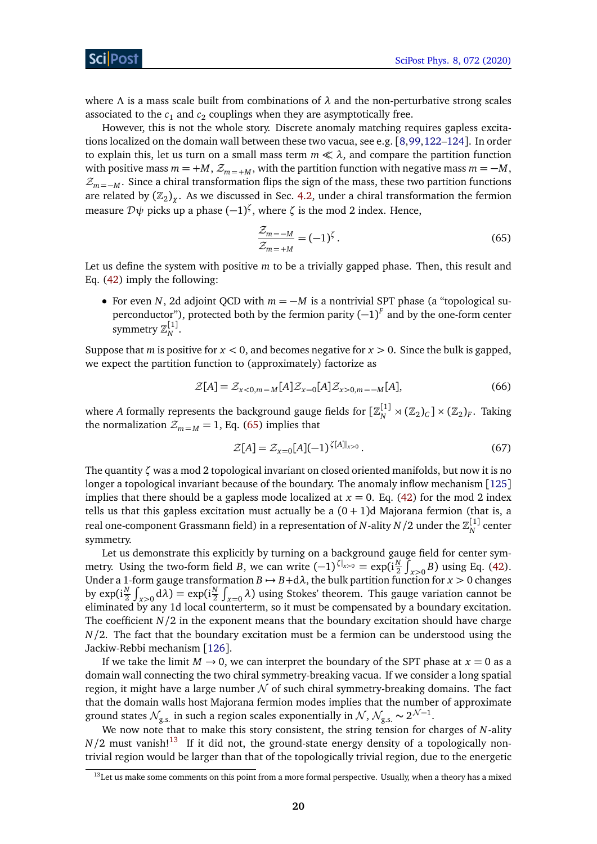ScilPos<sup>.</sup>

where *Λ* is a mass scale built from combinations of *λ* and the non-perturbative strong scales associated to the  $c_1$  and  $c_2$  couplings when they are asymptotically free.

However, this is not the whole story. Discrete anomaly matching requires gapless excitations localized on the domain wall between these two vacua, see e.g. [[8,](#page-50-5)[99,](#page-55-4)[122](#page-57-5)[–124](#page-57-6)]. In order to explain this, let us turn on a small mass term  $m \ll \lambda$ , and compare the partition function with positive mass  $m = +M$ ,  $\mathcal{Z}_{m} = +M$ , with the partition function with negative mass  $m = -M$ ,  $\mathcal{Z}_{m=-M}$ . Since a chiral transformation flips the sign of the mass, these two partition functions are related by  $(\mathbb{Z}_2)_{\chi}$ . As we discussed in Sec. [4.2,](#page-11-0) under a chiral transformation the fermion measure D*ψ* picks up a phase (−1) *ζ* , where *ζ* is the mod 2 index. Hence,

<span id="page-19-0"></span>
$$
\frac{\mathcal{Z}_{m=-M}}{\mathcal{Z}_{m=+M}} = (-1)^{\zeta}.
$$
\n(65)

Let us define the system with positive *m* to be a trivially gapped phase. Then, this result and Eq. [\(42\)](#page-13-1) imply the following:

• For even *N*, 2d adjoint QCD with  $m = -M$  is a nontrivial SPT phase (a "topological superconductor"), protected both by the fermion parity  $(-1)^F$  and by the one-form center symmetry  $\mathbb{Z}_N^{[1]}.$ 

Suppose that *m* is positive for  $x < 0$ , and becomes negative for  $x > 0$ . Since the bulk is gapped, we expect the partition function to (approximately) factorize as

$$
\mathcal{Z}[A] = \mathcal{Z}_{x<0,m=M}[A]\mathcal{Z}_{x=0}[A]\mathcal{Z}_{x>0,m=-M}[A],\tag{66}
$$

where *A* formally represents the background gauge fields for  $[\mathbb{Z}_N^{[1]}\rtimes(\mathbb{Z}_2)_C]\times(\mathbb{Z}_2)_F$ . Taking the normalization  $\mathcal{Z}_{m=M} = 1$ , Eq. [\(65\)](#page-19-0) implies that

$$
\mathcal{Z}[A] = \mathcal{Z}_{x=0}[A](-1)^{\zeta[A]|_{x>0}}.
$$
\n(67)

The quantity *ζ* was a mod 2 topological invariant on closed oriented manifolds, but now it is no longer a topological invariant because of the boundary. The anomaly inflow mechanism [[125](#page-57-7)] implies that there should be a gapless mode localized at  $x = 0$ . Eq. [\(42\)](#page-13-1) for the mod 2 index tells us that this gapless excitation must actually be a  $(0 + 1)d$  Majorana fermion (that is, a real one-component Grassmann field) in a representation of *N*-ality  $N/2$  under the  $\mathbb{Z}_N^{[1]}$  center symmetry.

Let us demonstrate this explicitly by turning on a background gauge field for center symmetry. Using the two-form field *B*, we can write  $(-1)^{\zeta|_{x>0}} = \exp(i\frac{N}{2})$  $\frac{N}{2} \int_{x>0}^{x} B$ ) using Eq. [\(42\)](#page-13-1). Under a 1-form gauge transformation  $B \mapsto B + d\lambda$ , the bulk partition function for  $x > 0$  changes by  $\exp(\mathrm{i}\frac{N}{2})$  $\frac{N}{2}\int_{x>0} d\lambda$ ) = exp(i $\frac{N}{2}$  $\frac{N}{2} \int_{x=0}^{\infty} \lambda$ ) using Stokes' theorem. This gauge variation cannot be eliminated by any 1d local counterterm, so it must be compensated by a boundary excitation. The coefficient  $N/2$  in the exponent means that the boundary excitation should have charge *N/*2. The fact that the boundary excitation must be a fermion can be understood using the Jackiw-Rebbi mechanism [[126](#page-57-8)].

If we take the limit  $M \to 0$ , we can interpret the boundary of the SPT phase at  $x = 0$  as a domain wall connecting the two chiral symmetry-breaking vacua. If we consider a long spatial region, it might have a large number  $\mathcal N$  of such chiral symmetry-breaking domains. The fact that the domain walls host Majorana fermion modes implies that the number of approximate ground states  $\mathcal{N}_{\rm g.s.}$  in such a region scales exponentially in  $\mathcal{N},\, \mathcal{N}_{\rm g.s.}\sim 2^{\mathcal{N}-1}.$ 

We now note that to make this story consistent, the string tension for charges of *N*-ality  $N/2$  must vanish!<sup>[13](#page-19-1)</sup> If it did not, the ground-state energy density of a topologically nontrivial region would be larger than that of the topologically trivial region, due to the energetic

<span id="page-19-1"></span><sup>&</sup>lt;sup>13</sup>Let us make some comments on this point from a more formal perspective. Usually, when a theory has a mixed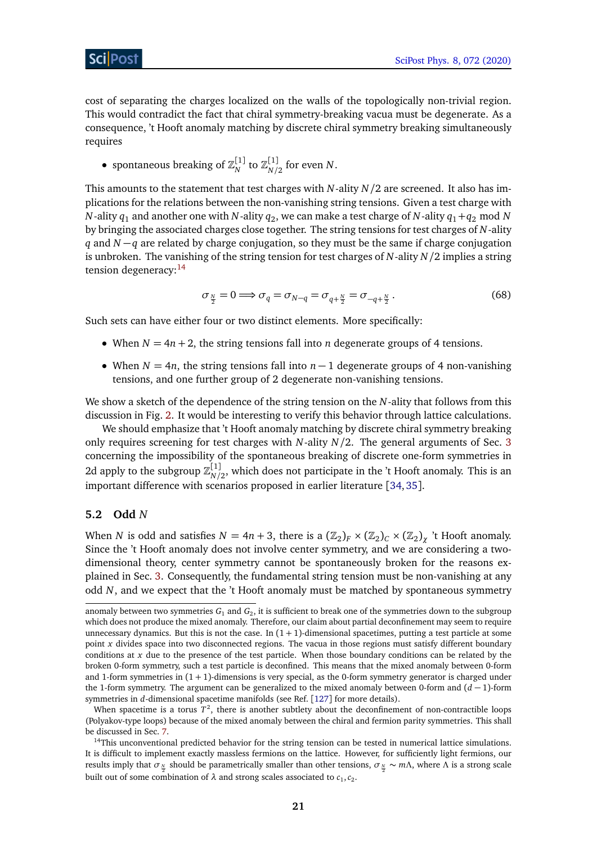cost of separating the charges localized on the walls of the topologically non-trivial region. This would contradict the fact that chiral symmetry-breaking vacua must be degenerate. As a consequence, 't Hooft anomaly matching by discrete chiral symmetry breaking simultaneously requires

• spontaneous breaking of  $\mathbb{Z}_N^{[1]}$  to  $\mathbb{Z}_{N/2}^{[1]}$  $N/2$  for even *N*.

This amounts to the statement that test charges with *N*-ality *N/*2 are screened. It also has implications for the relations between the non-vanishing string tensions. Given a test charge with  $N$ -ality  $q_1$  and another one with  $N$ -ality  $q_2$ , we can make a test charge of  $N$ -ality  $q_1\!+\!q_2$  mod  $N$ by bringing the associated charges close together. The string tensions for test charges of *N*-ality *q* and *N* −*q* are related by charge conjugation, so they must be the same if charge conjugation is unbroken. The vanishing of the string tension for test charges of *N*-ality *N/*2 implies a string tension degeneracy:<sup>[14](#page-20-1)</sup>

$$
\sigma_{\frac{N}{2}} = 0 \Longrightarrow \sigma_q = \sigma_{N-q} = \sigma_{q+\frac{N}{2}} = \sigma_{-q+\frac{N}{2}}.
$$
\n(68)

Such sets can have either four or two distinct elements. More specifically:

- When  $N = 4n + 2$ , the string tensions fall into *n* degenerate groups of 4 tensions.
- When  $N = 4n$ , the string tensions fall into  $n 1$  degenerate groups of 4 non-vanishing tensions, and one further group of 2 degenerate non-vanishing tensions.

We show a sketch of the dependence of the string tension on the *N*-ality that follows from this discussion in Fig. [2.](#page-21-0) It would be interesting to verify this behavior through lattice calculations.

We should emphasize that 't Hooft anomaly matching by discrete chiral symmetry breaking only requires screening for test charges with *N*-ality *N/*2. The general arguments of Sec. [3](#page-6-0) concerning the impossibility of the spontaneous breaking of discrete one-form symmetries in 2d apply to the subgroup  $\mathbb{Z}_{N}^{[1]}$  $N/2$ , which does not participate in the 't Hooft anomaly. This is an important difference with scenarios proposed in earlier literature [[34,](#page-52-2)[35](#page-52-0)].

### <span id="page-20-0"></span>**5.2 Odd** *N*

When *N* is odd and satisfies  $N = 4n + 3$ , there is a  $(\mathbb{Z}_2)_F \times (\mathbb{Z}_2)_C \times (\mathbb{Z}_2)_\chi$  't Hooft anomaly. Since the 't Hooft anomaly does not involve center symmetry, and we are considering a twodimensional theory, center symmetry cannot be spontaneously broken for the reasons explained in Sec. [3.](#page-6-0) Consequently, the fundamental string tension must be non-vanishing at any odd *N*, and we expect that the 't Hooft anomaly must be matched by spontaneous symmetry

anomaly between two symmetries *G*<sup>1</sup> and *G*<sup>2</sup> , it is sufficient to break one of the symmetries down to the subgroup which does not produce the mixed anomaly. Therefore, our claim about partial deconfinement may seem to require unnecessary dynamics. But this is not the case. In  $(1 + 1)$ -dimensional spacetimes, putting a test particle at some point *x* divides space into two disconnected regions. The vacua in those regions must satisfy different boundary conditions at *x* due to the presence of the test particle. When those boundary conditions can be related by the broken 0-form symmetry, such a test particle is deconfined. This means that the mixed anomaly between 0-form and 1-form symmetries in  $(1 + 1)$ -dimensions is very special, as the 0-form symmetry generator is charged under the 1-form symmetry. The argument can be generalized to the mixed anomaly between 0-form and (*d* − 1)-form symmetries in *d*-dimensional spacetime manifolds (see Ref. [[127](#page-57-9)] for more details).

When spacetime is a torus  $T^2$ , there is another subtlety about the deconfinement of non-contractible loops (Polyakov-type loops) because of the mixed anomaly between the chiral and fermion parity symmetries. This shall be discussed in Sec. [7.](#page-23-0)

<span id="page-20-1"></span> $14$ This unconventional predicted behavior for the string tension can be tested in numerical lattice simulations. It is difficult to implement exactly massless fermions on the lattice. However, for sufficiently light fermions, our results imply that  $\sigma_{\frac{N}{2}}$  should be parametrically smaller than other tensions,  $\sigma_{\frac{N}{2}} \sim m\Lambda$ , where  $\Lambda$  is a strong scale built out of some combination of  $\lambda$  and strong scales associated to  $c_1, c_2$ .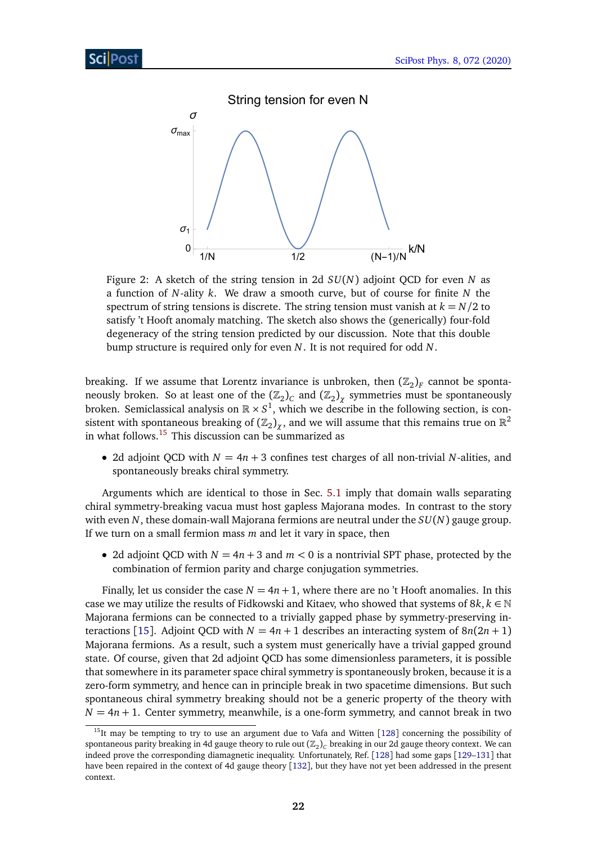<span id="page-21-0"></span>

Figure 2: A sketch of the string tension in 2d *SU*(*N*) adjoint QCD for even *N* as a function of *N*-ality *k*. We draw a smooth curve, but of course for finite *N* the spectrum of string tensions is discrete. The string tension must vanish at  $k = N/2$  to satisfy 't Hooft anomaly matching. The sketch also shows the (generically) four-fold degeneracy of the string tension predicted by our discussion. Note that this double bump structure is required only for even *N*. It is not required for odd *N*.

breaking. If we assume that Lorentz invariance is unbroken, then  $(\mathbb{Z}_2)_F$  cannot be spontaneously broken. So at least one of the  $(\mathbb{Z}_2)_C$  and  $(\mathbb{Z}_2)_\chi$  symmetries must be spontaneously broken. Semiclassical analysis on  $\mathbb{R} \times S^1$ , which we describe in the following section, is consistent with spontaneous breaking of  $(\mathbb{Z}_2)_\chi$ , and we will assume that this remains true on  $\mathbb{R}^2$ in what follows.<sup>[15](#page-21-1)</sup> This discussion can be summarized as

• 2d adjoint QCD with  $N = 4n + 3$  confines test charges of all non-trivial N-alities, and spontaneously breaks chiral symmetry.

Arguments which are identical to those in Sec. [5.1](#page-18-0) imply that domain walls separating chiral symmetry-breaking vacua must host gapless Majorana modes. In contrast to the story with even *N*, these domain-wall Majorana fermions are neutral under the *SU*(*N*) gauge group. If we turn on a small fermion mass *m* and let it vary in space, then

• 2d adjoint QCD with  $N = 4n + 3$  and  $m < 0$  is a nontrivial SPT phase, protected by the combination of fermion parity and charge conjugation symmetries.

Finally, let us consider the case  $N = 4n + 1$ , where there are no 't Hooft anomalies. In this case we may utilize the results of Fidkowski and Kitaev, who showed that systems of  $8k, k \in \mathbb{N}$ Majorana fermions can be connected to a trivially gapped phase by symmetry-preserving in-teractions [[15](#page-50-10)]. Adjoint QCD with  $N = 4n + 1$  describes an interacting system of  $8n(2n + 1)$ Majorana fermions. As a result, such a system must generically have a trivial gapped ground state. Of course, given that 2d adjoint QCD has some dimensionless parameters, it is possible that somewhere in its parameter space chiral symmetry is spontaneously broken, because it is a zero-form symmetry, and hence can in principle break in two spacetime dimensions. But such spontaneous chiral symmetry breaking should not be a generic property of the theory with  $N = 4n + 1$ . Center symmetry, meanwhile, is a one-form symmetry, and cannot break in two

<span id="page-21-1"></span><sup>&</sup>lt;sup>15</sup>It may be tempting to try to use an argument due to Vafa and Witten [[128](#page-57-10)] concerning the possibility of spontaneous parity breaking in 4d gauge theory to rule out ( $\mathbb{Z}_2)_C$  breaking in our 2d gauge theory context. We can indeed prove the corresponding diamagnetic inequality. Unfortunately, Ref. [[128](#page-57-10)] had some gaps [[129–](#page-57-11)[131](#page-57-12)] that have been repaired in the context of 4d gauge theory [[132](#page-57-13)], but they have not yet been addressed in the present context.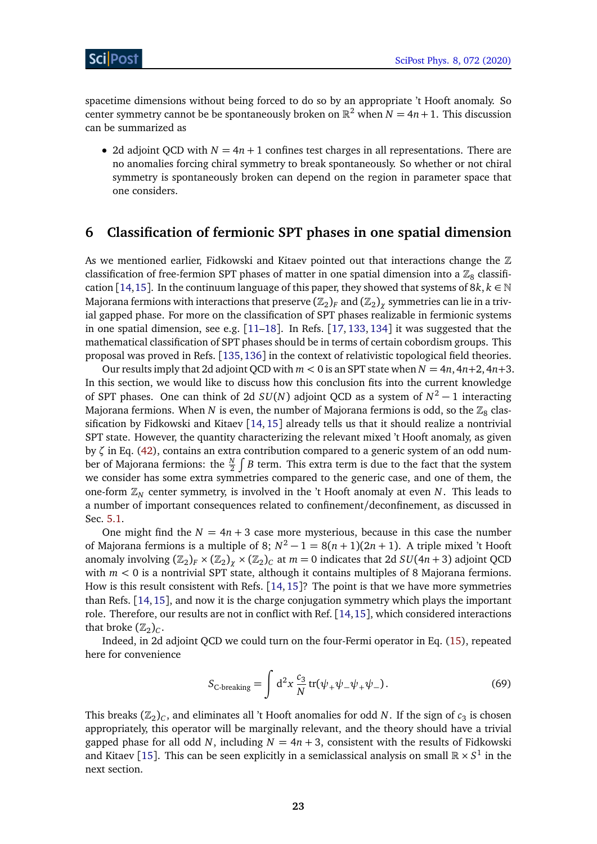spacetime dimensions without being forced to do so by an appropriate 't Hooft anomaly. So center symmetry cannot be be spontaneously broken on  $\mathbb{R}^2$  when  $N = 4n + 1$ . This discussion can be summarized as

• 2d adjoint QCD with  $N = 4n + 1$  confines test charges in all representations. There are no anomalies forcing chiral symmetry to break spontaneously. So whether or not chiral symmetry is spontaneously broken can depend on the region in parameter space that one considers.

### <span id="page-22-0"></span>**6 Classification of fermionic SPT phases in one spatial dimension**

As we mentioned earlier, Fidkowski and Kitaev pointed out that interactions change the  $\mathbb Z$ classification of free-fermion SPT phases of matter in one spatial dimension into a  $\mathbb{Z}_8$  classifi-cation [[14,](#page-50-9)[15](#page-50-10)]. In the continuum language of this paper, they showed that systems of 8 $k, k \in \mathbb{N}$ Majorana fermions with interactions that preserve  $(\mathbb{Z}_2)_F$  and  $(\mathbb{Z}_2)_\chi$  symmetries can lie in a trivial gapped phase. For more on the classification of SPT phases realizable in fermionic systems in one spatial dimension, see e.g.  $[11-18]$  $[11-18]$  $[11-18]$ . In Refs.  $[17, 133, 134]$  $[17, 133, 134]$  $[17, 133, 134]$  $[17, 133, 134]$  $[17, 133, 134]$  $[17, 133, 134]$  $[17, 133, 134]$  it was suggested that the mathematical classification of SPT phases should be in terms of certain cobordism groups. This proposal was proved in Refs. [[135,](#page-58-0)[136](#page-58-1)] in the context of relativistic topological field theories.

Our results imply that 2d adjoint QCD with  $m < 0$  is an SPT state when  $N = 4n, 4n+2, 4n+3$ . In this section, we would like to discuss how this conclusion fits into the current knowledge of SPT phases. One can think of 2d *SU*(*N*) adjoint QCD as a system of *N* <sup>2</sup> − 1 interacting Majorana fermions. When  $N$  is even, the number of Majorana fermions is odd, so the  $\mathbb{Z}_8$  clas-sification by Fidkowski and Kitaev [[14,](#page-50-9) [15](#page-50-10)] already tells us that it should realize a nontrivial SPT state. However, the quantity characterizing the relevant mixed 't Hooft anomaly, as given by *ζ* in Eq. [\(42\)](#page-13-1), contains an extra contribution compared to a generic system of an odd number of Majorana fermions: the  $\frac{N}{2}\int B$  term. This extra term is due to the fact that the system we consider has some extra symmetries compared to the generic case, and one of them, the one-form Z*<sup>N</sup>* center symmetry, is involved in the 't Hooft anomaly at even *N*. This leads to a number of important consequences related to confinement/deconfinement, as discussed in Sec. [5.1.](#page-18-0)

One might find the  $N = 4n + 3$  case more mysterious, because in this case the number of Majorana fermions is a multiple of 8;  $N^2 - 1 = 8(n + 1)(2n + 1)$ . A triple mixed 't Hooft anomaly involving  $(\mathbb{Z}_2)_F \times (\mathbb{Z}_2)_{\chi} \times (\mathbb{Z}_2)_C$  at  $m = 0$  indicates that 2d  $SU(4n + 3)$  adjoint QCD with  $m < 0$  is a nontrivial SPT state, although it contains multiples of 8 Majorana fermions. How is this result consistent with Refs. [[14,](#page-50-9) [15](#page-50-10)]? The point is that we have more symmetries than Refs. [[14,](#page-50-9)[15](#page-50-10)], and now it is the charge conjugation symmetry which plays the important role. Therefore, our results are not in conflict with Ref. [[14,](#page-50-9)[15](#page-50-10)], which considered interactions that broke  $(\mathbb{Z}_2)_C$ .

Indeed, in 2d adjoint QCD we could turn on the four-Fermi operator in Eq. [\(15\)](#page-6-3), repeated here for convenience

$$
S_{\text{C-breaking}} = \int \mathrm{d}^2 x \frac{c_3}{N} \operatorname{tr}(\psi_+ \psi_- \psi_+ \psi_-). \tag{69}
$$

This breaks  $(\mathbb{Z}_2)_C$ , and eliminates all 't Hooft anomalies for odd N. If the sign of  $c_3$  is chosen appropriately, this operator will be marginally relevant, and the theory should have a trivial gapped phase for all odd *N*, including  $N = 4n + 3$ , consistent with the results of Fidkowski and Kitaev [[15](#page-50-10)]. This can be seen explicitly in a semiclassical analysis on small  $\mathbb{R} \times S^1$  in the next section.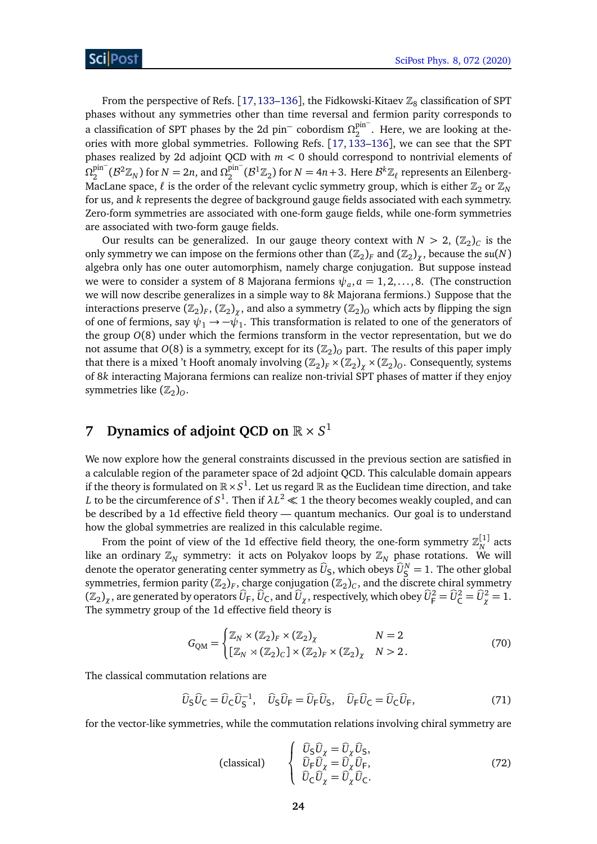From the perspective of Refs. [[17,](#page-50-13)[133–](#page-57-14)[136](#page-58-1)], the Fidkowski-Kitaev  $\mathbb{Z}_8$  classification of SPT phases without any symmetries other than time reversal and fermion parity corresponds to a classification of SPT phases by the 2d pin<sup>−</sup> cobordism Ω<sub>2</sub><sup>pin<sup>−</sup></sup>  $2<sup>pm</sup>$  . Here, we are looking at theories with more global symmetries. Following Refs.  $[17, 133-136]$  $[17, 133-136]$  $[17, 133-136]$  $[17, 133-136]$  $[17, 133-136]$ , we can see that the SPT phases realized by 2d adjoint QCD with *m <* 0 should correspond to nontrivial elements of  $\Omega_2^{\text{pin}^-}$  $2\sum_{n=2}^{\text{pin}^-}$  ( $\mathcal{B}^2 \mathbb{Z}_N$ ) for  $N = 2n$ , and  $\Omega_2^{\text{pin}^-}$  $2\int_2^{\text{pin}^-} (\mathcal{B}^1 \mathbb{Z}_2)$  for  $N = 4n + 3$ . Here  $\mathcal{B}^k \mathbb{Z}_\ell$  represents an Eilenberg-MacLane space,  $\ell$  is the order of the relevant cyclic symmetry group, which is either  $\mathbb{Z}_2$  or  $\mathbb{Z}_N$ for us, and *k* represents the degree of background gauge fields associated with each symmetry. Zero-form symmetries are associated with one-form gauge fields, while one-form symmetries are associated with two-form gauge fields.

Our results can be generalized. In our gauge theory context with  $N > 2$ ,  $(\mathbb{Z}_2)_C$  is the only symmetry we can impose on the fermions other than  $(\mathbb{Z}_2)_F$  and  $(\mathbb{Z}_2)_\chi$ , because the  $\mathfrak{su}(N)$ algebra only has one outer automorphism, namely charge conjugation. But suppose instead we were to consider a system of 8 Majorana fermions  $\psi_a$ ,  $a=1,2,\ldots,8.$  (The construction we will now describe generalizes in a simple way to 8*k* Majorana fermions.) Suppose that the interactions preserve  $(\mathbb{Z}_2)_F$ ,  $(\mathbb{Z}_2)_\chi$ , and also a symmetry  $(\mathbb{Z}_2)_O$  which acts by flipping the sign of one of fermions, say  $\psi_1 \rightarrow -\tilde{\psi_1}$ . This transformation is related to one of the generators of the group *O*(8) under which the fermions transform in the vector representation, but we do not assume that  $O(8)$  is a symmetry, except for its  $(\mathbb{Z}_2)_O$  part. The results of this paper imply that there is a mixed 't Hooft anomaly involving  $(\mathbb{Z}_2)_F \times (\mathbb{Z}_2)_\chi \times (\mathbb{Z}_2)_O$ . Consequently, systems of 8*k* interacting Majorana fermions can realize non-trivial SPT phases of matter if they enjoy symmetries like  $(\mathbb{Z}_2)_O$ .

# <span id="page-23-0"></span>**7 Dynamics of adjoint QCD on**  $\mathbb{R} \times S^1$

We now explore how the general constraints discussed in the previous section are satisfied in a calculable region of the parameter space of 2d adjoint QCD. This calculable domain appears if the theory is formulated on  $\mathbb{R}\times S^1.$  Let us regard  $\mathbb R$  as the Euclidean time direction, and take  $L$  to be the circumference of  $S^1.$  Then if  $\lambda L^2\ll 1$  the theory becomes weakly coupled, and can be described by a 1d effective field theory — quantum mechanics. Our goal is to understand how the global symmetries are realized in this calculable regime.

From the point of view of the 1d effective field theory, the one-form symmetry  $\mathbb{Z}_N^{[1]}$  acts like an ordinary  $\mathbb{Z}_N$  symmetry: it acts on Polyakov loops by  $\mathbb{Z}_N$  phase rotations. We will denote the operator generating center symmetry as  $\hat{U}_{\mathsf{S}}$ , which obeys  $\hat{U}_{\mathsf{S}}^N = 1$ . The other global symmetries, fermion parity  $(\mathbb{Z}_2)_F$ , charge conjugation  $(\mathbb{Z}_2)_C$ , and the discrete chiral symmetry  $(\mathbb{Z}_2)_\chi$ , are generated by operators  $\widehat{U}_\mathsf{F}, \widehat{U}_\mathsf{C}$ , and  $\widehat{U}_\chi$ , respectively, which obey  $\widehat{U}_\mathsf{F}^2 = \widehat{U}_\mathsf{C}^2 = \widehat{U}_\chi^2 = 1$ . The symmetry group of the 1d effective field theory is

$$
G_{QM} = \begin{cases} \mathbb{Z}_N \times (\mathbb{Z}_2)_F \times (\mathbb{Z}_2)_\chi & N = 2\\ [\mathbb{Z}_N \times (\mathbb{Z}_2)_C] \times (\mathbb{Z}_2)_F \times (\mathbb{Z}_2)_\chi & N > 2. \end{cases}
$$
(70)

The classical commutation relations are

$$
\widehat{U}_{\mathsf{S}}\widehat{U}_{\mathsf{C}} = \widehat{U}_{\mathsf{C}}\widehat{U}_{\mathsf{S}}^{-1}, \quad \widehat{U}_{\mathsf{S}}\widehat{U}_{\mathsf{F}} = \widehat{U}_{\mathsf{F}}\widehat{U}_{\mathsf{S}}, \quad \widehat{U}_{\mathsf{F}}\widehat{U}_{\mathsf{C}} = \widehat{U}_{\mathsf{C}}\widehat{U}_{\mathsf{F}},\tag{71}
$$

<span id="page-23-1"></span>for the vector-like symmetries, while the commutation relations involving chiral symmetry are

$$
\text{(classical)} \qquad \begin{cases} \begin{array}{c} \widehat{U}_{\mathsf{S}} \widehat{U}_{\chi} = \widehat{U}_{\chi} \widehat{U}_{\mathsf{S}}, \\ \widehat{U}_{\mathsf{F}} \widehat{U}_{\chi} = \widehat{U}_{\chi} \widehat{U}_{\mathsf{F}}, \\ \widehat{U}_{\mathsf{C}} \widehat{U}_{\chi} = \widehat{U}_{\chi} \widehat{U}_{\mathsf{C}}. \end{array} \end{cases} \tag{72}
$$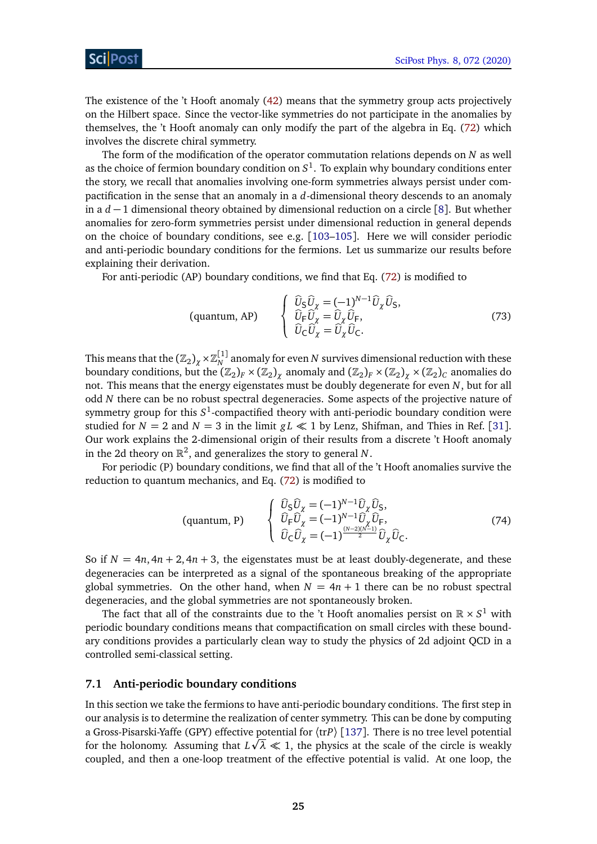The existence of the 't Hooft anomaly [\(42\)](#page-13-1) means that the symmetry group acts projectively on the Hilbert space. Since the vector-like symmetries do not participate in the anomalies by themselves, the 't Hooft anomaly can only modify the part of the algebra in Eq. [\(72\)](#page-23-1) which involves the discrete chiral symmetry.

The form of the modification of the operator commutation relations depends on *N* as well as the choice of fermion boundary condition on  $S^1$ . To explain why boundary conditions enter the story, we recall that anomalies involving one-form symmetries always persist under compactification in the sense that an anomaly in a *d*-dimensional theory descends to an anomaly in a *d* − 1 dimensional theory obtained by dimensional reduction on a circle [[8](#page-50-5)]. But whether anomalies for zero-form symmetries persist under dimensional reduction in general depends on the choice of boundary conditions, see e.g. [[103–](#page-56-0)[105](#page-56-1)]. Here we will consider periodic and anti-periodic boundary conditions for the fermions. Let us summarize our results before explaining their derivation.

For anti-periodic (AP) boundary conditions, we find that Eq. [\(72\)](#page-23-1) is modified to

<span id="page-24-1"></span>
$$
\text{(quantum, AP)} \qquad \begin{cases} \begin{array}{c} \widehat{U}_{\mathsf{S}} \widehat{U}_{\chi} = (-1)^{N-1} \widehat{U}_{\chi} \widehat{U}_{\mathsf{S}}, \\ \widehat{U}_{\mathsf{F}} \widehat{U}_{\chi} = \widehat{U}_{\chi} \widehat{U}_{\mathsf{F}}, \\ \widehat{U}_{\mathsf{C}} \widehat{U}_{\chi} = \widehat{U}_{\chi} \widehat{U}_{\mathsf{C}}. \end{array} \end{cases} \tag{73}
$$

This means that the  $\left( \mathbb{Z}_2 \right)_{\chi} \times \mathbb{Z}_N^{[1]}$  anomaly for even  $N$  survives dimensional reduction with these boundary conditions, but the  $(\Bbb Z_2)_F\times(\Bbb Z_2)_\chi$  anomaly and  $(\Bbb Z_2)_F\times(\Bbb Z_2)_\chi\times(\Bbb Z_2)_C$  anomalies do not. This means that the energy eigenstates must be doubly degenerate for even *N*, but for all odd *N* there can be no robust spectral degeneracies. Some aspects of the projective nature of symmetry group for this  $S^1$ -compactified theory with anti-periodic boundary condition were studied for  $N = 2$  and  $N = 3$  in the limit  $gL \ll 1$  by Lenz, Shifman, and Thies in Ref. [[31](#page-51-8)]. Our work explains the 2-dimensional origin of their results from a discrete 't Hooft anomaly in the 2d theory on  $\mathbb{R}^2$ , and generalizes the story to general N.

For periodic (P) boundary conditions, we find that all of the 't Hooft anomalies survive the reduction to quantum mechanics, and Eq. [\(72\)](#page-23-1) is modified to

<span id="page-24-2"></span>
$$
\text{(quantum, P)} \qquad \begin{cases} \n\widehat{U}_{\mathsf{S}} \widehat{U}_{\chi} = (-1)^{N-1} \widehat{U}_{\chi} \widehat{U}_{\mathsf{S}},\\ \n\widehat{U}_{\mathsf{F}} \widehat{U}_{\chi} = (-1)^{N-1} \widehat{U}_{\chi} \widehat{U}_{\mathsf{F}},\\ \n\widehat{U}_{\mathsf{C}} \widehat{U}_{\chi} = (-1)^{\frac{(N-2)(N-1)}{2}} \widehat{U}_{\chi} \widehat{U}_{\mathsf{C}}.\n\end{cases} \tag{74}
$$

So if  $N = 4n$ ,  $4n + 2$ ,  $4n + 3$ , the eigenstates must be at least doubly-degenerate, and these degeneracies can be interpreted as a signal of the spontaneous breaking of the appropriate global symmetries. On the other hand, when  $N = 4n + 1$  there can be no robust spectral degeneracies, and the global symmetries are not spontaneously broken.

The fact that all of the constraints due to the 't Hooft anomalies persist on  $\mathbb{R} \times S^1$  with periodic boundary conditions means that compactification on small circles with these boundary conditions provides a particularly clean way to study the physics of 2d adjoint QCD in a controlled semi-classical setting.

#### <span id="page-24-0"></span>**7.1 Anti-periodic boundary conditions**

In this section we take the fermions to have anti-periodic boundary conditions. The first step in our analysis is to determine the realization of center symmetry. This can be done by computing a Gross-Pisarski-Yaffe (GPY) effective potential for  $\langle \text{tr} P \rangle$  [[137](#page-58-2)]. There is no tree level potential for the holonomy. Assuming that  $L\sqrt{\lambda} \ll 1$ , the physics at the scale of the circle is weakly coupled, and then a one-loop treatment of the effective potential is valid. At one loop, the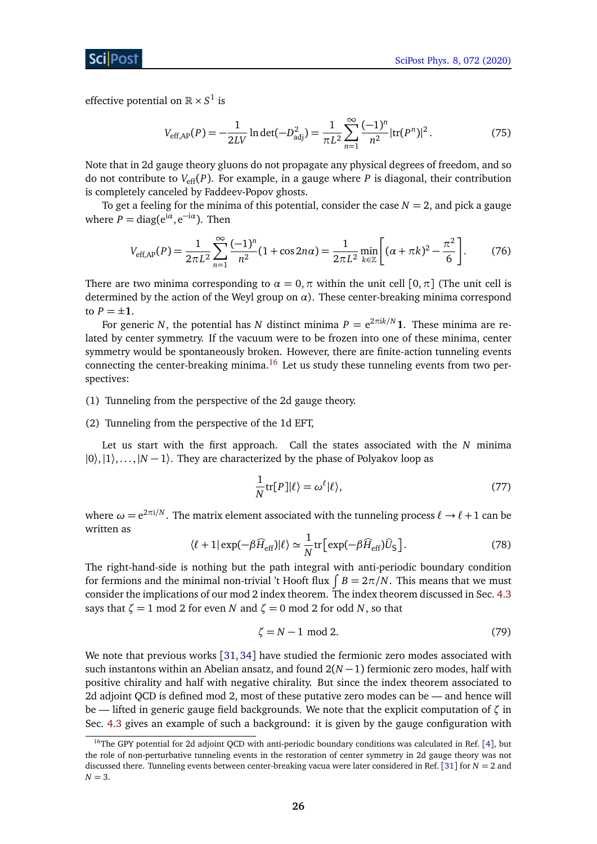effective potential on  $\mathbb{R} \times S^1$  is

<span id="page-25-1"></span>
$$
V_{\text{eff,AP}}(P) = -\frac{1}{2LV} \ln \det(-D_{\text{adj}}^2) = \frac{1}{\pi L^2} \sum_{n=1}^{\infty} \frac{(-1)^n}{n^2} |\text{tr}(P^n)|^2.
$$
 (75)

Note that in 2d gauge theory gluons do not propagate any physical degrees of freedom, and so do not contribute to  $V_{\text{eff}}(P)$ . For example, in a gauge where P is diagonal, their contribution is completely canceled by Faddeev-Popov ghosts.

To get a feeling for the minima of this potential, consider the case  $N = 2$ , and pick a gauge where  $P = \text{diag}(e^{i\alpha}, e^{-i\alpha})$ . Then

$$
V_{\text{eff,AP}}(P) = \frac{1}{2\pi L^2} \sum_{n=1}^{\infty} \frac{(-1)^n}{n^2} (1 + \cos 2n\alpha) = \frac{1}{2\pi L^2} \min_{k \in \mathbb{Z}} \left[ (\alpha + \pi k)^2 - \frac{\pi^2}{6} \right].
$$
 (76)

There are two minima corresponding to  $\alpha = 0$ ,  $\pi$  within the unit cell  $[0, \pi]$  (The unit cell is determined by the action of the Weyl group on *α*). These center-breaking minima correspond to  $P = \pm 1$ .

For generic *N*, the potential has *N* distinct minima  $P = e^{2\pi i k/N}$  **1**. These minima are related by center symmetry. If the vacuum were to be frozen into one of these minima, center symmetry would be spontaneously broken. However, there are finite-action tunneling events connecting the center-breaking minima.<sup>[16](#page-25-0)</sup> Let us study these tunneling events from two perspectives:

(1) Tunneling from the perspective of the 2d gauge theory.

#### (2) Tunneling from the perspective of the 1d EFT,

Let us start with the first approach. Call the states associated with the *N* minima  $|0\rangle,|1\rangle,...,|N-1\rangle$ . They are characterized by the phase of Polyakov loop as

$$
\frac{1}{N}\text{tr}[P]|\ell\rangle = \omega^{\ell}|\ell\rangle,\tag{77}
$$

where  $\omega = \mathrm{e}^{2\pi \mathrm{i}/N}.$  The matrix element associated with the tunneling process  $\ell \to \ell+1$  can be written as

$$
\langle \ell + 1 | \exp(-\beta \widehat{H}_{\rm eff}) | \ell \rangle \simeq \frac{1}{N} \text{tr} \left[ \exp(-\beta \widehat{H}_{\rm eff}) \widehat{U}_{\rm S} \right]. \tag{78}
$$

The right-hand-side is nothing but the path integral with anti-periodic boundary condition for fermions and the minimal non-trivial 't Hooft flux  $\int B = 2\pi/N$ . This means that we must consider the implications of our mod 2 index theorem. The index theorem discussed in Sec. [4.3](#page-13-0) says that  $\zeta = 1$  mod 2 for even *N* and  $\zeta = 0$  mod 2 for odd *N*, so that

$$
\zeta = N - 1 \text{ mod } 2. \tag{79}
$$

We note that previous works [[31,](#page-51-8) [34](#page-52-2)] have studied the fermionic zero modes associated with such instantons within an Abelian ansatz, and found 2(*N* −1) fermionic zero modes, half with positive chirality and half with negative chirality. But since the index theorem associated to 2d adjoint QCD is defined mod 2, most of these putative zero modes can be — and hence will be — lifted in generic gauge field backgrounds. We note that the explicit computation of *ζ* in Sec. [4.3](#page-13-0) gives an example of such a background: it is given by the gauge configuration with

<span id="page-25-0"></span><sup>&</sup>lt;sup>16</sup>The GPY potential for 2d adjoint QCD with anti-periodic boundary conditions was calculated in Ref.  $[4]$  $[4]$  $[4]$ , but the role of non-perturbative tunneling events in the restoration of center symmetry in 2d gauge theory was not discussed there. Tunneling events between center-breaking vacua were later considered in Ref. [[31](#page-51-8)] for *N* = 2 and  $N = 3$ .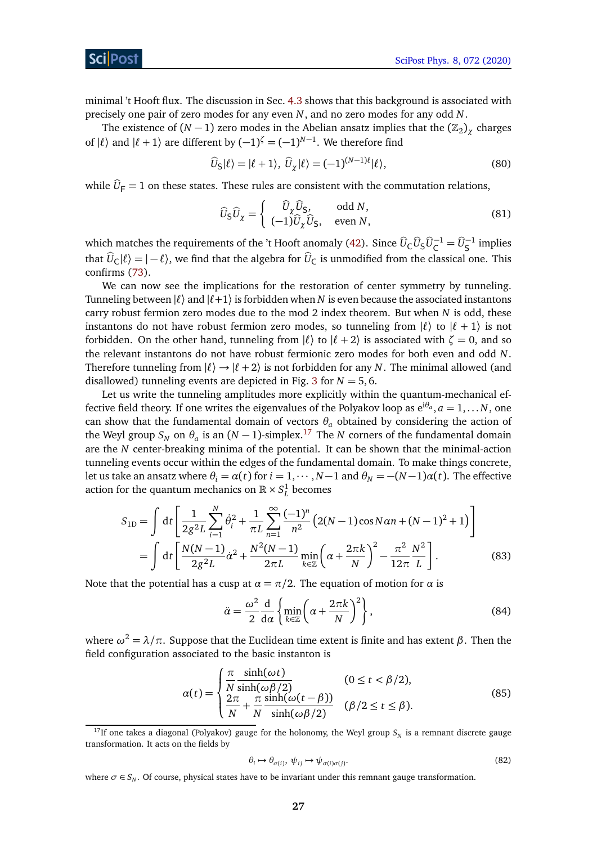minimal 't Hooft flux. The discussion in Sec. [4.3](#page-13-0) shows that this background is associated with precisely one pair of zero modes for any even *N*, and no zero modes for any odd *N*.

The existence of  $(N-1)$  zero modes in the Abelian ansatz implies that the  $(\mathbb{Z}_2)_\chi$  charges of  $| \ell \rangle$  and  $| \ell + 1 \rangle$  are different by  $(-1)^{\zeta} = (-1)^{N-1}$ . We therefore find

$$
\widehat{U}_{\mathsf{S}}|\ell\rangle = |\ell+1\rangle, \ \widehat{U}_{\chi}|\ell\rangle = (-1)^{(N-1)\ell}|\ell\rangle,\tag{80}
$$

while  $\hat{U}_F = 1$  on these states. These rules are consistent with the commutation relations,

$$
\widehat{U}_{\mathsf{S}}\widehat{U}_{\chi} = \begin{cases}\n\widehat{U}_{\chi}\widehat{U}_{\mathsf{S}}, & \text{odd } N, \\
(-1)\widehat{U}_{\chi}\widehat{U}_{\mathsf{S}}, & \text{even } N,\n\end{cases}
$$
\n(81)

which matches the requirements of the 't Hooft anomaly [\(42\)](#page-13-1). Since  $\widehat{U}_{\mathsf{C}}\widehat{U}_{\mathsf{S}}\widehat{U}_{\mathsf{C}}^{-1} = \widehat{U}_{\mathsf{S}}^{-1}$  implies that  $\hat{U}_C|\ell\rangle = |-\ell\rangle$ , we find that the algebra for  $\hat{U}_C$  is unmodified from the classical one. This confirms [\(73\)](#page-24-1).

We can now see the implications for the restoration of center symmetry by tunneling. Tunneling between  $|\ell\rangle$  and  $|\ell+1\rangle$  is forbidden when *N* is even because the associated instantons carry robust fermion zero modes due to the mod 2 index theorem. But when *N* is odd, these instantons do not have robust fermion zero modes, so tunneling from  $| \ell \rangle$  to  $| \ell + 1 \rangle$  is not forbidden. On the other hand, tunneling from  $|\ell\rangle$  to  $|\ell + 2\rangle$  is associated with  $\zeta = 0$ , and so the relevant instantons do not have robust fermionic zero modes for both even and odd *N*. Therefore tunneling from  $|\ell\rangle \rightarrow |\ell + 2\rangle$  is not forbidden for any *N*. The minimal allowed (and disallowed) tunneling events are depicted in Fig. [3](#page-27-1) for  $N = 5, 6$ .

Let us write the tunneling amplitudes more explicitly within the quantum-mechanical effective field theory. If one writes the eigenvalues of the Polyakov loop as  $e^{i\theta_a}, a=1,\ldots N,$  one can show that the fundamental domain of vectors  $\theta_a$  obtained by considering the action of the Weyl group  $S_N$  on  $\theta_a$  is an  $(N-1)$ -simplex.<sup>[17](#page-26-0)</sup> The *N* corners of the fundamental domain are the *N* center-breaking minima of the potential. It can be shown that the minimal-action tunneling events occur within the edges of the fundamental domain. To make things concrete, let us take an ansatz where  $\theta_i = \alpha(t)$  for  $i = 1, \dots, N-1$  and  $\theta_N = -(N-1)\alpha(t)$ . The effective action for the quantum mechanics on  $\mathbb{R} \times S^1_L$  becomes

$$
S_{1D} = \int dt \left[ \frac{1}{2g^2 L} \sum_{i=1}^{N} \dot{\theta}_i^2 + \frac{1}{\pi L} \sum_{n=1}^{\infty} \frac{(-1)^n}{n^2} \left( 2(N-1) \cos N \alpha n + (N-1)^2 + 1 \right) \right]
$$
  
= 
$$
\int dt \left[ \frac{N(N-1)}{2g^2 L} \dot{\alpha}^2 + \frac{N^2 (N-1)}{2\pi L} \min_{k \in \mathbb{Z}} \left( \alpha + \frac{2\pi k}{N} \right)^2 - \frac{\pi^2}{12\pi} \frac{N^2}{L} \right].
$$
 (83)

Note that the potential has a cusp at  $\alpha = \pi/2$ . The equation of motion for  $\alpha$  is

<span id="page-26-2"></span>
$$
\ddot{\alpha} = \frac{\omega^2}{2} \frac{d}{d\alpha} \left\{ \min_{k \in \mathbb{Z}} \left( \alpha + \frac{2\pi k}{N} \right)^2 \right\},\tag{84}
$$

where  $ω^2 = \lambda / π$ . Suppose that the Euclidean time extent is finite and has extent *β*. Then the field configuration associated to the basic instanton is

$$
\alpha(t) = \begin{cases} \frac{\pi}{N} \frac{\sinh(\omega t)}{\sinh(\omega \beta/2)} & (0 \le t < \beta/2), \\ \frac{2\pi}{N} + \frac{\pi}{N} \frac{\sinh(\omega(t - \beta))}{\sinh(\omega \beta/2)} & (\beta/2 \le t \le \beta). \end{cases}
$$
(85)

<span id="page-26-1"></span>
$$
\theta_i \mapsto \theta_{\sigma(i)}, \, \psi_{ij} \mapsto \psi_{\sigma(i)\sigma(j)}.\tag{82}
$$

where  $\sigma \in S_N$ . Of course, physical states have to be invariant under this remnant gauge transformation.

<span id="page-26-0"></span><sup>&</sup>lt;sup>17</sup>If one takes a diagonal (Polyakov) gauge for the holonomy, the Weyl group  $S_N$  is a remnant discrete gauge transformation. It acts on the fields by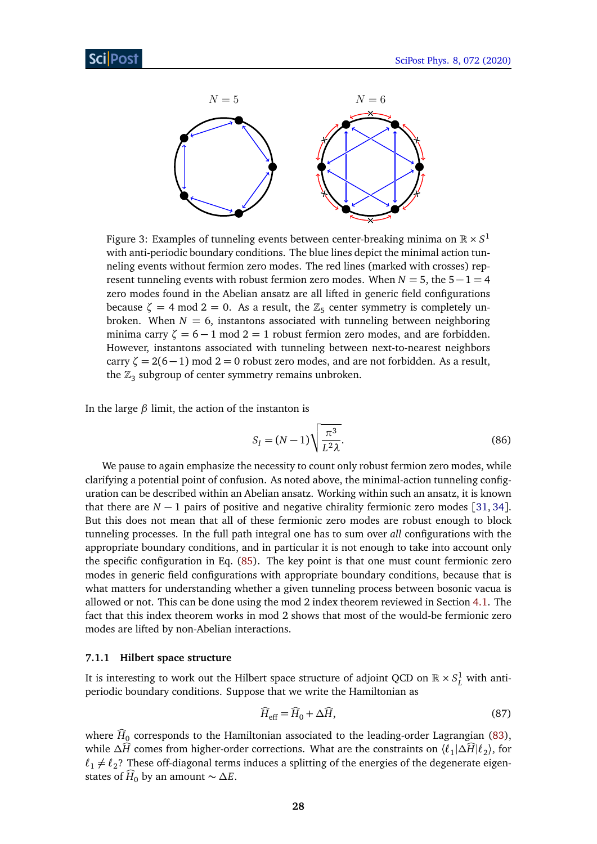<span id="page-27-1"></span>

Figure 3: Examples of tunneling events between center-breaking minima on  $\mathbb{R} \times S^1$ with anti-periodic boundary conditions. The blue lines depict the minimal action tunneling events without fermion zero modes. The red lines (marked with crosses) represent tunneling events with robust fermion zero modes. When  $N = 5$ , the  $5 - 1 = 4$ zero modes found in the Abelian ansatz are all lifted in generic field configurations because  $\zeta = 4 \mod 2 = 0$ . As a result, the  $\mathbb{Z}_5$  center symmetry is completely unbroken. When  $N = 6$ , instantons associated with tunneling between neighboring minima carry  $\zeta = 6 - 1$  mod  $2 = 1$  robust fermion zero modes, and are forbidden. However, instantons associated with tunneling between next-to-nearest neighbors carry  $\zeta = 2(6-1)$  mod 2 = 0 robust zero modes, and are not forbidden. As a result, the  $\mathbb{Z}_3$  subgroup of center symmetry remains unbroken.

In the large *β* limit, the action of the instanton is

<span id="page-27-2"></span>
$$
S_I = (N-1)\sqrt{\frac{\pi^3}{L^2\lambda}}.\tag{86}
$$

We pause to again emphasize the necessity to count only robust fermion zero modes, while clarifying a potential point of confusion. As noted above, the minimal-action tunneling configuration can be described within an Abelian ansatz. Working within such an ansatz, it is known that there are  $N - 1$  pairs of positive and negative chirality fermionic zero modes [[31,](#page-51-8) [34](#page-52-2)]. But this does not mean that all of these fermionic zero modes are robust enough to block tunneling processes. In the full path integral one has to sum over *all* configurations with the appropriate boundary conditions, and in particular it is not enough to take into account only the specific configuration in Eq. [\(85\)](#page-26-1). The key point is that one must count fermionic zero modes in generic field configurations with appropriate boundary conditions, because that is what matters for understanding whether a given tunneling process between bosonic vacua is allowed or not. This can be done using the mod 2 index theorem reviewed in Section [4.1.](#page-10-0) The fact that this index theorem works in mod 2 shows that most of the would-be fermionic zero modes are lifted by non-Abelian interactions.

#### <span id="page-27-0"></span>**7.1.1 Hilbert space structure**

It is interesting to work out the Hilbert space structure of adjoint QCD on  $\mathbb{R}\times S^1_L$  with antiperiodic boundary conditions. Suppose that we write the Hamiltonian as

$$
\widehat{H}_{\rm eff} = \widehat{H}_0 + \Delta \widehat{H},\tag{87}
$$

where  $H_0$  corresponds to the Hamiltonian associated to the leading-order Lagrangian [\(83\)](#page-26-2), while  $\Delta \widehat{H}$  comes from higher-order corrections. What are the constraints on  $\langle \ell_1 | \Delta \widehat{H} | \ell_2 \rangle$ , for  $\ell_1 \neq \ell_2$ ? These off-diagonal terms induces a splitting of the energies of the degenerate eigenstates of  $\hat{H}_0$  by an amount  $\sim \Delta E$ .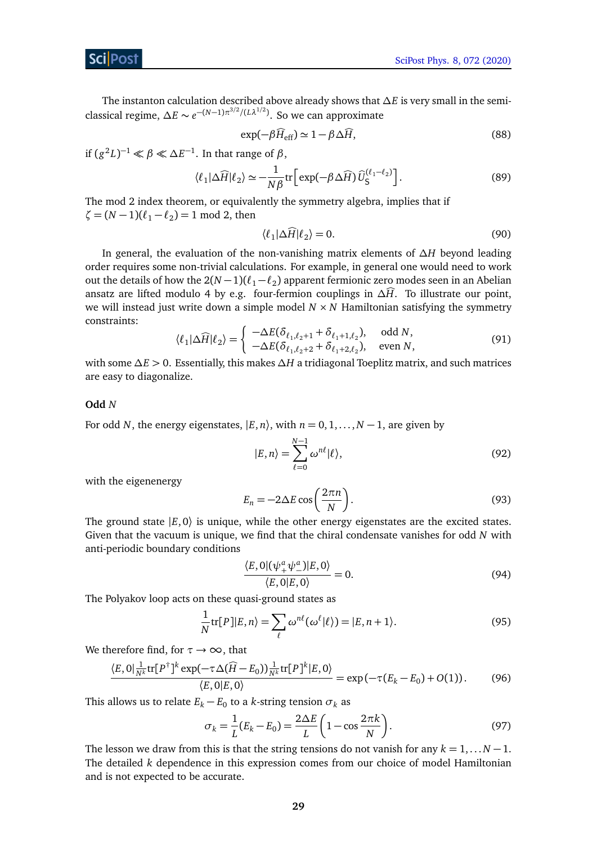The instanton calculation described above already shows that *∆E* is very small in the semiclassical regime,  $\Delta E \sim e^{-(N-1)\pi^{3/2}/(L\lambda^{1/2})}$ . So we can approximate

$$
\exp(-\beta \widehat{H}_{\rm eff}) \simeq 1 - \beta \Delta \widehat{H},\tag{88}
$$

if  $(g^2L)^{-1} \ll \beta \ll \Delta E^{-1}$ . In that range of  $\beta$ ,

$$
\langle \ell_1 | \Delta \widehat{H} | \ell_2 \rangle \simeq -\frac{1}{N\beta} \text{tr} \Big[ \exp(-\beta \Delta \widehat{H}) \widehat{U}_{\mathsf{S}}^{(\ell_1 - \ell_2)} \Big]. \tag{89}
$$

The mod 2 index theorem, or equivalently the symmetry algebra, implies that if  $\zeta = (N - 1)(\ell_1 - \ell_2) = 1 \text{ mod } 2$ , then

$$
\langle \ell_1 | \Delta \widehat{H} | \ell_2 \rangle = 0. \tag{90}
$$

In general, the evaluation of the non-vanishing matrix elements of *∆H* beyond leading order requires some non-trivial calculations. For example, in general one would need to work out the details of how the  $2(N-1)(\ell_1-\ell_2)$  apparent fermionic zero modes seen in an Abelian ansatz are lifted modulo 4 by e.g. four-fermion couplings in  $\Delta \widehat{H}$ . To illustrate our point, we will instead just write down a simple model  $N \times N$  Hamiltonian satisfying the symmetry constraints:

$$
\langle \ell_1 | \Delta \widehat{H} | \ell_2 \rangle = \begin{cases} -\Delta E(\delta_{\ell_1, \ell_2+1} + \delta_{\ell_1+1, \ell_2}), & \text{odd } N, \\ -\Delta E(\delta_{\ell_1, \ell_2+2} + \delta_{\ell_1+2, \ell_2}), & \text{even } N, \end{cases}
$$
(91)

with some *∆E >* 0. Essentially, this makes *∆H* a tridiagonal Toeplitz matrix, and such matrices are easy to diagonalize.

#### **Odd** *N*

For odd *N*, the energy eigenstates,  $|E, n\rangle$ , with  $n = 0, 1, \ldots, N-1$ , are given by

$$
|E,n\rangle = \sum_{\ell=0}^{N-1} \omega^{n\ell} |\ell\rangle, \tag{92}
$$

with the eigenenergy

$$
E_n = -2\Delta E \cos\left(\frac{2\pi n}{N}\right). \tag{93}
$$

The ground state  $|E, 0\rangle$  is unique, while the other energy eigenstates are the excited states. Given that the vacuum is unique, we find that the chiral condensate vanishes for odd *N* with anti-periodic boundary conditions

$$
\frac{\langle E, 0 | (\psi_+^a \psi_-^a) | E, 0 \rangle}{\langle E, 0 | E, 0 \rangle} = 0.
$$
\n(94)

The Polyakov loop acts on these quasi-ground states as

$$
\frac{1}{N}\text{tr}[P]|E,n\rangle = \sum_{\ell} \omega^{n\ell}(\omega^{\ell}|\ell\rangle) = |E,n+1\rangle.
$$
\n(95)

We therefore find, for  $\tau \rightarrow \infty$ , that

$$
\frac{\langle E, 0 | \frac{1}{N^k} \text{tr}[P^{\dagger}]^k \exp(-\tau \Delta(\widehat{H} - E_0)) \frac{1}{N^k} \text{tr}[P]^k | E, 0 \rangle}{\langle E, 0 | E, 0 \rangle} = \exp(-\tau (E_k - E_0) + O(1)).
$$
 (96)

This allows us to relate  $E_k - E_0$  to a *k*-string tension  $\sigma_k$  as

$$
\sigma_k = \frac{1}{L}(E_k - E_0) = \frac{2\Delta E}{L} \left( 1 - \cos \frac{2\pi k}{N} \right).
$$
 (97)

The lesson we draw from this is that the string tensions do not vanish for any  $k = 1, \ldots N - 1$ . The detailed *k* dependence in this expression comes from our choice of model Hamiltonian and is not expected to be accurate.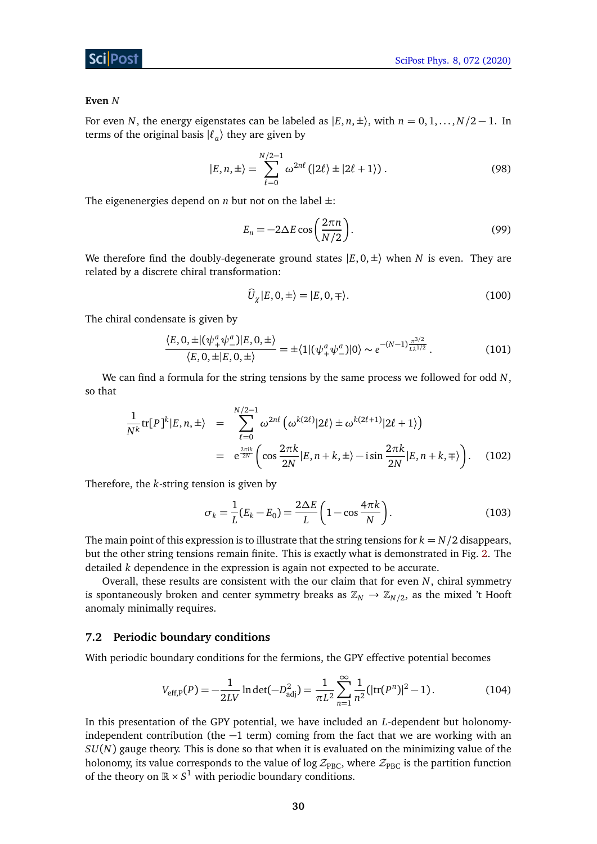#### **Even** *N*

For even *N*, the energy eigenstates can be labeled as  $|E, n, \pm\rangle$ , with  $n = 0, 1, \ldots, N/2 - 1$ . In terms of the original basis  $|\ell_a\rangle$  they are given by

$$
|E,n,\pm\rangle = \sum_{\ell=0}^{N/2-1} \omega^{2n\ell} (|2\ell\rangle \pm |2\ell+1\rangle).
$$
 (98)

The eigenenergies depend on *n* but not on the label  $\pm$ :

$$
E_n = -2\Delta E \cos\left(\frac{2\pi n}{N/2}\right). \tag{99}
$$

We therefore find the doubly-degenerate ground states  $|E, 0, \pm\rangle$  when *N* is even. They are related by a discrete chiral transformation:

$$
\widehat{U}_{\chi}|E,0,\pm\rangle = |E,0,\mp\rangle. \tag{100}
$$

The chiral condensate is given by

$$
\frac{\langle E, 0, \pm | (\psi_+^a \psi_-^a) | E, 0, \pm \rangle}{\langle E, 0, \pm | E, 0, \pm \rangle} = \pm \langle 1 | (\psi_+^a \psi_-^a) | 0 \rangle \sim e^{-(N-1) \frac{\pi^{3/2}}{L\lambda^{1/2}}}.
$$
\n(101)

We can find a formula for the string tensions by the same process we followed for odd *N*, so that

$$
\frac{1}{N^k} \text{tr}[P]^k | E, n, \pm \rangle = \sum_{\ell=0}^{N/2-1} \omega^{2n\ell} \left( \omega^{k(2\ell)} | 2\ell \rangle \pm \omega^{k(2\ell+1)} | 2\ell + 1 \rangle \right)
$$
\n
$$
= e^{\frac{2\pi i k}{2N}} \left( \cos \frac{2\pi k}{2N} | E, n + k, \pm \rangle - i \sin \frac{2\pi k}{2N} | E, n + k, \mp \rangle \right). \quad (102)
$$

Therefore, the *k*-string tension is given by

$$
\sigma_k = \frac{1}{L}(E_k - E_0) = \frac{2\Delta E}{L} \left( 1 - \cos\frac{4\pi k}{N} \right).
$$
 (103)

The main point of this expression is to illustrate that the string tensions for  $k = N/2$  disappears, but the other string tensions remain finite. This is exactly what is demonstrated in Fig. [2.](#page-21-0) The detailed *k* dependence in the expression is again not expected to be accurate.

Overall, these results are consistent with the our claim that for even *N*, chiral symmetry is spontaneously broken and center symmetry breaks as  $\mathbb{Z}_N \to \mathbb{Z}_{N/2}$ , as the mixed 't Hooft anomaly minimally requires.

#### <span id="page-29-0"></span>**7.2 Periodic boundary conditions**

With periodic boundary conditions for the fermions, the GPY effective potential becomes

<span id="page-29-1"></span>
$$
V_{\text{eff},P}(P) = -\frac{1}{2LV} \ln \det(-D_{\text{adj}}^2) = \frac{1}{\pi L^2} \sum_{n=1}^{\infty} \frac{1}{n^2} (|\text{tr}(P^n)|^2 - 1).
$$
 (104)

In this presentation of the GPY potential, we have included an *L*-dependent but holonomyindependent contribution (the  $-1$  term) coming from the fact that we are working with an *SU*(*N*) gauge theory. This is done so that when it is evaluated on the minimizing value of the holonomy, its value corresponds to the value of log  $\mathcal{Z}_{\text{PBC}}$ , where  $\mathcal{Z}_{\text{PBC}}$  is the partition function of the theory on  $\mathbb{R} \times S^1$  with periodic boundary conditions.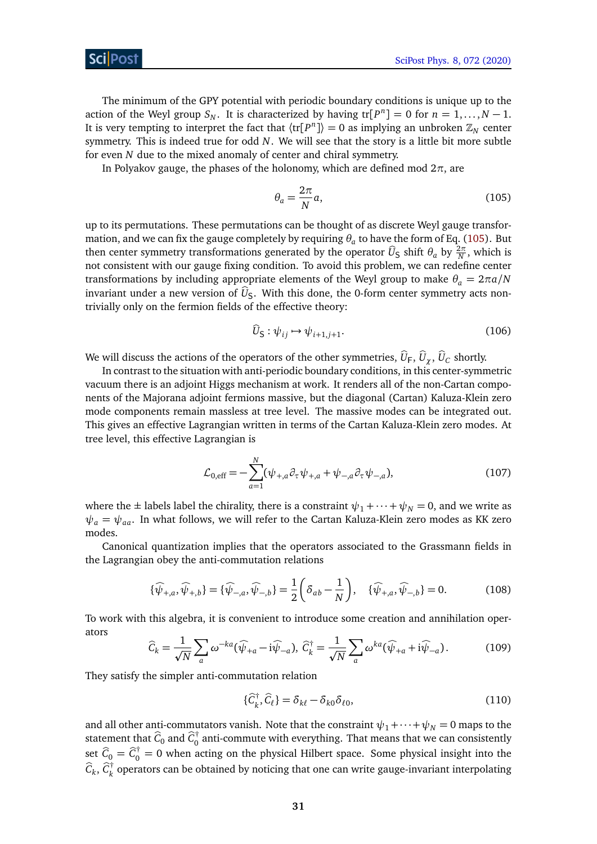The minimum of the GPY potential with periodic boundary conditions is unique up to the action of the Weyl group  $S_N$ . It is characterized by having  $tr[P^n] = 0$  for  $n = 1, ..., N - 1$ . It is very tempting to interpret the fact that  $\langle \text{tr}[P^n] \rangle = 0$  as implying an unbroken  $\mathbb{Z}_N$  center symmetry. This is indeed true for odd *N*. We will see that the story is a little bit more subtle for even *N* due to the mixed anomaly of center and chiral symmetry.

In Polyakov gauge, the phases of the holonomy, which are defined mod  $2\pi$ , are

<span id="page-30-0"></span>
$$
\theta_a = \frac{2\pi}{N}a,\tag{105}
$$

up to its permutations. These permutations can be thought of as discrete Weyl gauge transformation, and we can fix the gauge completely by requiring  $\theta_a$  to have the form of Eq. [\(105\)](#page-30-0). But then center symmetry transformations generated by the operator  $\widehat{U}_S$  shift  $\theta_a$  by  $\frac{2\pi}{N}$ , which is not consistent with our gauge fixing condition. To avoid this problem, we can redefine center transformations by including appropriate elements of the Weyl group to make  $\theta_a = 2\pi a/N$ invariant under a new version of  $\hat{U}_\mathsf{S}$ . With this done, the 0-form center symmetry acts nontrivially only on the fermion fields of the effective theory:

$$
\widehat{U}_{\mathsf{S}} : \psi_{ij} \mapsto \psi_{i+1,j+1}.\tag{106}
$$

We will discuss the actions of the operators of the other symmetries,  $U_F$ ,  $U_\chi$ ,  $U_C$  shortly.

In contrast to the situation with anti-periodic boundary conditions, in this center-symmetric vacuum there is an adjoint Higgs mechanism at work. It renders all of the non-Cartan components of the Majorana adjoint fermions massive, but the diagonal (Cartan) Kaluza-Klein zero mode components remain massless at tree level. The massive modes can be integrated out. This gives an effective Lagrangian written in terms of the Cartan Kaluza-Klein zero modes. At tree level, this effective Lagrangian is

$$
\mathcal{L}_{0,\text{eff}} = -\sum_{a=1}^{N} (\psi_{+,a} \partial_{\tau} \psi_{+,a} + \psi_{-,a} \partial_{\tau} \psi_{-,a}), \tag{107}
$$

where the  $\pm$  labels label the chirality, there is a constraint  $\psi_1 + \cdots + \psi_N = 0$ , and we write as  $\psi_a = \psi_{aa}$ . In what follows, we will refer to the Cartan Kaluza-Klein zero modes as KK zero modes.

Canonical quantization implies that the operators associated to the Grassmann fields in the Lagrangian obey the anti-commutation relations

$$
\{\widehat{\psi}_{+,a}, \widehat{\psi}_{+,b}\} = \{\widehat{\psi}_{-,a}, \widehat{\psi}_{-,b}\} = \frac{1}{2} \left( \delta_{ab} - \frac{1}{N} \right), \quad \{\widehat{\psi}_{+,a}, \widehat{\psi}_{-,b}\} = 0.
$$
 (108)

To work with this algebra, it is convenient to introduce some creation and annihilation operators

$$
\widehat{C}_k = \frac{1}{\sqrt{N}} \sum_a \omega^{-ka} (\widehat{\psi}_{+a} - i \widehat{\psi}_{-a}), \ \widehat{C}_k^{\dagger} = \frac{1}{\sqrt{N}} \sum_a \omega^{ka} (\widehat{\psi}_{+a} + i \widehat{\psi}_{-a}). \tag{109}
$$

They satisfy the simpler anti-commutation relation

$$
\{\widehat{C}_k^{\dagger}, \widehat{C}_\ell\} = \delta_{k\ell} - \delta_{k0} \delta_{\ell0},\tag{110}
$$

and all other anti-commutators vanish. Note that the constraint  $\psi_1 + \cdots + \psi_N = 0$  maps to the statement that  $\widehat{C}_0$  and  $\widehat{C}_0^{\dagger}$  $\frac{1}{0}$  anti-commute with everything. That means that we can consistently set  $\hat{C}_0 = \hat{C}_0^{\dagger} = 0$  when acting on the physical Hilbert space. Some physical insight into the  $\widehat{C}_k$ ,  $\widehat{C}_k^{\dagger}$  $\frac{1}{k}$  operators can be obtained by noticing that one can write gauge-invariant interpolating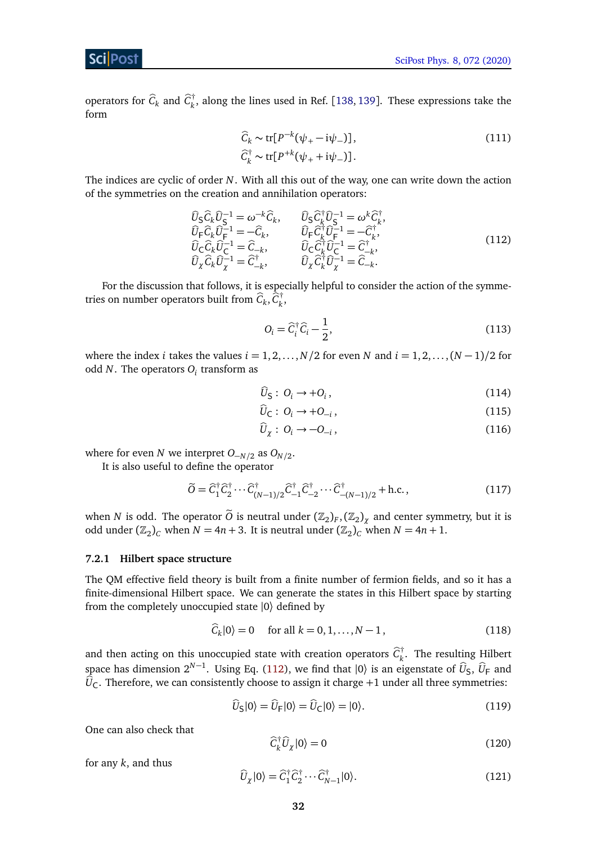operators for  $\widehat{C}_k$  and  $\widehat{C}_k^{\dagger}$  $\mathbf{k}_k^{\mathsf{H}}$ , along the lines used in Ref. [[138,](#page-58-3) [139](#page-58-4)]. These expressions take the form

$$
\widehat{C}_k \sim \text{tr}[P^{-k}(\psi_+ - i\psi_-)],
$$
\n
$$
\widehat{C}_k^{\dagger} \sim \text{tr}[P^{+k}(\psi_+ + i\psi_-)].
$$
\n(111)

The indices are cyclic of order *N*. With all this out of the way, one can write down the action of the symmetries on the creation and annihilation operators:

<span id="page-31-1"></span>
$$
\begin{array}{ll}\n\widehat{U}_{S}\widehat{C}_{k}\widehat{U}_{S}^{-1} = \omega^{-k}\widehat{C}_{k}, & \widehat{U}_{S}\widehat{C}_{k}^{\dagger}\widehat{U}_{S}^{-1} = \omega^{k}\widehat{C}_{k}^{\dagger}, \\
\widehat{U}_{F}\widehat{C}_{k}\widehat{U}_{F}^{-1} = -\widehat{C}_{k}, & \widehat{U}_{F}\widehat{C}_{k}^{\dagger}\widehat{U}_{F}^{-1} = -\widehat{C}_{k}^{\dagger}, \\
\widehat{U}_{C}\widehat{C}_{k}\widehat{U}_{C}^{-1} = \widehat{C}_{-k}, & \widehat{U}_{C}\widehat{C}_{k}^{\dagger}\widehat{U}_{C}^{-1} = \widehat{C}_{-k}^{\dagger}, \\
\widehat{U}_{\chi}\widehat{C}_{k}\widehat{U}_{\chi}^{-1} = \widehat{C}_{-k}^{\dagger}, & \widehat{U}_{\chi}\widehat{C}_{k}^{\dagger}\widehat{U}_{\chi}^{-1} = \widehat{C}_{-k}^{\dagger}.\n\end{array} \tag{112}
$$

For the discussion that follows, it is especially helpful to consider the action of the symmetries on number operators built from  $\widehat{C}_k$ ,  $\widehat{C}_k^{\dagger}$ *k* ,

$$
O_i = \widehat{C}_i^{\dagger} \widehat{C}_i - \frac{1}{2},\tag{113}
$$

where the index *i* takes the values  $i = 1, 2, ..., N/2$  for even *N* and  $i = 1, 2, ..., (N - 1)/2$  for odd  $N.$  The operators  $O_i$  transform as

$$
\widehat{U}_{\mathsf{S}}: O_i \to +O_i,\tag{114}
$$

$$
\widehat{U}_{\mathsf{C}}: O_i \to +O_{-i},\tag{115}
$$

$$
\widehat{U}_{\chi}: O_i \to -O_{-i},\tag{116}
$$

where for even *N* we interpret *O*−*N/*<sup>2</sup> as *ON/*<sup>2</sup> .

It is also useful to define the operator

$$
\widetilde{O} = \widehat{C}_1^{\dagger} \widehat{C}_2^{\dagger} \cdots \widehat{C}_{(N-1)/2}^{\dagger} \widehat{C}_{-1}^{\dagger} \widehat{C}_{-2}^{\dagger} \cdots \widehat{C}_{-(N-1)/2}^{\dagger} + \text{h.c.},\tag{117}
$$

when *N* is odd. The operator  $\widetilde{O}$  is neutral under  $(\mathbb{Z}_2)$ <sub>*F*</sub>,  $(\mathbb{Z}_2)$ <sub>*X*</sub> and center symmetry, but it is odd under  $(\mathbb{Z}_2)_C$  when  $N = 4n + 3$ . It is neutral under  $(\mathbb{Z}_2)_C$  when  $N = 4n + 1$ .

#### <span id="page-31-0"></span>**7.2.1 Hilbert space structure**

The QM effective field theory is built from a finite number of fermion fields, and so it has a finite-dimensional Hilbert space. We can generate the states in this Hilbert space by starting from the completely unoccupied state |0〉 defined by

$$
\widehat{C}_k|0\rangle = 0 \quad \text{for all } k = 0, 1, \dots, N-1,
$$
\n(118)

and then acting on this unoccupied state with creation operators  $\widehat{C}_k^{\dagger}$ *k* . The resulting Hilbert space has dimension  $2^{N-1}$ . Using Eq. [\(112\)](#page-31-1), we find that  $|0\rangle$  is an eigenstate of  $\widehat{U}_S$ ,  $\widehat{U}_F$  and  $\widehat{U}_C$ . Therefore, we can consistently choose to assign it charge +1 under all three symmetries:

$$
\widehat{U}_{\mathsf{S}}|0\rangle = \widehat{U}_{\mathsf{F}}|0\rangle = \widehat{U}_{\mathsf{C}}|0\rangle = |0\rangle. \tag{119}
$$

One can also check that

$$
\widehat{C}_k^{\dagger} \widehat{U}_\chi |0\rangle = 0 \tag{120}
$$

for any *k*, and thus

$$
\widehat{U}_{\chi}|0\rangle = \widehat{C}_{1}^{\dagger}\widehat{C}_{2}^{\dagger}\cdots\widehat{C}_{N-1}^{\dagger}|0\rangle. \tag{121}
$$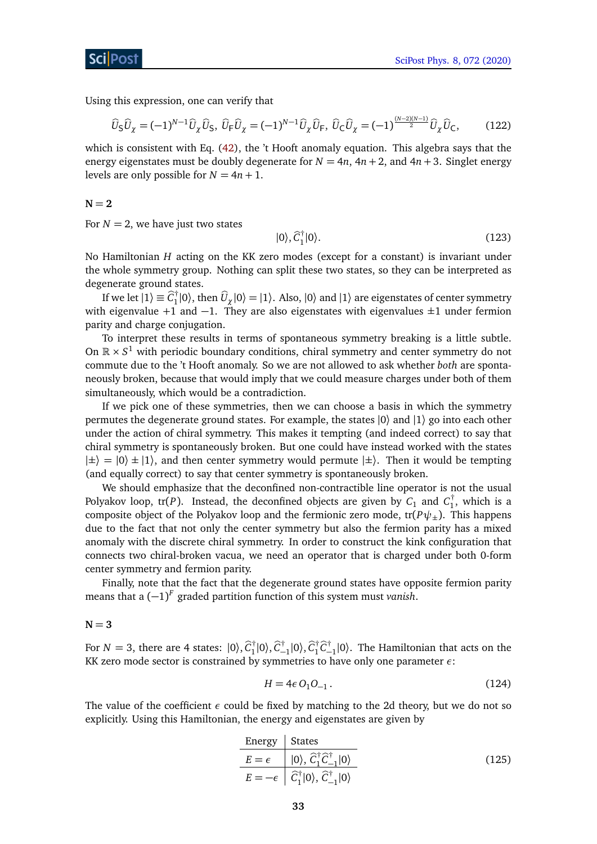Using this expression, one can verify that

$$
\widehat{U}_{\mathsf{S}}\widehat{U}_{\chi} = (-1)^{N-1}\widehat{U}_{\chi}\widehat{U}_{\mathsf{S}}, \ \widehat{U}_{\mathsf{F}}\widehat{U}_{\chi} = (-1)^{N-1}\widehat{U}_{\chi}\widehat{U}_{\mathsf{F}}, \ \widehat{U}_{\mathsf{C}}\widehat{U}_{\chi} = (-1)^{\frac{(N-2)(N-1)}{2}}\widehat{U}_{\chi}\widehat{U}_{\mathsf{C}},\tag{122}
$$

which is consistent with Eq. [\(42\)](#page-13-1), the 't Hooft anomaly equation. This algebra says that the energy eigenstates must be doubly degenerate for  $N = 4n$ ,  $4n + 2$ , and  $4n + 3$ . Singlet energy levels are only possible for  $N = 4n + 1$ .

$$
N\hspace{-0.1cm}=2
$$

For  $N = 2$ , we have just two states

$$
|0\rangle, \widehat{C}_1^{\dagger} |0\rangle. \tag{123}
$$

No Hamiltonian *H* acting on the KK zero modes (except for a constant) is invariant under the whole symmetry group. Nothing can split these two states, so they can be interpreted as degenerate ground states.

If we let  $|1\rangle \equiv \widehat{C}_1^{\dagger}$  $\prod_{1}^{+}|0\rangle$ , then  $\widehat{U}_{\chi}|0\rangle = |1\rangle$ . Also,  $|0\rangle$  and  $|1\rangle$  are eigenstates of center symmetry with eigenvalue +1 and -1. They are also eigenstates with eigenvalues  $\pm 1$  under fermion parity and charge conjugation.

To interpret these results in terms of spontaneous symmetry breaking is a little subtle. On  $\mathbb{R} \times S^1$  with periodic boundary conditions, chiral symmetry and center symmetry do not commute due to the 't Hooft anomaly. So we are not allowed to ask whether *both* are spontaneously broken, because that would imply that we could measure charges under both of them simultaneously, which would be a contradiction.

If we pick one of these symmetries, then we can choose a basis in which the symmetry permutes the degenerate ground states. For example, the states  $|0\rangle$  and  $|1\rangle$  go into each other under the action of chiral symmetry. This makes it tempting (and indeed correct) to say that chiral symmetry is spontaneously broken. But one could have instead worked with the states  $|\pm\rangle = |0\rangle \pm |1\rangle$ , and then center symmetry would permute  $|\pm\rangle$ . Then it would be tempting (and equally correct) to say that center symmetry is spontaneously broken.

We should emphasize that the deconfined non-contractible line operator is not the usual Polyakov loop,  $tr(P)$ . Instead, the deconfined objects are given by  $C_1$  and  $C_1^{\dagger}$  $n_1'$ , which is a composite object of the Polyakov loop and the fermionic zero mode,  $tr(P\psi_{\pm})$ . This happens due to the fact that not only the center symmetry but also the fermion parity has a mixed anomaly with the discrete chiral symmetry. In order to construct the kink configuration that connects two chiral-broken vacua, we need an operator that is charged under both 0-form center symmetry and fermion parity.

Finally, note that the fact that the degenerate ground states have opposite fermion parity means that a (−1) *F* graded partition function of this system must *vanish*.

 $N = 3$ 

For  $N = 3$ , there are 4 states:  $|0\rangle$ ,  $\hat{C}_1^{\dagger}$  $\hat{C}_{-1}^{\dagger}|0\rangle, \hat{C}_{-1}^{\dagger}|0\rangle, \hat{C}_{1}^{\dagger}$  $\int_1^{\dagger} \hat{C}_{-1}^{\dagger} |0\rangle$ . The Hamiltonian that acts on the KK zero mode sector is constrained by symmetries to have only one parameter *ε*:

<span id="page-32-0"></span>
$$
H = 4\epsilon O_1 O_{-1} \,. \tag{124}
$$

The value of the coefficient *ε* could be fixed by matching to the 2d theory, but we do not so explicitly. Using this Hamiltonian, the energy and eigenstates are given by

Energy States  
\n
$$
\frac{E = \epsilon \qquad |0\rangle, \ \hat{C}_1^{\dagger} \hat{C}_{-1}^{\dagger} |0\rangle}{E = -\epsilon \quad \hat{C}_1^{\dagger} |0\rangle, \ \hat{C}_{-1}^{\dagger} |0\rangle}
$$
\n(125)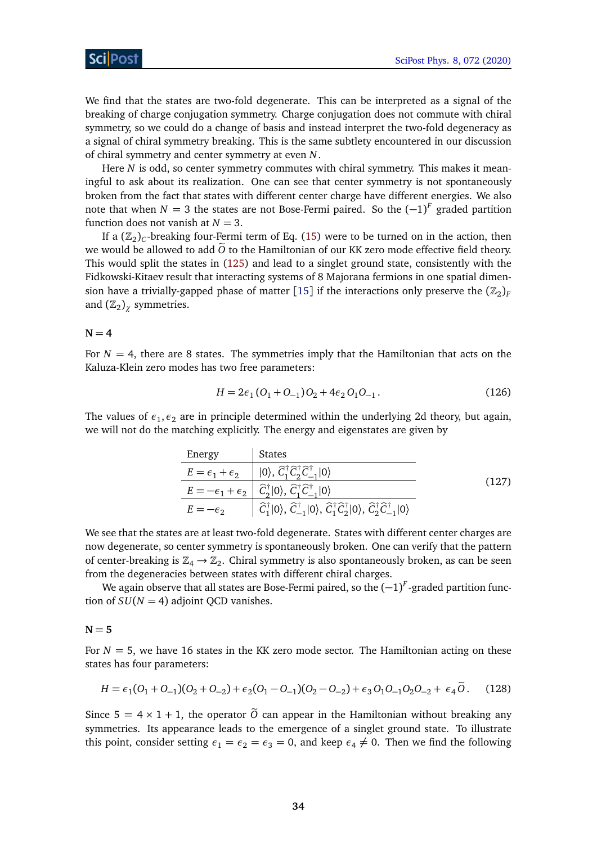We find that the states are two-fold degenerate. This can be interpreted as a signal of the breaking of charge conjugation symmetry. Charge conjugation does not commute with chiral symmetry, so we could do a change of basis and instead interpret the two-fold degeneracy as a signal of chiral symmetry breaking. This is the same subtlety encountered in our discussion of chiral symmetry and center symmetry at even *N*.

Here *N* is odd, so center symmetry commutes with chiral symmetry. This makes it meaningful to ask about its realization. One can see that center symmetry is not spontaneously broken from the fact that states with different center charge have different energies. We also note that when  $N = 3$  the states are not Bose-Fermi paired. So the  $(-1)^F$  graded partition function does not vanish at  $N = 3$ .

If a  $(\mathbb{Z}_2)_C$ -breaking four-Fermi term of Eq. [\(15\)](#page-6-3) were to be turned on in the action, then we would be allowed to add  $\tilde{O}$  to the Hamiltonian of our KK zero mode effective field theory. This would split the states in [\(125\)](#page-32-0) and lead to a singlet ground state, consistently with the Fidkowski-Kitaev result that interacting systems of 8 Majorana fermions in one spatial dimen-sion have a trivially-gapped phase of matter [[15](#page-50-10)] if the interactions only preserve the  $(\mathbb{Z}_2)_F$ and  $(\mathbb{Z}_2)_{\chi}$  symmetries.

#### $N = 4$

For  $N = 4$ , there are 8 states. The symmetries imply that the Hamiltonian that acts on the Kaluza-Klein zero modes has two free parameters:

$$
H = 2\epsilon_1 (O_1 + O_{-1}) O_2 + 4\epsilon_2 O_1 O_{-1}.
$$
\n(126)

The values of  $\epsilon_1$ ,  $\epsilon_2$  are in principle determined within the underlying 2d theory, but again, we will not do the matching explicitly. The energy and eigenstates are given by

| Energy                        | States                                                                                                                                                                  |       |
|-------------------------------|-------------------------------------------------------------------------------------------------------------------------------------------------------------------------|-------|
| $E = \epsilon_1 + \epsilon_2$ | $ $ $ 0\rangle$ , $\widehat{C}_{1}^{\dagger}\widehat{C}_{2}^{\dagger}\widehat{C}_{-1}^{\dagger} 0\rangle$                                                               |       |
|                               | $E=-\epsilon_1+\epsilon_2 \mid \hat{C}_2^{\dagger} 0\rangle, \hat{C}_1^{\dagger} \hat{C}_{-1}^{\dagger} 0\rangle$                                                       | (127) |
| $E=-\epsilon_2$               | $ \hat{C}_1^{\dagger} 0\rangle, \hat{C}_{-1}^{\dagger} 0\rangle, \hat{C}_1^{\dagger} \hat{C}_2^{\dagger} 0\rangle, \hat{C}_2^{\dagger} \hat{C}_{-1}^{\dagger} 0\rangle$ |       |

We see that the states are at least two-fold degenerate. States with different center charges are now degenerate, so center symmetry is spontaneously broken. One can verify that the pattern of center-breaking is  $\mathbb{Z}_4 \to \mathbb{Z}_2$ . Chiral symmetry is also spontaneously broken, as can be seen from the degeneracies between states with different chiral charges.

We again observe that all states are Bose-Fermi paired, so the (−1) *F* -graded partition function of  $SU(N = 4)$  adjoint QCD vanishes.

#### $N = 5$

For  $N = 5$ , we have 16 states in the KK zero mode sector. The Hamiltonian acting on these states has four parameters:

$$
H = \epsilon_1 (O_1 + O_{-1}) (O_2 + O_{-2}) + \epsilon_2 (O_1 - O_{-1}) (O_2 - O_{-2}) + \epsilon_3 O_1 O_{-1} O_2 O_{-2} + \epsilon_4 \tilde{O}.
$$
 (128)

Since  $5 = 4 \times 1 + 1$ , the operator  $\tilde{O}$  can appear in the Hamiltonian without breaking any symmetries. Its appearance leads to the emergence of a singlet ground state. To illustrate this point, consider setting  $\epsilon_1 = \epsilon_2 = \epsilon_3 = 0$ , and keep  $\epsilon_4 \neq 0$ . Then we find the following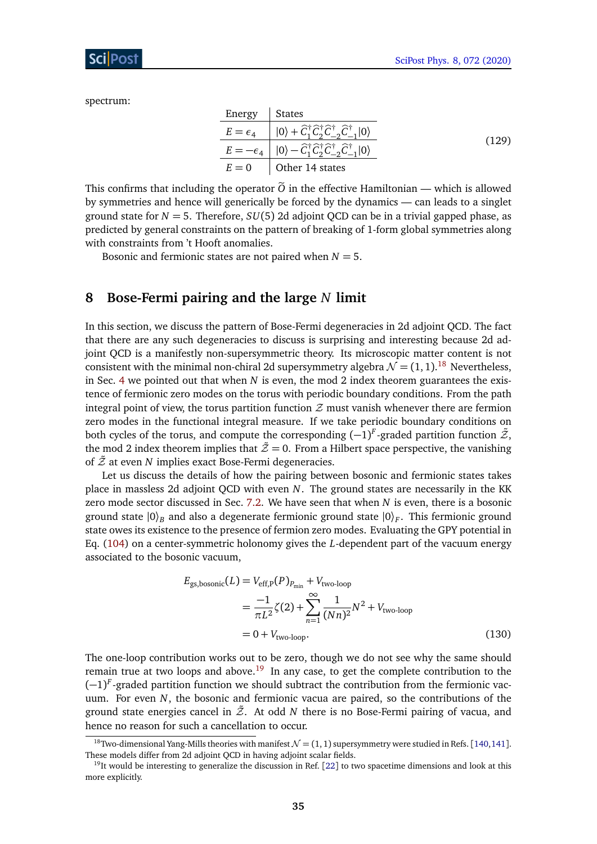spectrum:

| Energy   States |                                                                                                                                                      |       |
|-----------------|------------------------------------------------------------------------------------------------------------------------------------------------------|-------|
|                 | $E = \epsilon_4$ $ 0\rangle + \hat{C}_1^{\dagger} \hat{C}_2^{\dagger} \hat{C}_{-2}^{\dagger} \hat{C}_{-1}^{\dagger}  0\rangle$                       |       |
|                 | $E=-\epsilon_4\parallel  0\rangle - \widehat{C}_1^{\dagger} \widehat{C}_2^{\dagger} \widehat{C}_{-2}^{\dagger} \widehat{C}_{-1}^{\dagger}  0\rangle$ | (129) |
|                 | $E = 0$   Other 14 states                                                                                                                            |       |

This confirms that including the operator  $\tilde{O}$  in the effective Hamiltonian — which is allowed by symmetries and hence will generically be forced by the dynamics — can leads to a singlet ground state for  $N = 5$ . Therefore,  $SU(5)$  2d adjoint QCD can be in a trivial gapped phase, as predicted by general constraints on the pattern of breaking of 1-form global symmetries along with constraints from 't Hooft anomalies.

Bosonic and fermionic states are not paired when *N* = 5.

### <span id="page-34-0"></span>**8 Bose-Fermi pairing and the large** *N* **limit**

In this section, we discuss the pattern of Bose-Fermi degeneracies in 2d adjoint QCD. The fact that there are any such degeneracies to discuss is surprising and interesting because 2d adjoint QCD is a manifestly non-supersymmetric theory. Its microscopic matter content is not consistent with the minimal non-chiral 2d supersymmetry algebra  $\mathcal{N} = (1, 1).^{18}$  $\mathcal{N} = (1, 1).^{18}$  $\mathcal{N} = (1, 1).^{18}$  Nevertheless, in Sec. [4](#page-9-0) we pointed out that when *N* is even, the mod 2 index theorem guarantees the existence of fermionic zero modes on the torus with periodic boundary conditions. From the path integral point of view, the torus partition function  $\mathcal Z$  must vanish whenever there are fermion zero modes in the functional integral measure. If we take periodic boundary conditions on both cycles of the torus, and compute the corresponding  $(-1)^F$ -graded partition function  $\tilde{\mathcal{Z}},$ the mod 2 index theorem implies that  $\tilde{\mathcal{Z}} = 0$ . From a Hilbert space perspective, the vanishing of  $\tilde{Z}$  at even  $N$  implies exact Bose-Fermi degeneracies.

Let us discuss the details of how the pairing between bosonic and fermionic states takes place in massless 2d adjoint QCD with even *N*. The ground states are necessarily in the KK zero mode sector discussed in Sec. [7.2.](#page-29-0) We have seen that when *N* is even, there is a bosonic ground state  $|0\rangle_B$  and also a degenerate fermionic ground state  $|0\rangle_F$ . This fermionic ground state owes its existence to the presence of fermion zero modes. Evaluating the GPY potential in Eq. [\(104\)](#page-29-1) on a center-symmetric holonomy gives the *L*-dependent part of the vacuum energy associated to the bosonic vacuum,

$$
E_{\text{gs,bosonic}}(L) = V_{\text{eff,P}}(P)_{P_{\text{min}}} + V_{\text{two-loop}}
$$
  
= 
$$
\frac{-1}{\pi L^2} \zeta(2) + \sum_{n=1}^{\infty} \frac{1}{(Nn)^2} N^2 + V_{\text{two-loop}}
$$
  
= 0 + V<sub>two-loop</sub>. (130)

The one-loop contribution works out to be zero, though we do not see why the same should remain true at two loops and above.<sup>[19](#page-34-2)</sup> In any case, to get the complete contribution to the (-1)<sup>F</sup>-graded partition function we should subtract the contribution from the fermionic vacuum. For even *N*, the bosonic and fermionic vacua are paired, so the contributions of the ground state energies cancel in  $\tilde{Z}$ . At odd *N* there is no Bose-Fermi pairing of vacua, and hence no reason for such a cancellation to occur.

<span id="page-34-1"></span><sup>&</sup>lt;sup>18</sup>Two-dimensional Yang-Mills theories with manifest  $\mathcal{N} = (1, 1)$  supersymmetry were studied in Refs. [[140,](#page-58-5)[141](#page-58-6)]. These models differ from 2d adjoint QCD in having adjoint scalar fields.

<span id="page-34-2"></span> $19$ It would be interesting to generalize the discussion in Ref. [[22](#page-51-2)] to two spacetime dimensions and look at this more explicitly.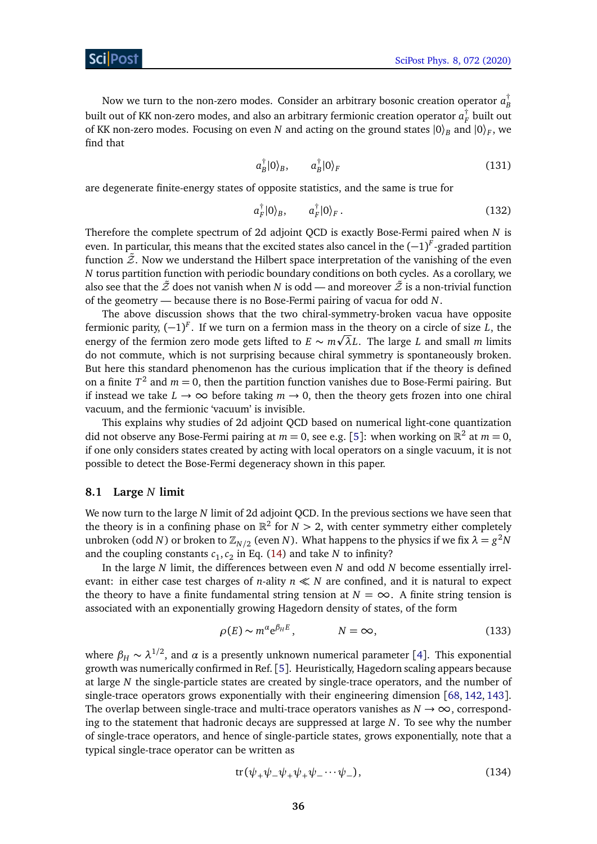Now we turn to the non-zero modes. Consider an arbitrary bosonic creation operator  $a_{\rm r}^\dagger$ *B* built out of KK non-zero modes, and also an arbitrary fermionic creation operator  $a_{\rm {\rm \scriptscriptstyle F}}^{\dag}$ *F* built out of KK non-zero modes. Focusing on even *N* and acting on the ground states  $|0\rangle_B$  and  $|0\rangle_F$ , we find that

$$
a_B^{\dagger}|0\rangle_B, \qquad a_B^{\dagger}|0\rangle_F \tag{131}
$$

are degenerate finite-energy states of opposite statistics, and the same is true for

$$
a_F^{\dagger}|0\rangle_B, \qquad a_F^{\dagger}|0\rangle_F. \qquad (132)
$$

Therefore the complete spectrum of 2d adjoint QCD is exactly Bose-Fermi paired when *N* is even. In particular, this means that the excited states also cancel in the (−1) *F* -graded partition function  $\tilde{\mathcal{Z}}$ . Now we understand the Hilbert space interpretation of the vanishing of the even *N* torus partition function with periodic boundary conditions on both cycles. As a corollary, we also see that the  $\tilde{z}$  does not vanish when *N* is odd — and moreover  $\tilde{z}$  is a non-trivial function of the geometry — because there is no Bose-Fermi pairing of vacua for odd *N*.

The above discussion shows that the two chiral-symmetry-broken vacua have opposite fermionic parity, (−1) *F* . If we turn on a fermion mass in the theory on a circle of size *L*, the p energy of the fermion zero mode gets lifted to  $E \sim m\sqrt{\lambda}L$ . The large *L* and small *m* limits do not commute, which is not surprising because chiral symmetry is spontaneously broken. But here this standard phenomenon has the curious implication that if the theory is defined on a finite  $T^2$  and  $m = 0$ , then the partition function vanishes due to Bose-Fermi pairing. But if instead we take  $L \to \infty$  before taking  $m \to 0$ , then the theory gets frozen into one chiral vacuum, and the fermionic 'vacuum' is invisible.

This explains why studies of 2d adjoint QCD based on numerical light-cone quantization did not observe any Bose-Fermi pairing at  $m = 0$ , see e.g. [[5](#page-50-3)]: when working on  $\mathbb{R}^2$  at  $m = 0$ , if one only considers states created by acting with local operators on a single vacuum, it is not possible to detect the Bose-Fermi degeneracy shown in this paper.

#### <span id="page-35-0"></span>**8.1 Large** *N* **limit**

We now turn to the large *N* limit of 2d adjoint QCD. In the previous sections we have seen that the theory is in a confining phase on  $\mathbb{R}^2$  for  $N > 2$ , with center symmetry either completely unbroken (odd *N*) or broken to  $\mathbb{Z}_{N/2}$  (even *N*). What happens to the physics if we fix  $\lambda = g^2 N$ and the coupling constants  $c_1, c_2$  in Eq. [\(14\)](#page-5-2) and take *N* to infinity?

In the large *N* limit, the differences between even *N* and odd *N* become essentially irrelevant: in either case test charges of *n*-ality  $n \ll N$  are confined, and it is natural to expect the theory to have a finite fundamental string tension at  $N = \infty$ . A finite string tension is associated with an exponentially growing Hagedorn density of states, of the form

$$
\rho(E) \sim m^{\alpha} e^{\beta_H E}, \qquad N = \infty,
$$
\n(133)

where  $\beta_H \thicksim \lambda^{1/2}$ , and  $\alpha$  is a presently unknown numerical parameter [[4](#page-50-14)]. This exponential growth was numerically confirmed in Ref. [[5](#page-50-3)]. Heuristically, Hagedorn scaling appears because at large *N* the single-particle states are created by single-trace operators, and the number of single-trace operators grows exponentially with their engineering dimension [[68,](#page-54-0) [142,](#page-58-7) [143](#page-58-8)]. The overlap between single-trace and multi-trace operators vanishes as  $N \to \infty$ , corresponding to the statement that hadronic decays are suppressed at large *N*. To see why the number of single-trace operators, and hence of single-particle states, grows exponentially, note that a typical single-trace operator can be written as

<span id="page-35-1"></span>
$$
tr(\psi_+\psi_-\psi_+\psi_+\psi_-\cdots\psi_-),\tag{134}
$$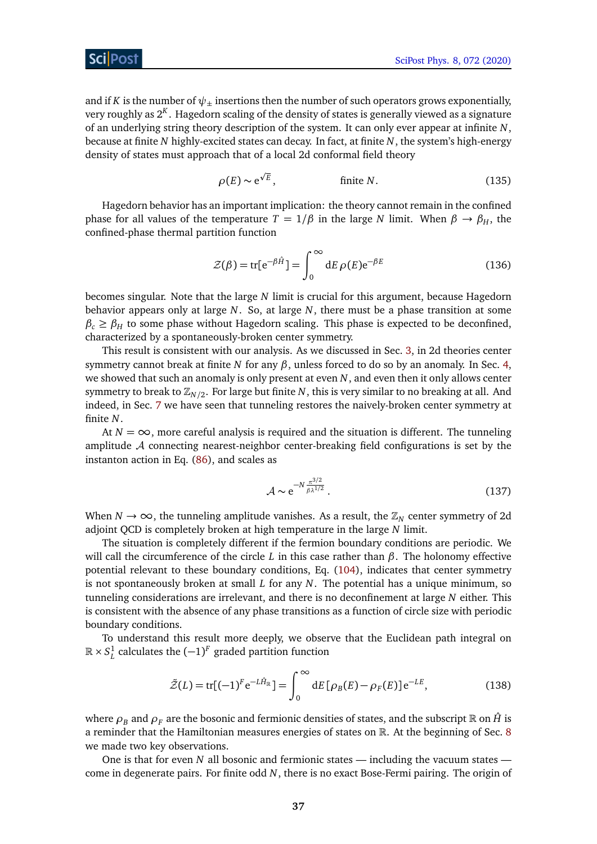and if *K* is the number of  $\psi_{\pm}$  insertions then the number of such operators grows exponentially, very roughly as 2*<sup>K</sup>* . Hagedorn scaling of the density of states is generally viewed as a signature of an underlying string theory description of the system. It can only ever appear at infinite *N*, because at finite *N* highly-excited states can decay. In fact, at finite *N*, the system's high-energy density of states must approach that of a local 2d conformal field theory

$$
\rho(E) \sim e^{\sqrt{E}}, \qquad \text{finite } N. \tag{135}
$$

Hagedorn behavior has an important implication: the theory cannot remain in the confined phase for all values of the temperature  $T = 1/\beta$  in the large *N* limit. When  $\beta \rightarrow \beta_H$ , the confined-phase thermal partition function

$$
\mathcal{Z}(\beta) = \text{tr}[e^{-\beta \hat{H}}] = \int_0^\infty dE \,\rho(E) e^{-\beta E} \tag{136}
$$

becomes singular. Note that the large *N* limit is crucial for this argument, because Hagedorn behavior appears only at large *N*. So, at large *N*, there must be a phase transition at some  $\beta_c \geq \beta_H$  to some phase without Hagedorn scaling. This phase is expected to be deconfined, characterized by a spontaneously-broken center symmetry.

This result is consistent with our analysis. As we discussed in Sec. [3,](#page-6-0) in 2d theories center symmetry cannot break at finite *N* for any  $\beta$ , unless forced to do so by an anomaly. In Sec. [4,](#page-9-0) we showed that such an anomaly is only present at even *N*, and even then it only allows center symmetry to break to  $\mathbb{Z}_{N/2}$ . For large but finite  $N$ , this is very similar to no breaking at all. And indeed, in Sec. [7](#page-23-0) we have seen that tunneling restores the naively-broken center symmetry at finite *N*.

At  $N = \infty$ , more careful analysis is required and the situation is different. The tunneling amplitude  $A$  connecting nearest-neighbor center-breaking field configurations is set by the instanton action in Eq. [\(86\)](#page-27-2), and scales as

$$
\mathcal{A} \sim e^{-N \frac{\pi^{3/2}}{\beta \lambda^{1/2}}}.
$$
\n(137)

When  $N \to \infty$ , the tunneling amplitude vanishes. As a result, the  $\mathbb{Z}_N$  center symmetry of 2d adjoint QCD is completely broken at high temperature in the large *N* limit.

The situation is completely different if the fermion boundary conditions are periodic. We will call the circumference of the circle *L* in this case rather than *β*. The holonomy effective potential relevant to these boundary conditions, Eq. [\(104\)](#page-29-1), indicates that center symmetry is not spontaneously broken at small *L* for any *N*. The potential has a unique minimum, so tunneling considerations are irrelevant, and there is no deconfinement at large *N* either. This is consistent with the absence of any phase transitions as a function of circle size with periodic boundary conditions.

To understand this result more deeply, we observe that the Euclidean path integral on R × *S* 1 *L* calculates the (−1) *F* graded partition function

$$
\tilde{Z}(L) = \text{tr}[(-1)^F e^{-L\hat{H}_{\mathbb{R}}}] = \int_0^\infty dE \left[ \rho_B(E) - \rho_F(E) \right] e^{-LE},\tag{138}
$$

where  $\rho_B$  and  $\rho_F$  are the bosonic and fermionic densities of states, and the subscript R on  $\hat{H}$  is a reminder that the Hamiltonian measures energies of states on R. At the beginning of Sec. [8](#page-34-0) we made two key observations.

One is that for even *N* all bosonic and fermionic states — including the vacuum states come in degenerate pairs. For finite odd *N*, there is no exact Bose-Fermi pairing. The origin of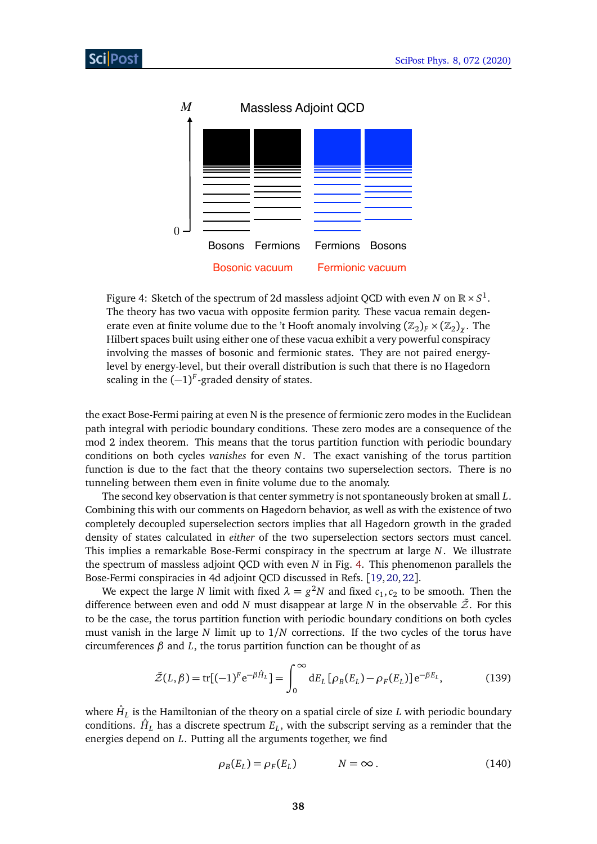<span id="page-37-0"></span>

Figure 4: Sketch of the spectrum of 2d massless adjoint QCD with even *N* on  $\mathbb{R} \times S^1$ . The theory has two vacua with opposite fermion parity. These vacua remain degenerate even at finite volume due to the 't Hooft anomaly involving  $(\mathbb{Z}_2)_F\times(\mathbb{Z}_2)_\chi$  . The Hilbert spaces built using either one of these vacua exhibit a very powerful conspiracy involving the masses of bosonic and fermionic states. They are not paired energylevel by energy-level, but their overall distribution is such that there is no Hagedorn scaling in the  $(-1)^F$ -graded density of states.

the exact Bose-Fermi pairing at even N is the presence of fermionic zero modes in the Euclidean path integral with periodic boundary conditions. These zero modes are a consequence of the mod 2 index theorem. This means that the torus partition function with periodic boundary conditions on both cycles *vanishes* for even *N*. The exact vanishing of the torus partition function is due to the fact that the theory contains two superselection sectors. There is no tunneling between them even in finite volume due to the anomaly.

The second key observation is that center symmetry is not spontaneously broken at small *L*. Combining this with our comments on Hagedorn behavior, as well as with the existence of two completely decoupled superselection sectors implies that all Hagedorn growth in the graded density of states calculated in *either* of the two superselection sectors sectors must cancel. This implies a remarkable Bose-Fermi conspiracy in the spectrum at large *N*. We illustrate the spectrum of massless adjoint QCD with even *N* in Fig. [4.](#page-37-0) This phenomenon parallels the Bose-Fermi conspiracies in 4d adjoint QCD discussed in Refs. [[19,](#page-51-1)[20,](#page-51-9)[22](#page-51-2)].

We expect the large *N* limit with fixed  $\lambda = g^2N$  and fixed  $c_1, c_2$  to be smooth. Then the difference between even and odd *N* must disappear at large *N* in the observable  $\tilde{Z}$ . For this to be the case, the torus partition function with periodic boundary conditions on both cycles must vanish in the large *N* limit up to 1*/N* corrections. If the two cycles of the torus have circumferences *β* and *L*, the torus partition function can be thought of as

$$
\tilde{Z}(L,\beta) = \text{tr}[(-1)^F e^{-\beta \hat{H}_L}] = \int_0^\infty dE_L [\rho_B(E_L) - \rho_F(E_L)] e^{-\beta E_L}, \quad (139)
$$

where  $\hat{H}_L$  is the Hamiltonian of the theory on a spatial circle of size  $L$  with periodic boundary conditions.  $\hat{H}_L$  has a discrete spectrum  $E_L$ , with the subscript serving as a reminder that the energies depend on *L*. Putting all the arguments together, we find

<span id="page-37-1"></span>
$$
\rho_B(E_L) = \rho_F(E_L) \qquad \qquad N = \infty \,.
$$
\n(140)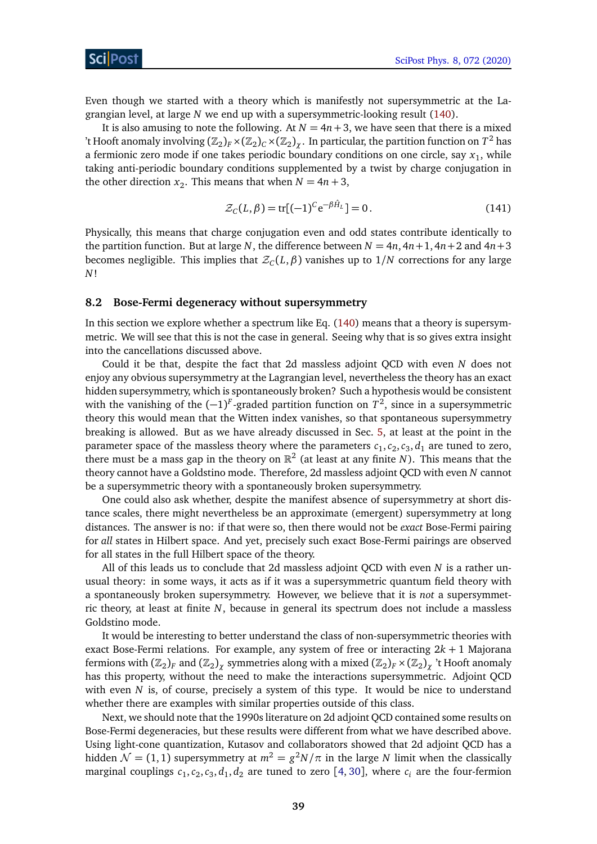Even though we started with a theory which is manifestly not supersymmetric at the Lagrangian level, at large *N* we end up with a supersymmetric-looking result [\(140\)](#page-37-1).

It is also amusing to note the following. At  $N = 4n+3$ , we have seen that there is a mixed 't Hooft anomaly involving  $(\Bbb Z_2)_F \times (\Bbb Z_2)_C \times (\Bbb Z_2)_\chi$  . In particular, the partition function on  $T^2$  has a fermionic zero mode if one takes periodic boundary conditions on one circle, say  $x_1$ , while taking anti-periodic boundary conditions supplemented by a twist by charge conjugation in the other direction  $x_2$ . This means that when  $N = 4n + 3$ ,

$$
\mathcal{Z}_C(L,\beta) = \text{tr}[(-1)^C e^{-\beta \hat{H}_L}] = 0.
$$
 (141)

Physically, this means that charge conjugation even and odd states contribute identically to the partition function. But at large *N*, the difference between  $N = 4n$ ,  $4n + 1$ ,  $4n + 2$  and  $4n + 3$ becomes negligible. This implies that  $\mathcal{Z}_C(L,\beta)$  vanishes up to  $1/N$  corrections for any large *N*!

### <span id="page-38-0"></span>**8.2 Bose-Fermi degeneracy without supersymmetry**

In this section we explore whether a spectrum like Eq. [\(140\)](#page-37-1) means that a theory is supersymmetric. We will see that this is not the case in general. Seeing why that is so gives extra insight into the cancellations discussed above.

Could it be that, despite the fact that 2d massless adjoint QCD with even *N* does not enjoy any obvious supersymmetry at the Lagrangian level, nevertheless the theory has an exact hidden supersymmetry, which is spontaneously broken? Such a hypothesis would be consistent with the vanishing of the  $(-1)^F$ -graded partition function on  $T^2$ , since in a supersymmetric theory this would mean that the Witten index vanishes, so that spontaneous supersymmetry breaking is allowed. But as we have already discussed in Sec. [5,](#page-17-0) at least at the point in the parameter space of the massless theory where the parameters  $c_1, c_2, c_3, d_1$  are tuned to zero, there must be a mass gap in the theory on  $\mathbb{R}^2$  (at least at any finite N). This means that the theory cannot have a Goldstino mode. Therefore, 2d massless adjoint QCD with even *N* cannot be a supersymmetric theory with a spontaneously broken supersymmetry.

One could also ask whether, despite the manifest absence of supersymmetry at short distance scales, there might nevertheless be an approximate (emergent) supersymmetry at long distances. The answer is no: if that were so, then there would not be *exact* Bose-Fermi pairing for *all* states in Hilbert space. And yet, precisely such exact Bose-Fermi pairings are observed for all states in the full Hilbert space of the theory.

All of this leads us to conclude that 2d massless adjoint QCD with even *N* is a rather unusual theory: in some ways, it acts as if it was a supersymmetric quantum field theory with a spontaneously broken supersymmetry. However, we believe that it is *not* a supersymmetric theory, at least at finite *N*, because in general its spectrum does not include a massless Goldstino mode.

It would be interesting to better understand the class of non-supersymmetric theories with exact Bose-Fermi relations. For example, any system of free or interacting 2*k* + 1 Majorana fermions with  $(\mathbb{Z}_2)_F$  and  $(\mathbb{Z}_2)_\chi$  symmetries along with a mixed  $(\mathbb{Z}_2)_F \times (\mathbb{Z}_2)_\chi$  't Hooft anomaly has this property, without the need to make the interactions supersymmetric. Adjoint QCD with even *N* is, of course, precisely a system of this type. It would be nice to understand whether there are examples with similar properties outside of this class.

Next, we should note that the 1990s literature on 2d adjoint QCD contained some results on Bose-Fermi degeneracies, but these results were different from what we have described above. Using light-cone quantization, Kutasov and collaborators showed that 2d adjoint QCD has a hidden  $\mathcal{N} = (1, 1)$  supersymmetry at  $m^2 = g^2 N / \pi$  in the large  $N$  limit when the classically marginal couplings  $c_1, c_2, c_3, d_1, d_2$  are tuned to zero [[4,](#page-50-14) [30](#page-51-10)], where  $c_i$  are the four-fermion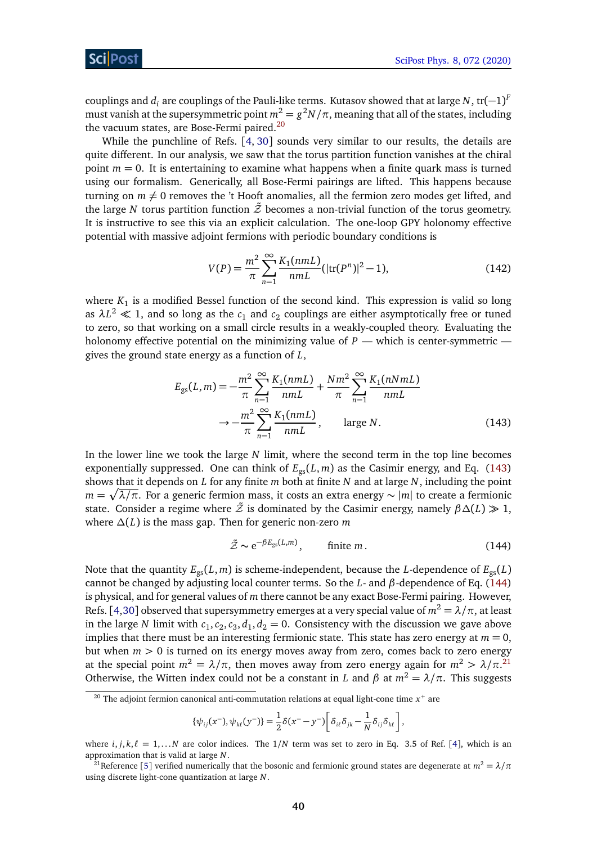couplings and  $d_i$  are couplings of the Pauli-like terms. Kutasov showed that at large  $N$ , tr $(-1)^F$ must vanish at the supersymmetric point  $m^2=g^2N/\pi$ , meaning that all of the states, including the vacuum states, are Bose-Fermi paired.<sup>[20](#page-39-0)</sup>

While the punchline of Refs. [[4,](#page-50-14) [30](#page-51-10)] sounds very similar to our results, the details are quite different. In our analysis, we saw that the torus partition function vanishes at the chiral point  $m = 0$ . It is entertaining to examine what happens when a finite quark mass is turned using our formalism. Generically, all Bose-Fermi pairings are lifted. This happens because turning on  $m \neq 0$  removes the 't Hooft anomalies, all the fermion zero modes get lifted, and the large *N* torus partition function  $\tilde{\mathcal{Z}}$  becomes a non-trivial function of the torus geometry. It is instructive to see this via an explicit calculation. The one-loop GPY holonomy effective potential with massive adjoint fermions with periodic boundary conditions is

<span id="page-39-4"></span>
$$
V(P) = \frac{m^2}{\pi} \sum_{n=1}^{\infty} \frac{K_1(nmL)}{nmL} (|\text{tr}(P^n)|^2 - 1),
$$
 (142)

where  $K_1$  is a modified Bessel function of the second kind. This expression is valid so long as  $\lambda L^2 \ll 1$ , and so long as the  $c_1$  and  $c_2$  couplings are either asymptotically free or tuned to zero, so that working on a small circle results in a weakly-coupled theory. Evaluating the holonomy effective potential on the minimizing value of  $P$  — which is center-symmetric gives the ground state energy as a function of *L*,

$$
E_{gs}(L,m) = -\frac{m^2}{\pi} \sum_{n=1}^{\infty} \frac{K_1(nmL)}{nmL} + \frac{Nm^2}{\pi} \sum_{n=1}^{\infty} \frac{K_1(nNmL)}{nmL}
$$

$$
\rightarrow -\frac{m^2}{\pi} \sum_{n=1}^{\infty} \frac{K_1(nmL)}{nmL}, \qquad \text{large } N. \tag{143}
$$

In the lower line we took the large *N* limit, where the second term in the top line becomes exponentially suppressed. One can think of  $E_{gs}(L, m)$  as the Casimir energy, and Eq. [\(143\)](#page-39-1) shows that it depends on *L* for any finite *m* both at finite *N* and at large *N*, including the point *m* = p *λ/π*. For a generic fermion mass, it costs an extra energy ∼ |*m*| to create a fermionic state. Consider a regime where  $\tilde{Z}$  is dominated by the Casimir energy, namely  $\beta \Delta(L) \gg 1$ , where *∆*(*L*) is the mass gap. Then for generic non-zero *m*

<span id="page-39-2"></span><span id="page-39-1"></span>
$$
\tilde{Z} \sim e^{-\beta E_{\rm gs}(L,m)}, \qquad \text{finite } m. \tag{144}
$$

Note that the quantity  $E_{gs}(L, m)$  is scheme-independent, because the *L*-dependence of  $E_{gs}(L)$ cannot be changed by adjusting local counter terms. So the *L*- and *β*-dependence of Eq. [\(144\)](#page-39-2) is physical, and for general values of *m* there cannot be any exact Bose-Fermi pairing. However, Refs. [[4,](#page-50-14)[30](#page-51-10)] observed that supersymmetry emerges at a very special value of  $m^2 = \lambda/\pi$ , at least in the large *N* limit with  $c_1$ ,  $c_2$ ,  $c_3$ ,  $d_1$ ,  $d_2 = 0$ . Consistency with the discussion we gave above implies that there must be an interesting fermionic state. This state has zero energy at  $m = 0$ , but when  $m > 0$  is turned on its energy moves away from zero, comes back to zero energy at the special point  $m^2 = \lambda/\pi$ , then moves away from zero energy again for  $m^2 > \lambda/\pi$ .<sup>[21](#page-39-3)</sup> Otherwise, the Witten index could not be a constant in *L* and  $\beta$  at  $m^2 = \lambda/\pi$ . This suggests

$$
\{\psi_{ij}(x^-),\psi_{k\ell}(y^-)\}=\frac{1}{2}\delta(x^- - y^-)\bigg[\delta_{i\ell}\delta_{jk} - \frac{1}{N}\delta_{ij}\delta_{k\ell}\bigg],
$$

<span id="page-39-0"></span> $^{20}$  The adjoint fermion canonical anti-commutation relations at equal light-cone time  $x^{+}$  are

where  $i, j, k, \ell = 1, \ldots N$  are color indices. The  $1/N$  term was set to zero in Eq. 3.5 of Ref. [[4](#page-50-14)], which is an approximation that is valid at large *N*.

<span id="page-39-3"></span><sup>&</sup>lt;sup>21</sup>Reference [[5](#page-50-3)] verified numerically that the bosonic and fermionic ground states are degenerate at  $m^2 = \lambda/\pi$ using discrete light-cone quantization at large *N*.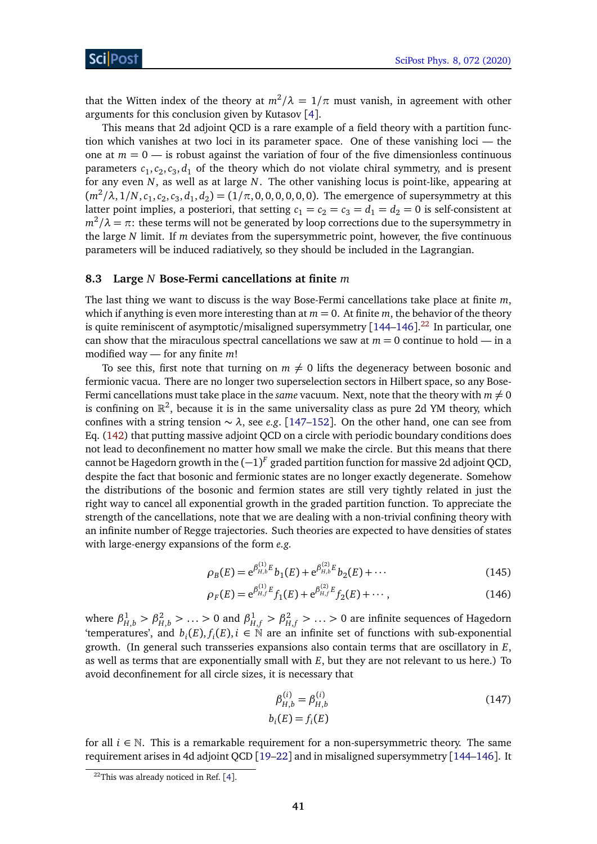that the Witten index of the theory at  $m^2/\lambda = 1/\pi$  must vanish, in agreement with other arguments for this conclusion given by Kutasov [[4](#page-50-14)].

This means that 2d adjoint QCD is a rare example of a field theory with a partition function which vanishes at two loci in its parameter space. One of these vanishing loci — the one at  $m = 0$  — is robust against the variation of four of the five dimensionless continuous parameters  $c_1, c_2, c_3, d_1$  of the theory which do not violate chiral symmetry, and is present for any even *N*, as well as at large *N*. The other vanishing locus is point-like, appearing at  $(m^2/\lambda, 1/N, c_1, c_2, c_3, d_1, d_2) = (1/\pi, 0, 0, 0, 0, 0)$ . The emergence of supersymmetry at this latter point implies, a posteriori, that setting  $c_1 = c_2 = c_3 = d_1 = d_2 = 0$  is self-consistent at  $m^2/\lambda = \pi$ : these terms will not be generated by loop corrections due to the supersymmetry in the large *N* limit. If *m* deviates from the supersymmetric point, however, the five continuous parameters will be induced radiatively, so they should be included in the Lagrangian.

#### <span id="page-40-0"></span>**8.3 Large** *N* **Bose-Fermi cancellations at finite** *m*

The last thing we want to discuss is the way Bose-Fermi cancellations take place at finite *m*, which if anything is even more interesting than at  $m = 0$ . At finite  $m$ , the behavior of the theory is quite reminiscent of asymptotic/misaligned supersymmetry [[144–](#page-58-9)[146](#page-58-10)]. $^\mathrm{22}$  $^\mathrm{22}$  $^\mathrm{22}$  In particular, one can show that the miraculous spectral cancellations we saw at  $m = 0$  continue to hold — in a modified way — for any finite *m*!

To see this, first note that turning on  $m \neq 0$  lifts the degeneracy between bosonic and fermionic vacua. There are no longer two superselection sectors in Hilbert space, so any Bose-Fermi cancellations must take place in the *same* vacuum. Next, note that the theory with  $m \neq 0$ is confining on  $\mathbb{R}^2$ , because it is in the same universality class as pure 2d YM theory, which confines with a string tension ∼ *λ*, see *e.g*. [[147–](#page-58-11)[152](#page-58-12)]. On the other hand, one can see from Eq. [\(142\)](#page-39-4) that putting massive adjoint QCD on a circle with periodic boundary conditions does not lead to deconfinement no matter how small we make the circle. But this means that there cannot be Hagedorn growth in the  $(-1)^F$  graded partition function for massive 2d adjoint QCD, despite the fact that bosonic and fermionic states are no longer exactly degenerate. Somehow the distributions of the bosonic and fermion states are still very tightly related in just the right way to cancel all exponential growth in the graded partition function. To appreciate the strength of the cancellations, note that we are dealing with a non-trivial confining theory with an infinite number of Regge trajectories. Such theories are expected to have densities of states with large-energy expansions of the form *e.g.*

$$
\rho_B(E) = e^{\beta_{H,b}^{(1)}E} b_1(E) + e^{\beta_{H,b}^{(2)}E} b_2(E) + \cdots
$$
\n(145)

$$
\rho_F(E) = e^{\beta_{H,f}^{(1)}} E_{f_1}(E) + e^{\beta_{H,f}^{(2)}} E_{f_2}(E) + \cdots, \qquad (146)
$$

where  $\beta_{H,b}^1 > \beta_{H,b}^2 > ... > 0$  and  $\beta_{H,f}^1 > \beta_{H,f}^2 > ... > 0$  are infinite sequences of Hagedorn 'temperatures', and  $b_i(E)$ ,  $f_i(E)$ ,  $i \in \mathbb{N}$  are an infinite set of functions with sub-exponential growth. (In general such transseries expansions also contain terms that are oscillatory in *E*, as well as terms that are exponentially small with *E*, but they are not relevant to us here.) To avoid deconfinement for all circle sizes, it is necessary that

$$
\beta_{H,b}^{(i)} = \beta_{H,b}^{(i)}
$$
\n
$$
b_i(E) = f_i(E)
$$
\n(147)

for all  $i \in \mathbb{N}$ . This is a remarkable requirement for a non-supersymmetric theory. The same requirement arises in 4d adjoint QCD [[19–](#page-51-1)[22](#page-51-2)] and in misaligned supersymmetry [[144–](#page-58-9)[146](#page-58-10)]. It

<span id="page-40-1"></span> $22$ This was already noticed in Ref. [[4](#page-50-14)].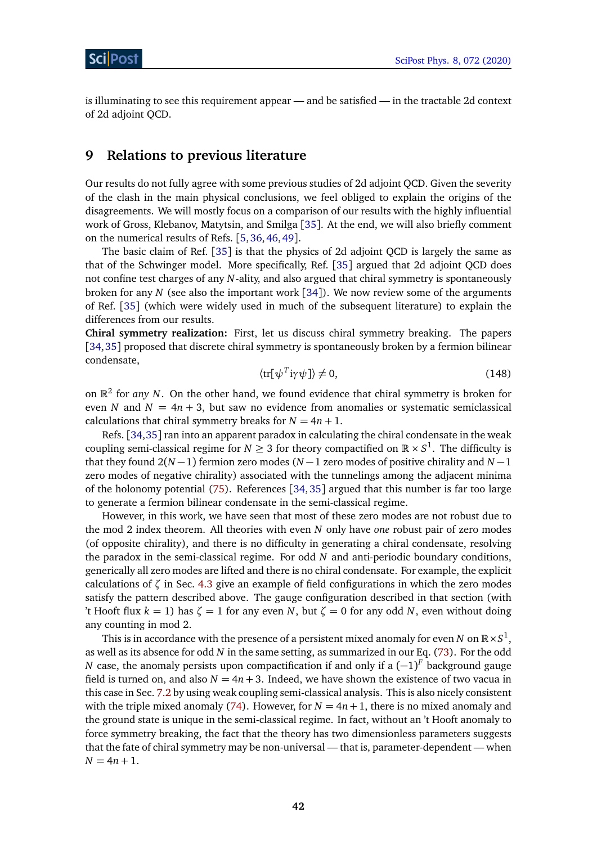is illuminating to see this requirement appear — and be satisfied — in the tractable 2d context of 2d adjoint QCD.

### <span id="page-41-0"></span>**9 Relations to previous literature**

Our results do not fully agree with some previous studies of 2d adjoint QCD. Given the severity of the clash in the main physical conclusions, we feel obliged to explain the origins of the disagreements. We will mostly focus on a comparison of our results with the highly influential work of Gross, Klebanov, Matytsin, and Smilga [[35](#page-52-0)]. At the end, we will also briefly comment on the numerical results of Refs. [[5,](#page-50-3)[36,](#page-52-3)[46,](#page-52-4)[49](#page-52-5)].

The basic claim of Ref. [[35](#page-52-0)] is that the physics of 2d adjoint QCD is largely the same as that of the Schwinger model. More specifically, Ref. [[35](#page-52-0)] argued that 2d adjoint QCD does not confine test charges of any *N*-ality, and also argued that chiral symmetry is spontaneously broken for any *N* (see also the important work [[34](#page-52-2)]). We now review some of the arguments of Ref. [[35](#page-52-0)] (which were widely used in much of the subsequent literature) to explain the differences from our results.

**Chiral symmetry realization:** First, let us discuss chiral symmetry breaking. The papers [[34,](#page-52-2)[35](#page-52-0)] proposed that discrete chiral symmetry is spontaneously broken by a fermion bilinear condensate,

$$
\langle \text{tr}[\psi^T \text{i}\gamma \psi] \rangle \neq 0,\tag{148}
$$

on  $\mathbb{R}^2$  for *any N*. On the other hand, we found evidence that chiral symmetry is broken for even *N* and  $N = 4n + 3$ , but saw no evidence from anomalies or systematic semiclassical calculations that chiral symmetry breaks for  $N = 4n + 1$ .

Refs. [[34,](#page-52-2)[35](#page-52-0)] ran into an apparent paradox in calculating the chiral condensate in the weak coupling semi-classical regime for  $N \geq 3$  for theory compactified on  $\mathbb{R} \times S^1$ . The difficulty is that they found 2(*N* −1) fermion zero modes (*N* −1 zero modes of positive chirality and *N* −1 zero modes of negative chirality) associated with the tunnelings among the adjacent minima of the holonomy potential [\(75\)](#page-25-1). References [[34,](#page-52-2) [35](#page-52-0)] argued that this number is far too large to generate a fermion bilinear condensate in the semi-classical regime.

However, in this work, we have seen that most of these zero modes are not robust due to the mod 2 index theorem. All theories with even *N* only have *one* robust pair of zero modes (of opposite chirality), and there is no difficulty in generating a chiral condensate, resolving the paradox in the semi-classical regime. For odd *N* and anti-periodic boundary conditions, generically all zero modes are lifted and there is no chiral condensate. For example, the explicit calculations of  $\zeta$  in Sec. [4.3](#page-13-0) give an example of field configurations in which the zero modes satisfy the pattern described above. The gauge configuration described in that section (with 't Hooft flux  $k = 1$ ) has  $\zeta = 1$  for any even *N*, but  $\zeta = 0$  for any odd *N*, even without doing any counting in mod 2.

This is in accordance with the presence of a persistent mixed anomaly for even  $N$  on  $\mathbb{R}\times S^1,$ as well as its absence for odd *N* in the same setting, as summarized in our Eq. [\(73\)](#page-24-1). For the odd *N* case, the anomaly persists upon compactification if and only if a  $(-1)^F$  background gauge field is turned on, and also  $N = 4n + 3$ . Indeed, we have shown the existence of two vacua in this case in Sec. [7.2](#page-29-0) by using weak coupling semi-classical analysis. This is also nicely consistent with the triple mixed anomaly [\(74\)](#page-24-2). However, for  $N = 4n + 1$ , there is no mixed anomaly and the ground state is unique in the semi-classical regime. In fact, without an 't Hooft anomaly to force symmetry breaking, the fact that the theory has two dimensionless parameters suggests that the fate of chiral symmetry may be non-universal — that is, parameter-dependent — when  $N = 4n + 1.$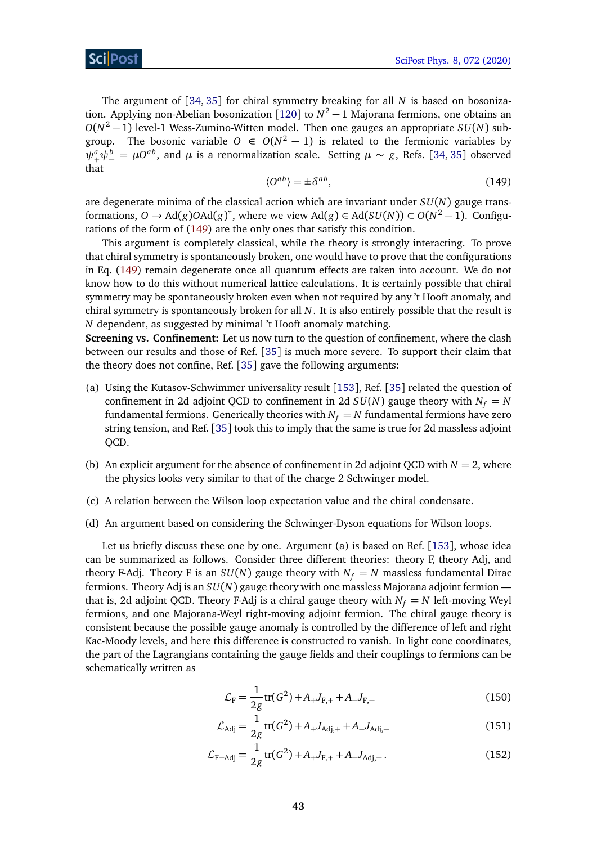The argument of [[34,](#page-52-2) [35](#page-52-0)] for chiral symmetry breaking for all *N* is based on bosonization. Applying non-Abelian bosonization [[120](#page-57-3)] to *N* <sup>2</sup> − 1 Majorana fermions, one obtains an *O*(*N* <sup>2</sup> − 1) level-1 Wess-Zumino-Witten model. Then one gauges an appropriate *SU*(*N*) subgroup. The bosonic variable  $O \in O(N^2 - 1)$  is related to the fermionic variables by  $\psi^a_+\psi^b_-=\mu O^{ab}$ , and  $\mu$  is a renormalization scale. Setting  $\mu \sim g$ , Refs. [[34,](#page-52-2) [35](#page-52-0)] observed that

$$
\langle O^{ab} \rangle = \pm \delta^{ab},\tag{149}
$$

<span id="page-42-0"></span>are degenerate minima of the classical action which are invariant under *SU*(*N*) gauge transformations, *O* → Ad(*g*)*O*Ad(*g*)<sup>†</sup>, where we view Ad(*g*) ∈ Ad(*SU*(*N*)) ⊂ *O*(*N*<sup>2</sup> − 1). Configurations of the form of [\(149\)](#page-42-0) are the only ones that satisfy this condition.

This argument is completely classical, while the theory is strongly interacting. To prove that chiral symmetry is spontaneously broken, one would have to prove that the configurations in Eq. [\(149\)](#page-42-0) remain degenerate once all quantum effects are taken into account. We do not know how to do this without numerical lattice calculations. It is certainly possible that chiral symmetry may be spontaneously broken even when not required by any 't Hooft anomaly, and chiral symmetry is spontaneously broken for all *N*. It is also entirely possible that the result is *N* dependent, as suggested by minimal 't Hooft anomaly matching.

**Screening vs. Confinement:** Let us now turn to the question of confinement, where the clash between our results and those of Ref. [[35](#page-52-0)] is much more severe. To support their claim that the theory does not confine, Ref. [[35](#page-52-0)] gave the following arguments:

- (a) Using the Kutasov-Schwimmer universality result [[153](#page-59-0)], Ref. [[35](#page-52-0)] related the question of confinement in 2d adjoint QCD to confinement in 2d  $SU(N)$  gauge theory with  $N_f = N$ fundamental fermions. Generically theories with  $N_f = N$  fundamental fermions have zero string tension, and Ref. [[35](#page-52-0)] took this to imply that the same is true for 2d massless adjoint QCD.
- (b) An explicit argument for the absence of confinement in 2d adjoint QCD with  $N = 2$ , where the physics looks very similar to that of the charge 2 Schwinger model.
- (c) A relation between the Wilson loop expectation value and the chiral condensate.
- (d) An argument based on considering the Schwinger-Dyson equations for Wilson loops.

Let us briefly discuss these one by one. Argument (a) is based on Ref. [[153](#page-59-0)], whose idea can be summarized as follows. Consider three different theories: theory F, theory Adj, and theory F-Adj. Theory F is an  $SU(N)$  gauge theory with  $N_f = N$  massless fundamental Dirac fermions. Theory Adj is an *SU*(*N*) gauge theory with one massless Majorana adjoint fermion that is, 2d adjoint QCD. Theory F-Adj is a chiral gauge theory with  $N_f = N$  left-moving Weyl fermions, and one Majorana-Weyl right-moving adjoint fermion. The chiral gauge theory is consistent because the possible gauge anomaly is controlled by the difference of left and right Kac-Moody levels, and here this difference is constructed to vanish. In light cone coordinates, the part of the Lagrangians containing the gauge fields and their couplings to fermions can be schematically written as

$$
\mathcal{L}_{\rm F} = \frac{1}{2g} \text{tr}(G^2) + A_+ J_{\rm F,+} + A_- J_{\rm F,-}
$$
\n(150)

$$
\mathcal{L}_{\text{Adj}} = \frac{1}{2g} \text{tr}(G^2) + A_+ J_{\text{Adj},+} + A_- J_{\text{Adj},-}
$$
\n(151)

$$
\mathcal{L}_{\text{F-Adj}} = \frac{1}{2g} \text{tr}(G^2) + A_+ J_{\text{F},+} + A_- J_{\text{Adj},-} \,. \tag{152}
$$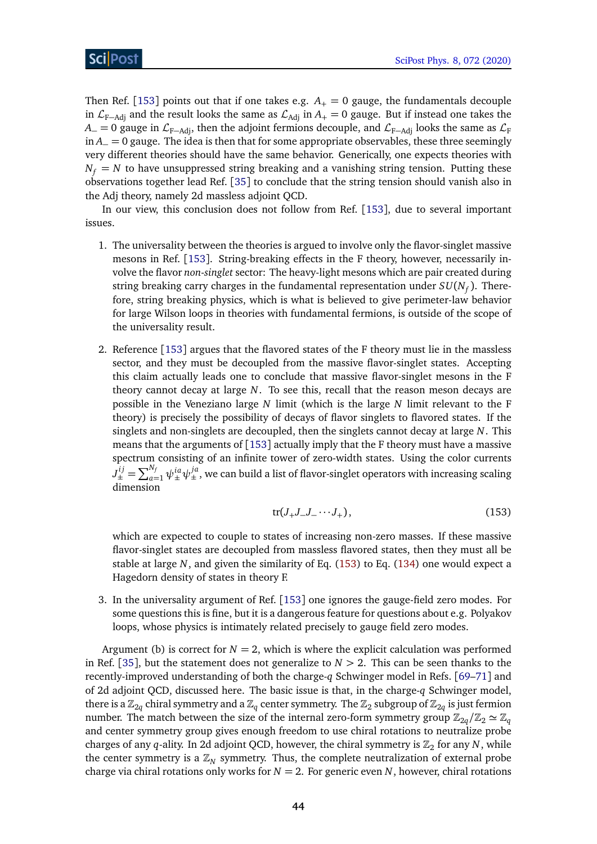Then Ref. [[153](#page-59-0)] points out that if one takes e.g.  $A_+ = 0$  gauge, the fundamentals decouple in  $\mathcal{L}_{F-\text{Adj}}$  and the result looks the same as  $\mathcal{L}_{\text{Adj}}$  in  $A_{+} = 0$  gauge. But if instead one takes the  $A_$  = 0 gauge in  $\mathcal{L}_{F-Adi}$ , then the adjoint fermions decouple, and  $\mathcal{L}_{F-Adi}$  looks the same as  $\mathcal{L}_F$ in *A*<sup>−</sup> = 0 gauge. The idea is then that for some appropriate observables, these three seemingly very different theories should have the same behavior. Generically, one expects theories with  $N_f = N$  to have unsuppressed string breaking and a vanishing string tension. Putting these observations together lead Ref. [[35](#page-52-0)] to conclude that the string tension should vanish also in the Adj theory, namely 2d massless adjoint QCD.

In our view, this conclusion does not follow from Ref. [[153](#page-59-0)], due to several important issues.

- 1. The universality between the theories is argued to involve only the flavor-singlet massive mesons in Ref. [[153](#page-59-0)]. String-breaking effects in the F theory, however, necessarily involve the flavor *non-singlet* sector: The heavy-light mesons which are pair created during string breaking carry charges in the fundamental representation under *SU*(*N<sup>f</sup>* ). Therefore, string breaking physics, which is what is believed to give perimeter-law behavior for large Wilson loops in theories with fundamental fermions, is outside of the scope of the universality result.
- 2. Reference [[153](#page-59-0)] argues that the flavored states of the F theory must lie in the massless sector, and they must be decoupled from the massive flavor-singlet states. Accepting this claim actually leads one to conclude that massive flavor-singlet mesons in the F theory cannot decay at large *N*. To see this, recall that the reason meson decays are possible in the Veneziano large *N* limit (which is the large *N* limit relevant to the F theory) is precisely the possibility of decays of flavor singlets to flavored states. If the singlets and non-singlets are decoupled, then the singlets cannot decay at large *N*. This means that the arguments of  $[153]$  $[153]$  $[153]$  actually imply that the F theory must have a massive spectrum consisting of an infinite tower of zero-width states. Using the color currents  $J^{ij}_\pm=\sum_{a=1}^{N_f}\psi^{ia}_\pm\psi^{ja}_\pm,$  we can build a list of flavor-singlet operators with increasing scaling dimension

<span id="page-43-0"></span>
$$
\text{tr}(J_+J_-J_- \cdots J_+),\tag{153}
$$

which are expected to couple to states of increasing non-zero masses. If these massive flavor-singlet states are decoupled from massless flavored states, then they must all be stable at large *N*, and given the similarity of Eq. [\(153\)](#page-43-0) to Eq. [\(134\)](#page-35-1) one would expect a Hagedorn density of states in theory F.

3. In the universality argument of Ref. [[153](#page-59-0)] one ignores the gauge-field zero modes. For some questions this is fine, but it is a dangerous feature for questions about e.g. Polyakov loops, whose physics is intimately related precisely to gauge field zero modes.

Argument (b) is correct for  $N = 2$ , which is where the explicit calculation was performed in Ref. [[35](#page-52-0)], but the statement does not generalize to  $N > 2$ . This can be seen thanks to the recently-improved understanding of both the charge-*q* Schwinger model in Refs. [[69](#page-54-1)[–71](#page-54-2)] and of 2d adjoint QCD, discussed here. The basic issue is that, in the charge-*q* Schwinger model, there is a  $\mathbb{Z}_{2q}$  chiral symmetry and a  $\mathbb{Z}_q$  center symmetry. The  $\mathbb{Z}_2$  subgroup of  $\mathbb{Z}_{2q}$  is just fermion number. The match between the size of the internal zero-form symmetry group  $\mathbb{Z}_{2a}/\mathbb{Z}_2 \simeq \mathbb{Z}_a$ and center symmetry group gives enough freedom to use chiral rotations to neutralize probe charges of any *q*-ality. In 2d adjoint QCD, however, the chiral symmetry is  $\mathbb{Z}_2$  for any *N*, while the center symmetry is a  $\mathbb{Z}_N$  symmetry. Thus, the complete neutralization of external probe charge via chiral rotations only works for  $N = 2$ . For generic even  $N$ , however, chiral rotations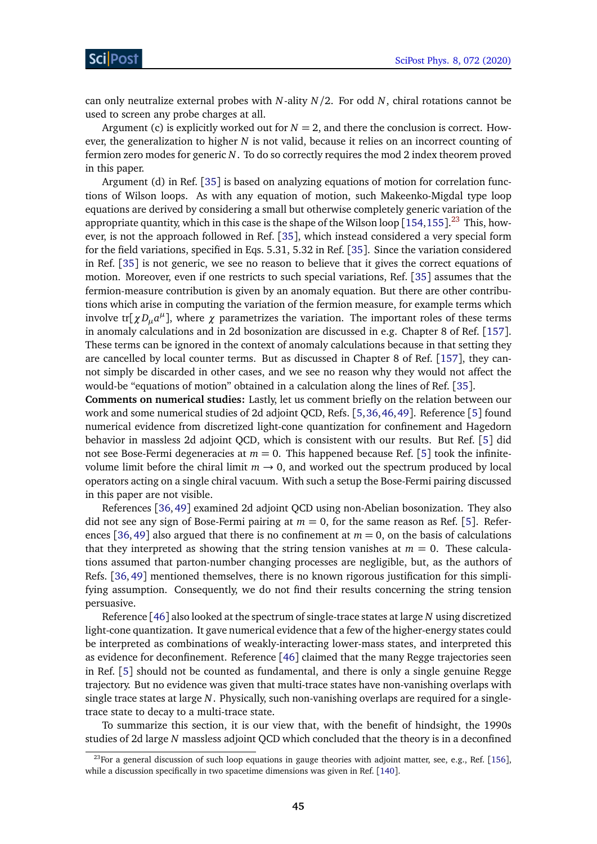can only neutralize external probes with *N*-ality *N/*2. For odd *N*, chiral rotations cannot be used to screen any probe charges at all.

Argument (c) is explicitly worked out for  $N = 2$ , and there the conclusion is correct. However, the generalization to higher *N* is not valid, because it relies on an incorrect counting of fermion zero modes for generic *N*. To do so correctly requires the mod 2 index theorem proved in this paper.

Argument (d) in Ref. [[35](#page-52-0)] is based on analyzing equations of motion for correlation functions of Wilson loops. As with any equation of motion, such Makeenko-Migdal type loop equations are derived by considering a small but otherwise completely generic variation of the appropriate quantity, which in this case is the shape of the Wilson loop [[154,](#page-59-1)[155](#page-59-2)]. $^{23}$  $^{23}$  $^{23}$  This, however, is not the approach followed in Ref. [[35](#page-52-0)], which instead considered a very special form for the field variations, specified in Eqs. 5.31, 5.32 in Ref. [[35](#page-52-0)]. Since the variation considered in Ref. [[35](#page-52-0)] is not generic, we see no reason to believe that it gives the correct equations of motion. Moreover, even if one restricts to such special variations, Ref. [[35](#page-52-0)] assumes that the fermion-measure contribution is given by an anomaly equation. But there are other contributions which arise in computing the variation of the fermion measure, for example terms which involve tr[ $\chi D_\mu a^\mu$ ], where  $\chi$  parametrizes the variation. The important roles of these terms in anomaly calculations and in 2d bosonization are discussed in e.g. Chapter 8 of Ref. [[157](#page-59-3)]. These terms can be ignored in the context of anomaly calculations because in that setting they are cancelled by local counter terms. But as discussed in Chapter 8 of Ref. [[157](#page-59-3)], they cannot simply be discarded in other cases, and we see no reason why they would not affect the would-be "equations of motion" obtained in a calculation along the lines of Ref. [[35](#page-52-0)].

**Comments on numerical studies:** Lastly, let us comment briefly on the relation between our work and some numerical studies of 2d adjoint QCD, Refs. [[5,](#page-50-3)[36,](#page-52-3)[46,](#page-52-4)[49](#page-52-5)]. Reference [[5](#page-50-3)] found numerical evidence from discretized light-cone quantization for confinement and Hagedorn behavior in massless 2d adjoint QCD, which is consistent with our results. But Ref. [[5](#page-50-3)] did not see Bose-Fermi degeneracies at  $m = 0$ . This happened because Ref. [[5](#page-50-3)] took the infinitevolume limit before the chiral limit  $m \rightarrow 0$ , and worked out the spectrum produced by local operators acting on a single chiral vacuum. With such a setup the Bose-Fermi pairing discussed in this paper are not visible.

References [[36,](#page-52-3)[49](#page-52-5)] examined 2d adjoint QCD using non-Abelian bosonization. They also did not see any sign of Bose-Fermi pairing at  $m = 0$ , for the same reason as Ref. [[5](#page-50-3)]. Refer-ences [[36,](#page-52-3)[49](#page-52-5)] also argued that there is no confinement at  $m = 0$ , on the basis of calculations that they interpreted as showing that the string tension vanishes at  $m = 0$ . These calculations assumed that parton-number changing processes are negligible, but, as the authors of Refs. [[36,](#page-52-3) [49](#page-52-5)] mentioned themselves, there is no known rigorous justification for this simplifying assumption. Consequently, we do not find their results concerning the string tension persuasive.

Reference [[46](#page-52-4)] also looked at the spectrum of single-trace states at large *N* using discretized light-cone quantization. It gave numerical evidence that a few of the higher-energy states could be interpreted as combinations of weakly-interacting lower-mass states, and interpreted this as evidence for deconfinement. Reference [[46](#page-52-4)] claimed that the many Regge trajectories seen in Ref. [[5](#page-50-3)] should not be counted as fundamental, and there is only a single genuine Regge trajectory. But no evidence was given that multi-trace states have non-vanishing overlaps with single trace states at large *N*. Physically, such non-vanishing overlaps are required for a singletrace state to decay to a multi-trace state.

To summarize this section, it is our view that, with the benefit of hindsight, the 1990s studies of 2d large *N* massless adjoint QCD which concluded that the theory is in a deconfined

<span id="page-44-0"></span><sup>&</sup>lt;sup>23</sup>For a general discussion of such loop equations in gauge theories with adjoint matter, see, e.g., Ref. [[156](#page-59-4)], while a discussion specifically in two spacetime dimensions was given in Ref. [[140](#page-58-5)].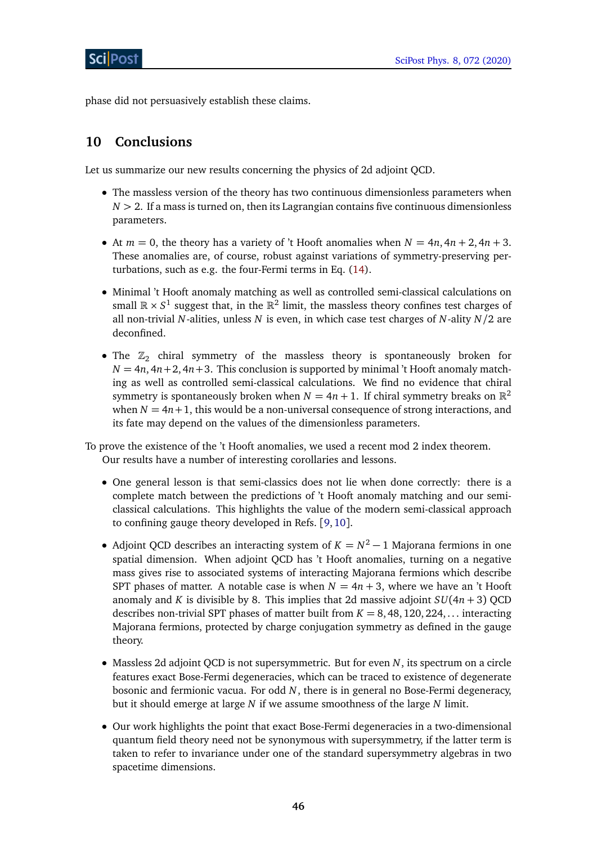phase did not persuasively establish these claims.

# <span id="page-45-0"></span>**10 Conclusions**

Let us summarize our new results concerning the physics of 2d adjoint QCD.

- The massless version of the theory has two continuous dimensionless parameters when  $N > 2$ . If a mass is turned on, then its Lagrangian contains five continuous dimensionless parameters.
- At  $m = 0$ , the theory has a variety of 't Hooft anomalies when  $N = 4n, 4n + 2, 4n + 3$ . These anomalies are, of course, robust against variations of symmetry-preserving perturbations, such as e.g. the four-Fermi terms in Eq. [\(14\)](#page-5-2).
- Minimal 't Hooft anomaly matching as well as controlled semi-classical calculations on small  $\mathbb{R}\times S^1$  suggest that, in the  $\mathbb{R}^2$  limit, the massless theory confines test charges of all non-trivial *N*-alities, unless *N* is even, in which case test charges of *N*-ality *N/*2 are deconfined.
- The  $\mathbb{Z}_2$  chiral symmetry of the massless theory is spontaneously broken for  $N = 4n$ ,  $4n + 2$ ,  $4n + 3$ . This conclusion is supported by minimal 't Hooft anomaly matching as well as controlled semi-classical calculations. We find no evidence that chiral symmetry is spontaneously broken when  $N = 4n + 1$ . If chiral symmetry breaks on  $\mathbb{R}^2$ when  $N = 4n+1$ , this would be a non-universal consequence of strong interactions, and its fate may depend on the values of the dimensionless parameters.

To prove the existence of the 't Hooft anomalies, we used a recent mod 2 index theorem. Our results have a number of interesting corollaries and lessons.

- One general lesson is that semi-classics does not lie when done correctly: there is a complete match between the predictions of 't Hooft anomaly matching and our semiclassical calculations. This highlights the value of the modern semi-classical approach to confining gauge theory developed in Refs. [[9,](#page-50-6)[10](#page-50-7)].
- Adjoint QCD describes an interacting system of  $K = N^2 1$  Majorana fermions in one spatial dimension. When adjoint QCD has 't Hooft anomalies, turning on a negative mass gives rise to associated systems of interacting Majorana fermions which describe SPT phases of matter. A notable case is when  $N = 4n + 3$ , where we have an 't Hooft anomaly and *K* is divisible by 8. This implies that 2d massive adjoint  $SU(4n + 3)$  QCD describes non-trivial SPT phases of matter built from  $K = 8, 48, 120, 224, \ldots$  interacting Majorana fermions, protected by charge conjugation symmetry as defined in the gauge theory.
- Massless 2d adjoint QCD is not supersymmetric. But for even *N*, its spectrum on a circle features exact Bose-Fermi degeneracies, which can be traced to existence of degenerate bosonic and fermionic vacua. For odd *N*, there is in general no Bose-Fermi degeneracy, but it should emerge at large *N* if we assume smoothness of the large *N* limit.
- Our work highlights the point that exact Bose-Fermi degeneracies in a two-dimensional quantum field theory need not be synonymous with supersymmetry, if the latter term is taken to refer to invariance under one of the standard supersymmetry algebras in two spacetime dimensions.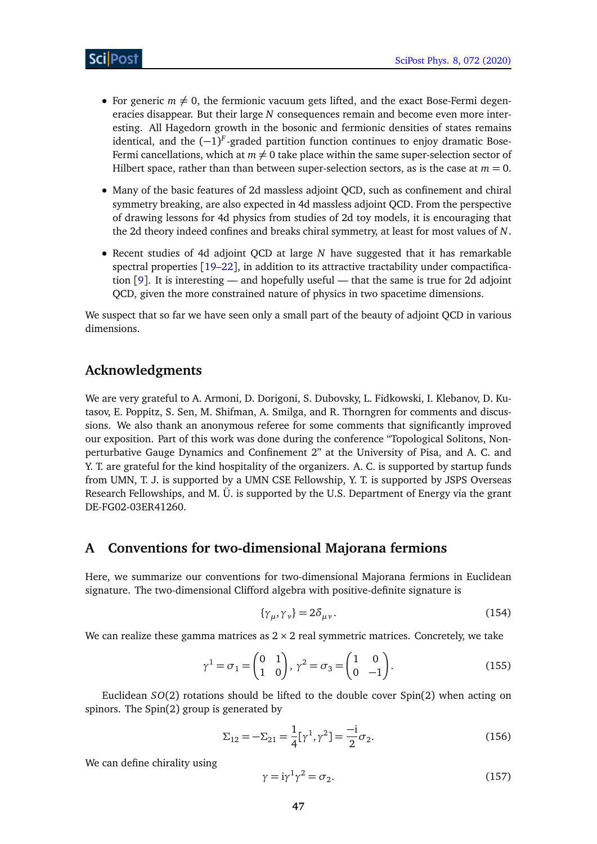- For generic  $m \neq 0$ , the fermionic vacuum gets lifted, and the exact Bose-Fermi degeneracies disappear. But their large *N* consequences remain and become even more interesting. All Hagedorn growth in the bosonic and fermionic densities of states remains identical, and the (−1) *F* -graded partition function continues to enjoy dramatic Bose-Fermi cancellations, which at  $m \neq 0$  take place within the same super-selection sector of Hilbert space, rather than than between super-selection sectors, as is the case at  $m = 0$ .
- Many of the basic features of 2d massless adjoint QCD, such as confinement and chiral symmetry breaking, are also expected in 4d massless adjoint QCD. From the perspective of drawing lessons for 4d physics from studies of 2d toy models, it is encouraging that the 2d theory indeed confines and breaks chiral symmetry, at least for most values of *N*.
- Recent studies of 4d adjoint QCD at large *N* have suggested that it has remarkable spectral properties [[19–](#page-51-1)[22](#page-51-2)], in addition to its attractive tractability under compactification [[9](#page-50-6)]. It is interesting — and hopefully useful — that the same is true for 2d adjoint QCD, given the more constrained nature of physics in two spacetime dimensions.

We suspect that so far we have seen only a small part of the beauty of adjoint QCD in various dimensions.

### **Acknowledgments**

We are very grateful to A. Armoni, D. Dorigoni, S. Dubovsky, L. Fidkowski, I. Klebanov, D. Kutasov, E. Poppitz, S. Sen, M. Shifman, A. Smilga, and R. Thorngren for comments and discussions. We also thank an anonymous referee for some comments that significantly improved our exposition. Part of this work was done during the conference "Topological Solitons, Nonperturbative Gauge Dynamics and Confinement 2" at the University of Pisa, and A. C. and Y. T. are grateful for the kind hospitality of the organizers. A. C. is supported by startup funds from UMN, T. J. is supported by a UMN CSE Fellowship, Y. T. is supported by JSPS Overseas Research Fellowships, and M. Ü. is supported by the U.S. Department of Energy via the grant DE-FG02-03ER41260.

### <span id="page-46-0"></span>**A Conventions for two-dimensional Majorana fermions**

Here, we summarize our conventions for two-dimensional Majorana fermions in Euclidean signature. The two-dimensional Clifford algebra with positive-definite signature is

$$
\{\gamma_{\mu}, \gamma_{\nu}\} = 2\delta_{\mu\nu}.\tag{154}
$$

We can realize these gamma matrices as  $2 \times 2$  real symmetric matrices. Concretely, we take

$$
\gamma^1 = \sigma_1 = \begin{pmatrix} 0 & 1 \\ 1 & 0 \end{pmatrix}, \ \gamma^2 = \sigma_3 = \begin{pmatrix} 1 & 0 \\ 0 & -1 \end{pmatrix}.
$$
 (155)

Euclidean *SO*(2) rotations should be lifted to the double cover Spin(2) when acting on spinors. The Spin(2) group is generated by

$$
\Sigma_{12} = -\Sigma_{21} = \frac{1}{4} [\gamma^1, \gamma^2] = \frac{-i}{2} \sigma_2.
$$
 (156)

We can define chirality using

$$
\gamma = i\gamma^1 \gamma^2 = \sigma_2. \tag{157}
$$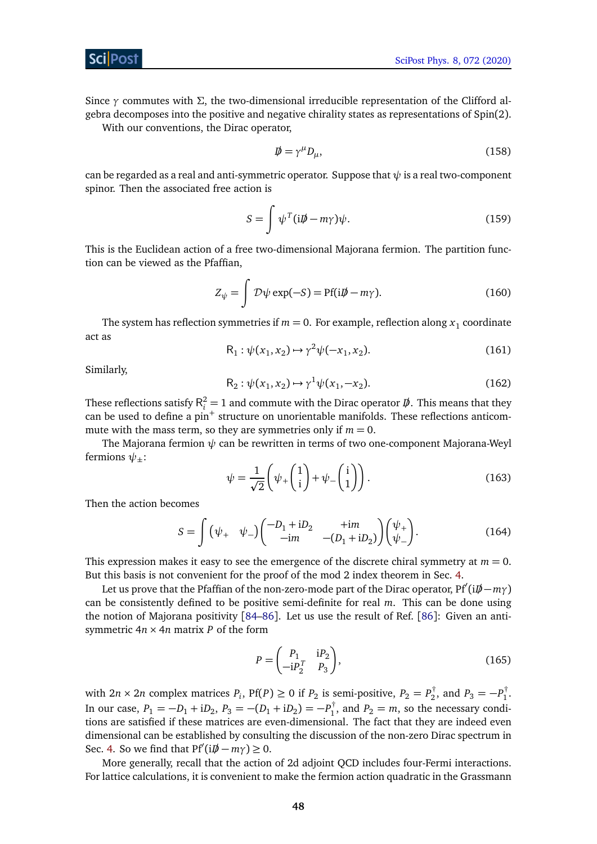Since *γ* commutes with *Σ*, the two-dimensional irreducible representation of the Clifford algebra decomposes into the positive and negative chirality states as representations of Spin(2).

With our conventions, the Dirac operator,

$$
\vec{\psi} = \gamma^{\mu} D_{\mu},\tag{158}
$$

can be regarded as a real and anti-symmetric operator. Suppose that  $\psi$  is a real two-component spinor. Then the associated free action is

$$
S = \int \psi^T (i\rlap{\,/}D - m\gamma)\psi. \tag{159}
$$

This is the Euclidean action of a free two-dimensional Majorana fermion. The partition function can be viewed as the Pfaffian,

$$
Z_{\psi} = \int \mathcal{D}\psi \exp(-S) = \text{Pf}(i\rlap{\,/}D - m\gamma). \tag{160}
$$

The system has reflection symmetries if  $m=0.$  For example, reflection along  $x_1$  coordinate act as

$$
R_1: \psi(x_1, x_2) \mapsto \gamma^2 \psi(-x_1, x_2). \tag{161}
$$

Similarly,

$$
R_2: \psi(x_1, x_2) \mapsto \gamma^1 \psi(x_1, -x_2). \tag{162}
$$

These reflections satisfy  $R_i^2 = 1$  and commute with the Dirac operator  $D\!\!\!\!/$ . This means that they can be used to define a  $pin<sup>+</sup>$  structure on unorientable manifolds. These reflections anticommute with the mass term, so they are symmetries only if  $m = 0$ .

The Majorana fermion *ψ* can be rewritten in terms of two one-component Majorana-Weyl fermions  $\psi_+$ :

$$
\psi = \frac{1}{\sqrt{2}} \left( \psi_+ \begin{pmatrix} 1 \\ i \end{pmatrix} + \psi_- \begin{pmatrix} i \\ 1 \end{pmatrix} \right).
$$
 (163)

Then the action becomes

$$
S = \int (\psi_+ \quad \psi_-) \begin{pmatrix} -D_1 + iD_2 & +im \\ -im & -(D_1 + iD_2) \end{pmatrix} \begin{pmatrix} \psi_+ \\ \psi_- \end{pmatrix} . \tag{164}
$$

This expression makes it easy to see the emergence of the discrete chiral symmetry at  $m = 0$ . But this basis is not convenient for the proof of the mod 2 index theorem in Sec. [4.](#page-9-0)

let us prove that the Pfaffian of the non-zero-mode part of the Dirac operator, Pf'(i $D\rightarrow m\gamma$ ) can be consistently defined to be positive semi-definite for real *m*. This can be done using the notion of Majorana positivity [[84](#page-54-11)[–86](#page-55-0)]. Let us use the result of Ref. [[86](#page-55-0)]: Given an antisymmetric  $4n \times 4n$  matrix *P* of the form

$$
P = \begin{pmatrix} P_1 & \mathbf{i}P_2 \\ -\mathbf{i}P_2^T & P_3 \end{pmatrix},\tag{165}
$$

with  $2n \times 2n$  complex matrices  $P_i$ ,  $Pf(P) \ge 0$  if  $P_2$  is semi-positive,  $P_2 = P_2^{\dagger}$  $P_2^{\dagger}$ , and  $P_3 = -P_1^{\dagger}$  $\frac{1}{1}$ . In our case,  $P_1 = -D_1 + iD_2$ ,  $P_3 = -(D_1 + iD_2) = -P_1^{\dagger}$  $P_1$ <sup>'</sup>, and  $P_2 = m$ , so the necessary conditions are satisfied if these matrices are even-dimensional. The fact that they are indeed even dimensional can be established by consulting the discussion of the non-zero Dirac spectrum in Sec. [4.](#page-9-0) So we find that  $Pf'(i\psi - m\gamma) \ge 0$ .

More generally, recall that the action of 2d adjoint QCD includes four-Fermi interactions. For lattice calculations, it is convenient to make the fermion action quadratic in the Grassmann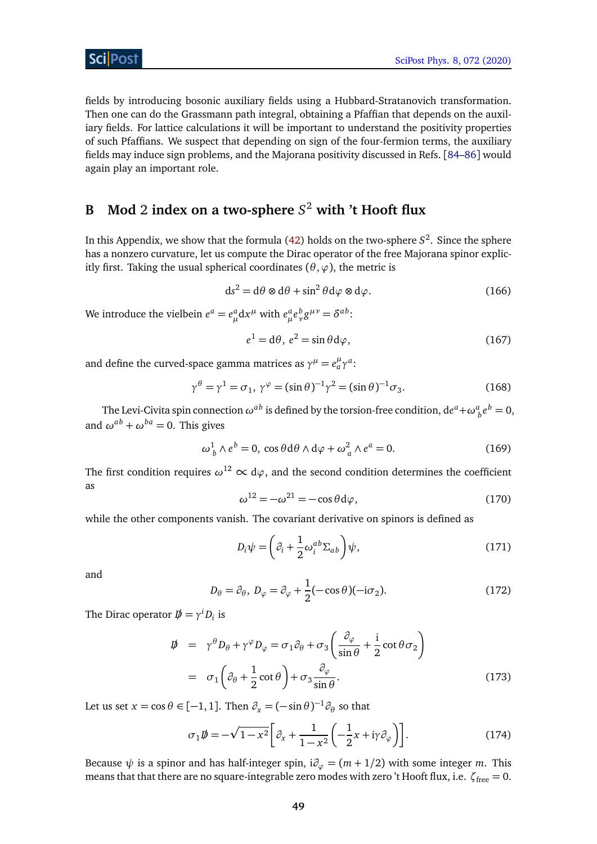fields by introducing bosonic auxiliary fields using a Hubbard-Stratanovich transformation. Then one can do the Grassmann path integral, obtaining a Pfaffian that depends on the auxiliary fields. For lattice calculations it will be important to understand the positivity properties of such Pfaffians. We suspect that depending on sign of the four-fermion terms, the auxiliary fields may induce sign problems, and the Majorana positivity discussed in Refs. [[84](#page-54-11)[–86](#page-55-0)] would again play an important role.

# <span id="page-48-0"></span>**B Mod** 2 **index on a two-sphere** *S* <sup>2</sup> **with 't Hooft flux**

In this Appendix, we show that the formula [\(42\)](#page-13-1) holds on the two-sphere *S* 2 . Since the sphere has a nonzero curvature, let us compute the Dirac operator of the free Majorana spinor explicitly first. Taking the usual spherical coordinates  $(\theta, \varphi)$ , the metric is

$$
ds^{2} = d\theta \otimes d\theta + \sin^{2} \theta d\varphi \otimes d\varphi.
$$
 (166)

We introduce the vielbein  $e^a = e^a_\mu \mathrm{d}x^\mu$  with  $e^a_\mu e^b_\nu g^{\mu\nu} = \delta^{ab}$ :

$$
e^{1} = d\theta, e^{2} = \sin \theta d\varphi,
$$
 (167)

and define the curved-space gamma matrices as  $\gamma^{\mu} = e^{\mu}_{a}\gamma^{a}$ :

$$
\gamma^{\theta} = \gamma^1 = \sigma_1, \ \gamma^{\varphi} = (\sin \theta)^{-1} \gamma^2 = (\sin \theta)^{-1} \sigma_3. \tag{168}
$$

The Levi-Civita spin connection  $\omega^{ab}$  is defined by the torsion-free condition,  $de^a + \omega^a_{\ b}e^b = 0$ , and  $\omega^{ab} + \omega^{ba} = 0$ . This gives

$$
\omega_b^1 \wedge e^b = 0, \cos \theta \, d\theta \wedge d\varphi + \omega_a^2 \wedge e^a = 0. \tag{169}
$$

The first condition requires  $\omega^{12} \propto d\varphi$ , and the second condition determines the coefficient as

$$
\omega^{12} = -\omega^{21} = -\cos\theta \, d\varphi,\tag{170}
$$

while the other components vanish. The covariant derivative on spinors is defined as

$$
D_i \psi = \left(\partial_i + \frac{1}{2} \omega_i^{ab} \Sigma_{ab}\right) \psi,\tag{171}
$$

and

$$
D_{\theta} = \partial_{\theta}, \ D_{\varphi} = \partial_{\varphi} + \frac{1}{2} (-\cos \theta)(-i\sigma_2). \tag{172}
$$

The Dirac operator  $D \!\!\!\!/ = \gamma^i D_i$  is

$$
\begin{split} \n\vec{p} &= \gamma^{\theta} D_{\theta} + \gamma^{\varphi} D_{\varphi} = \sigma_{1} \partial_{\theta} + \sigma_{3} \left( \frac{\partial_{\varphi}}{\sin \theta} + \frac{\mathrm{i}}{2} \cot \theta \sigma_{2} \right) \\ \n&= \sigma_{1} \left( \partial_{\theta} + \frac{1}{2} \cot \theta \right) + \sigma_{3} \frac{\partial_{\varphi}}{\sin \theta} . \n\end{split} \tag{173}
$$

Let us set  $x = \cos \theta \in [-1, 1]$ . Then  $\partial_x = (-\sin \theta)^{-1} \partial_\theta$  so that

$$
\sigma_1 \not{D} = -\sqrt{1 - x^2} \bigg[ \partial_x + \frac{1}{1 - x^2} \bigg( -\frac{1}{2} x + i \gamma \partial_\varphi \bigg) \bigg]. \tag{174}
$$

Because  $\psi$  is a spinor and has half-integer spin,  $i\partial_{\varphi} = (m + 1/2)$  with some integer *m*. This means that that there are no square-integrable zero modes with zero 't Hooft flux, i.e.  $\zeta$ <sub>free</sub> = 0.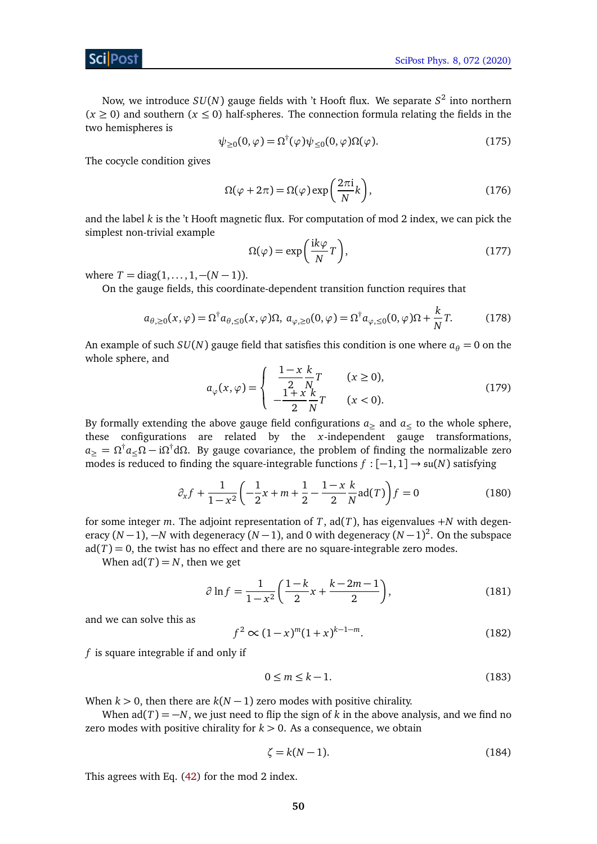Now, we introduce *SU*(*N*) gauge fields with 't Hooft flux. We separate *S* 2 into northern  $(x \ge 0)$  and southern  $(x \le 0)$  half-spheres. The connection formula relating the fields in the two hemispheres is

$$
\psi_{\geq 0}(0,\varphi) = \Omega^{\dagger}(\varphi)\psi_{\leq 0}(0,\varphi)\Omega(\varphi). \tag{175}
$$

The cocycle condition gives

$$
\Omega(\varphi + 2\pi) = \Omega(\varphi) \exp\left(\frac{2\pi i}{N}k\right),\tag{176}
$$

and the label *k* is the 't Hooft magnetic flux. For computation of mod 2 index, we can pick the simplest non-trivial example

$$
\Omega(\varphi) = \exp\left(\frac{\mathrm{i}k\varphi}{N}T\right),\tag{177}
$$

where  $T = diag(1, \ldots, 1, -(N-1)).$ 

On the gauge fields, this coordinate-dependent transition function requires that

$$
a_{\theta,\geq 0}(x,\varphi) = \Omega^{\dagger} a_{\theta,\leq 0}(x,\varphi)\Omega, \ a_{\varphi,\geq 0}(0,\varphi) = \Omega^{\dagger} a_{\varphi,\leq 0}(0,\varphi)\Omega + \frac{k}{N}T. \tag{178}
$$

An example of such  $SU(N)$  gauge field that satisfies this condition is one where  $a_{\theta} = 0$  on the whole sphere, and

$$
a_{\varphi}(x,\varphi) = \begin{cases} \frac{1-x}{2} \frac{k}{N} T & (x \ge 0), \\ -\frac{1+x}{2} \frac{k}{N} T & (x < 0). \end{cases}
$$
(179)

By formally extending the above gauge field configurations  $a_{\geq}$  and  $a_{\leq}$  to the whole sphere, these configurations are related by the *x*-independent gauge transformations,  $a_\geq=\Omega^\dagger a_\leq \Omega-{\rm i}\Omega^\dagger{\rm d}\Omega.$  By gauge covariance, the problem of finding the normalizable zero modes is reduced to finding the square-integrable functions *f* : [−1, 1] → su(*N*) satisfying

$$
\partial_x f + \frac{1}{1 - x^2} \left( -\frac{1}{2} x + m + \frac{1}{2} - \frac{1 - x}{2} \frac{k}{N} \operatorname{ad}(T) \right) f = 0 \tag{180}
$$

for some integer *m*. The adjoint representation of *T*, ad(*T*), has eigenvalues +*N* with degeneracy (*N* −1), −*N* with degeneracy (*N* −1), and 0 with degeneracy (*N* −1) 2 . On the subspace  $ad(T) = 0$ , the twist has no effect and there are no square-integrable zero modes.

When  $ad(T) = N$ , then we get

$$
\partial \ln f = \frac{1}{1 - x^2} \left( \frac{1 - k}{2} x + \frac{k - 2m - 1}{2} \right),\tag{181}
$$

and we can solve this as

$$
f^2 \propto (1-x)^m (1+x)^{k-1-m}.\tag{182}
$$

*f* is square integrable if and only if

$$
0 \le m \le k - 1. \tag{183}
$$

When  $k > 0$ , then there are  $k(N - 1)$  zero modes with positive chirality.

When  $ad(T) = -N$ , we just need to flip the sign of *k* in the above analysis, and we find no zero modes with positive chirality for  $k > 0$ . As a consequence, we obtain

<span id="page-49-0"></span>
$$
\zeta = k(N-1). \tag{184}
$$

This agrees with Eq. [\(42\)](#page-13-1) for the mod 2 index.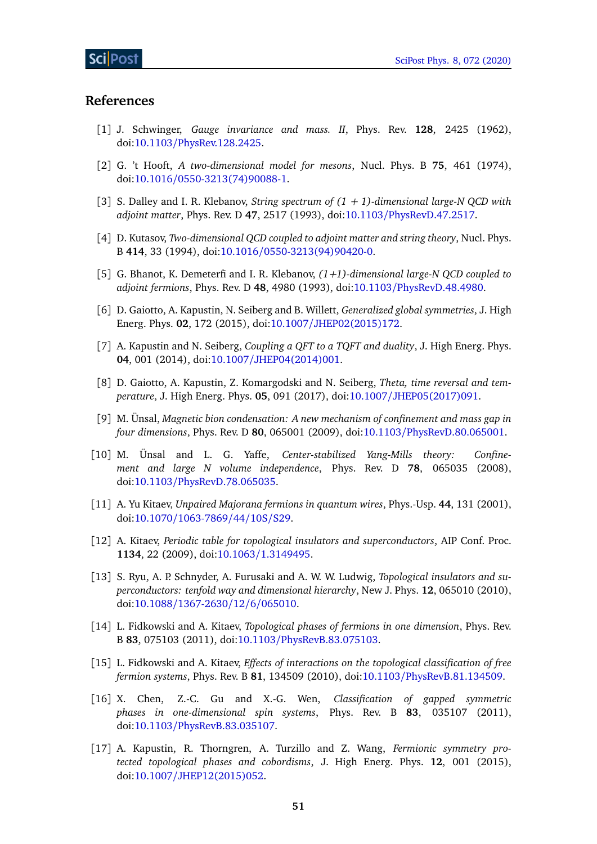### **References**

- <span id="page-50-0"></span>[1] J. Schwinger, *Gauge invariance and mass. II*, Phys. Rev. **128**, 2425 (1962), doi:10.1103/[PhysRev.128.2425.](http://dx.doi.org/10.1103/PhysRev.128.2425)
- <span id="page-50-1"></span>[2] G. 't Hooft, *A two-dimensional model for mesons*, Nucl. Phys. B **75**, 461 (1974), doi:10.1016/[0550-3213\(74\)90088-1.](http://dx.doi.org/10.1016/0550-3213(74)90088-1)
- <span id="page-50-2"></span>[3] S. Dalley and I. R. Klebanov, *String spectrum of (1 + 1)-dimensional large-N QCD with adjoint matter*, Phys. Rev. D **47**, 2517 (1993), doi:10.1103/[PhysRevD.47.2517.](http://dx.doi.org/10.1103/PhysRevD.47.2517)
- <span id="page-50-14"></span>[4] D. Kutasov, *Two-dimensional QCD coupled to adjoint matter and string theory*, Nucl. Phys. B **414**, 33 (1994), doi:10.1016/[0550-3213\(94\)90420-0.](http://dx.doi.org/10.1016/0550-3213(94)90420-0)
- <span id="page-50-3"></span>[5] G. Bhanot, K. Demeterfi and I. R. Klebanov, *(1+1)-dimensional large-N QCD coupled to adjoint fermions*, Phys. Rev. D **48**, 4980 (1993), doi:10.1103/[PhysRevD.48.4980.](http://dx.doi.org/10.1103/PhysRevD.48.4980)
- <span id="page-50-4"></span>[6] D. Gaiotto, A. Kapustin, N. Seiberg and B. Willett, *Generalized global symmetries*, J. High Energ. Phys. **02**, 172 (2015), doi:10.1007/[JHEP02\(2015\)172.](http://dx.doi.org/10.1007/JHEP02(2015)172)
- <span id="page-50-12"></span>[7] A. Kapustin and N. Seiberg, *Coupling a QFT to a TQFT and duality*, J. High Energ. Phys. **04**, 001 (2014), doi:10.1007/[JHEP04\(2014\)001.](http://dx.doi.org/10.1007/JHEP04(2014)001)
- <span id="page-50-5"></span>[8] D. Gaiotto, A. Kapustin, Z. Komargodski and N. Seiberg, *Theta, time reversal and temperature*, J. High Energ. Phys. **05**, 091 (2017), doi:10.1007/[JHEP05\(2017\)091.](http://dx.doi.org/10.1007/JHEP05(2017)091)
- <span id="page-50-6"></span>[9] M. Ünsal, *Magnetic bion condensation: A new mechanism of confinement and mass gap in four dimensions*, Phys. Rev. D **80**, 065001 (2009), doi:10.1103/[PhysRevD.80.065001.](http://dx.doi.org/10.1103/PhysRevD.80.065001)
- <span id="page-50-7"></span>[10] M. Ünsal and L. G. Yaffe, *Center-stabilized Yang-Mills theory: Confinement and large N volume independence*, Phys. Rev. D **78**, 065035 (2008), doi:10.1103/[PhysRevD.78.065035.](http://dx.doi.org/10.1103/PhysRevD.78.065035)
- <span id="page-50-8"></span>[11] A. Yu Kitaev, *Unpaired Majorana fermions in quantum wires*, Phys.-Usp. **44**, 131 (2001), doi:10.1070/[1063-7869](http://dx.doi.org/10.1070/1063-7869/44/10S/S29)/44/10S/S29.
- [12] A. Kitaev, *Periodic table for topological insulators and superconductors*, AIP Conf. Proc. **1134**, 22 (2009), doi:10.1063/[1.3149495.](http://dx.doi.org/10.1063/1.3149495)
- [13] S. Ryu, A. P. Schnyder, A. Furusaki and A. W. W. Ludwig, *Topological insulators and superconductors: tenfold way and dimensional hierarchy*, New J. Phys. **12**, 065010 (2010), doi:10.1088/[1367-2630](http://dx.doi.org/10.1088/1367-2630/12/6/065010)/12/6/065010.
- <span id="page-50-9"></span>[14] L. Fidkowski and A. Kitaev, *Topological phases of fermions in one dimension*, Phys. Rev. B **83**, 075103 (2011), doi:10.1103/[PhysRevB.83.075103.](http://dx.doi.org/10.1103/PhysRevB.83.075103)
- <span id="page-50-10"></span>[15] L. Fidkowski and A. Kitaev, *Effects of interactions on the topological classification of free fermion systems*, Phys. Rev. B **81**, 134509 (2010), doi:10.1103/[PhysRevB.81.134509.](http://dx.doi.org/10.1103/PhysRevB.81.134509)
- <span id="page-50-11"></span>[16] X. Chen, Z.-C. Gu and X.-G. Wen, *Classification of gapped symmetric phases in one-dimensional spin systems*, Phys. Rev. B **83**, 035107 (2011), doi:10.1103/[PhysRevB.83.035107.](http://dx.doi.org/10.1103/PhysRevB.83.035107)
- <span id="page-50-13"></span>[17] A. Kapustin, R. Thorngren, A. Turzillo and Z. Wang, *Fermionic symmetry protected topological phases and cobordisms*, J. High Energ. Phys. **12**, 001 (2015), doi:10.1007/[JHEP12\(2015\)052.](http://dx.doi.org/10.1007/JHEP12(2015)052)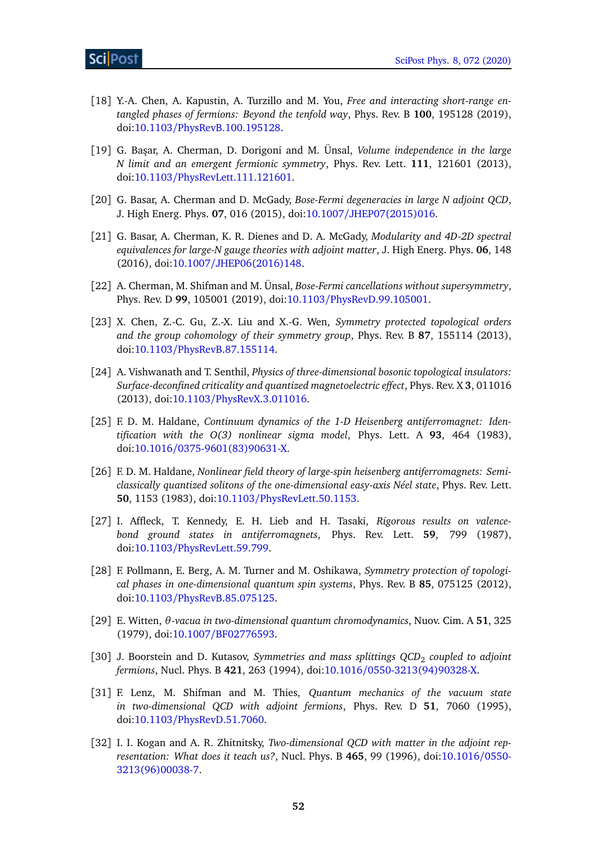- <span id="page-51-0"></span>[18] Y.-A. Chen, A. Kapustin, A. Turzillo and M. You, *Free and interacting short-range entangled phases of fermions: Beyond the tenfold way*, Phys. Rev. B **100**, 195128 (2019), doi:10.1103/[PhysRevB.100.195128.](http://dx.doi.org/10.1103/PhysRevB.100.195128)
- <span id="page-51-1"></span>[19] G. Ba¸sar, A. Cherman, D. Dorigoni and M. Ünsal, *Volume independence in the large N limit and an emergent fermionic symmetry*, Phys. Rev. Lett. **111**, 121601 (2013), doi:10.1103/[PhysRevLett.111.121601.](http://dx.doi.org/10.1103/PhysRevLett.111.121601)
- <span id="page-51-9"></span>[20] G. Basar, A. Cherman and D. McGady, *Bose-Fermi degeneracies in large N adjoint QCD*, J. High Energ. Phys. **07**, 016 (2015), doi:10.1007/[JHEP07\(2015\)016.](http://dx.doi.org/10.1007/JHEP07(2015)016)
- [21] G. Basar, A. Cherman, K. R. Dienes and D. A. McGady, *Modularity and 4D-2D spectral equivalences for large-N gauge theories with adjoint matter*, J. High Energ. Phys. **06**, 148 (2016), doi:10.1007/[JHEP06\(2016\)148.](http://dx.doi.org/10.1007/JHEP06(2016)148)
- <span id="page-51-2"></span>[22] A. Cherman, M. Shifman and M. Ünsal, *Bose-Fermi cancellations without supersymmetry*, Phys. Rev. D **99**, 105001 (2019), doi:10.1103/[PhysRevD.99.105001.](http://dx.doi.org/10.1103/PhysRevD.99.105001)
- <span id="page-51-3"></span>[23] X. Chen, Z.-C. Gu, Z.-X. Liu and X.-G. Wen, *Symmetry protected topological orders and the group cohomology of their symmetry group*, Phys. Rev. B **87**, 155114 (2013), doi:10.1103/[PhysRevB.87.155114.](http://dx.doi.org/10.1103/PhysRevB.87.155114)
- <span id="page-51-4"></span>[24] A. Vishwanath and T. Senthil, *Physics of three-dimensional bosonic topological insulators: Surface-deconfined criticality and quantized magnetoelectric effect*, Phys. Rev. X **3**, 011016 (2013), doi:10.1103/[PhysRevX.3.011016.](http://dx.doi.org/10.1103/PhysRevX.3.011016)
- <span id="page-51-5"></span>[25] F. D. M. Haldane, *Continuum dynamics of the 1-D Heisenberg antiferromagnet: Identification with the O(3) nonlinear sigma model*, Phys. Lett. A **93**, 464 (1983), doi:10.1016/[0375-9601\(83\)90631-X.](http://dx.doi.org/10.1016/0375-9601(83)90631-X)
- [26] F. D. M. Haldane, *Nonlinear field theory of large-spin heisenberg antiferromagnets: Semiclassically quantized solitons of the one-dimensional easy-axis Néel state*, Phys. Rev. Lett. **50**, 1153 (1983), doi:10.1103/[PhysRevLett.50.1153.](http://dx.doi.org/10.1103/PhysRevLett.50.1153)
- [27] I. Affleck, T. Kennedy, E. H. Lieb and H. Tasaki, *Rigorous results on valencebond ground states in antiferromagnets*, Phys. Rev. Lett. **59**, 799 (1987), doi:10.1103/[PhysRevLett.59.799.](http://dx.doi.org/10.1103/PhysRevLett.59.799)
- <span id="page-51-6"></span>[28] F. Pollmann, E. Berg, A. M. Turner and M. Oshikawa, *Symmetry protection of topological phases in one-dimensional quantum spin systems*, Phys. Rev. B **85**, 075125 (2012), doi:10.1103/[PhysRevB.85.075125.](http://dx.doi.org/10.1103/PhysRevB.85.075125)
- <span id="page-51-7"></span>[29] E. Witten, *θ-vacua in two-dimensional quantum chromodynamics*, Nuov. Cim. A **51**, 325 (1979), doi:10.1007/[BF02776593.](http://dx.doi.org/10.1007/BF02776593)
- <span id="page-51-10"></span>[30] J. Boorstein and D. Kutasov, *Symmetries and mass splittings QCD<sub>2</sub> coupled to adjoint fermions*, Nucl. Phys. B **421**, 263 (1994), doi:10.1016/[0550-3213\(94\)90328-X.](http://dx.doi.org/10.1016/0550-3213(94)90328-X)
- <span id="page-51-8"></span>[31] F. Lenz, M. Shifman and M. Thies, *Quantum mechanics of the vacuum state in two-dimensional QCD with adjoint fermions*, Phys. Rev. D **51**, 7060 (1995), doi:10.1103/[PhysRevD.51.7060.](http://dx.doi.org/10.1103/PhysRevD.51.7060)
- [32] I. I. Kogan and A. R. Zhitnitsky, *Two-dimensional QCD with matter in the adjoint representation: What does it teach us?*, Nucl. Phys. B **465**, 99 (1996), doi[:10.1016](http://dx.doi.org/10.1016/0550-3213(96)00038-7)/0550- [3213\(96\)00038-7.](http://dx.doi.org/10.1016/0550-3213(96)00038-7)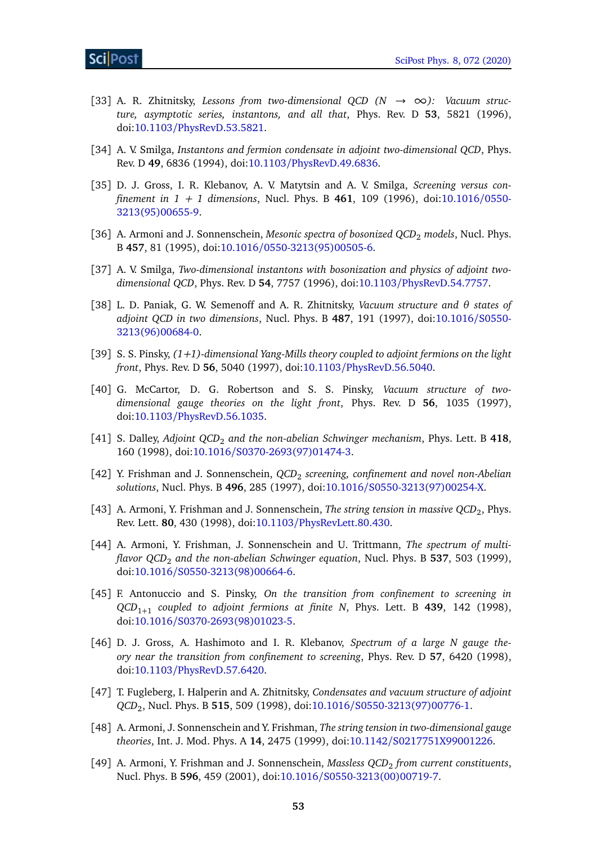- [33] A. R. Zhitnitsky, *Lessons from two-dimensional QCD*  $(N \rightarrow \infty)$ : *Vacuum structure, asymptotic series, instantons, and all that*, Phys. Rev. D **53**, 5821 (1996), doi:10.1103/[PhysRevD.53.5821.](http://dx.doi.org/10.1103/PhysRevD.53.5821)
- <span id="page-52-2"></span>[34] A. V. Smilga, *Instantons and fermion condensate in adjoint two-dimensional QCD*, Phys. Rev. D **49**, 6836 (1994), doi:10.1103/[PhysRevD.49.6836.](http://dx.doi.org/10.1103/PhysRevD.49.6836)
- <span id="page-52-0"></span>[35] D. J. Gross, I. R. Klebanov, A. V. Matytsin and A. V. Smilga, *Screening versus confinement in 1 + 1 dimensions*, Nucl. Phys. B **461**, 109 (1996), doi[:10.1016](http://dx.doi.org/10.1016/0550-3213(95)00655-9)/0550- [3213\(95\)00655-9.](http://dx.doi.org/10.1016/0550-3213(95)00655-9)
- <span id="page-52-3"></span>[36] A. Armoni and J. Sonnenschein, *Mesonic spectra of bosonized QCD<sub>2</sub> models*, Nucl. Phys. B **457**, 81 (1995), doi:10.1016/[0550-3213\(95\)00505-6.](http://dx.doi.org/10.1016/0550-3213(95)00505-6)
- [37] A. V. Smilga, *Two-dimensional instantons with bosonization and physics of adjoint twodimensional QCD*, Phys. Rev. D **54**, 7757 (1996), doi:10.1103/[PhysRevD.54.7757.](http://dx.doi.org/10.1103/PhysRevD.54.7757)
- [38] L. D. Paniak, G. W. Semenoff and A. R. Zhitnitsky, *Vacuum structure and θ states of adjoint QCD in two dimensions*, Nucl. Phys. B **487**, 191 (1997), doi[:10.1016](http://dx.doi.org/10.1016/S0550-3213(96)00684-0)/S0550- [3213\(96\)00684-0.](http://dx.doi.org/10.1016/S0550-3213(96)00684-0)
- [39] S. S. Pinsky, *(1+1)-dimensional Yang-Mills theory coupled to adjoint fermions on the light front*, Phys. Rev. D **56**, 5040 (1997), doi:10.1103/[PhysRevD.56.5040.](http://dx.doi.org/10.1103/PhysRevD.56.5040)
- [40] G. McCartor, D. G. Robertson and S. S. Pinsky, *Vacuum structure of twodimensional gauge theories on the light front*, Phys. Rev. D **56**, 1035 (1997), doi:10.1103/[PhysRevD.56.1035.](http://dx.doi.org/10.1103/PhysRevD.56.1035)
- [41] S. Dalley, *Adjoint QCD*<sub>2</sub> and the non-abelian Schwinger mechanism, Phys. Lett. B 418, 160 (1998), doi:10.1016/[S0370-2693\(97\)01474-3.](http://dx.doi.org/10.1016/S0370-2693(97)01474-3)
- [42] Y. Frishman and J. Sonnenschein, *QCD*<sup>2</sup> *screening, confinement and novel non-Abelian solutions*, Nucl. Phys. B **496**, 285 (1997), doi:10.1016/[S0550-3213\(97\)00254-X.](http://dx.doi.org/10.1016/S0550-3213(97)00254-X)
- [43] A. Armoni, Y. Frishman and J. Sonnenschein, *The string tension in massive QCD*<sub>2</sub>, Phys. Rev. Lett. **80**, 430 (1998), doi:10.1103/[PhysRevLett.80.430.](http://dx.doi.org/10.1103/PhysRevLett.80.430)
- [44] A. Armoni, Y. Frishman, J. Sonnenschein and U. Trittmann, *The spectrum of multiflavor QCD*<sup>2</sup> *and the non-abelian Schwinger equation*, Nucl. Phys. B **537**, 503 (1999), doi:10.1016/[S0550-3213\(98\)00664-6.](http://dx.doi.org/10.1016/S0550-3213(98)00664-6)
- <span id="page-52-1"></span>[45] F. Antonuccio and S. Pinsky, *On the transition from confinement to screening in QCD*1+<sup>1</sup> *coupled to adjoint fermions at finite N*, Phys. Lett. B **439**, 142 (1998), doi:10.1016/[S0370-2693\(98\)01023-5.](http://dx.doi.org/10.1016/S0370-2693(98)01023-5)
- <span id="page-52-4"></span>[46] D. J. Gross, A. Hashimoto and I. R. Klebanov, *Spectrum of a large N gauge theory near the transition from confinement to screening*, Phys. Rev. D **57**, 6420 (1998), doi:10.1103/[PhysRevD.57.6420.](http://dx.doi.org/10.1103/PhysRevD.57.6420)
- [47] T. Fugleberg, I. Halperin and A. Zhitnitsky, *Condensates and vacuum structure of adjoint QCD*<sup>2</sup> , Nucl. Phys. B **515**, 509 (1998), doi:10.1016/[S0550-3213\(97\)00776-1.](http://dx.doi.org/10.1016/S0550-3213(97)00776-1)
- [48] A. Armoni, J. Sonnenschein and Y. Frishman, *The string tension in two-dimensional gauge theories*, Int. J. Mod. Phys. A **14**, 2475 (1999), doi:10.1142/[S0217751X99001226.](http://dx.doi.org/10.1142/S0217751X99001226)
- <span id="page-52-5"></span>[49] A. Armoni, Y. Frishman and J. Sonnenschein, *Massless QCD<sub>2</sub> from current constituents*, Nucl. Phys. B **596**, 459 (2001), doi:10.1016/[S0550-3213\(00\)00719-7.](http://dx.doi.org/10.1016/S0550-3213(00)00719-7)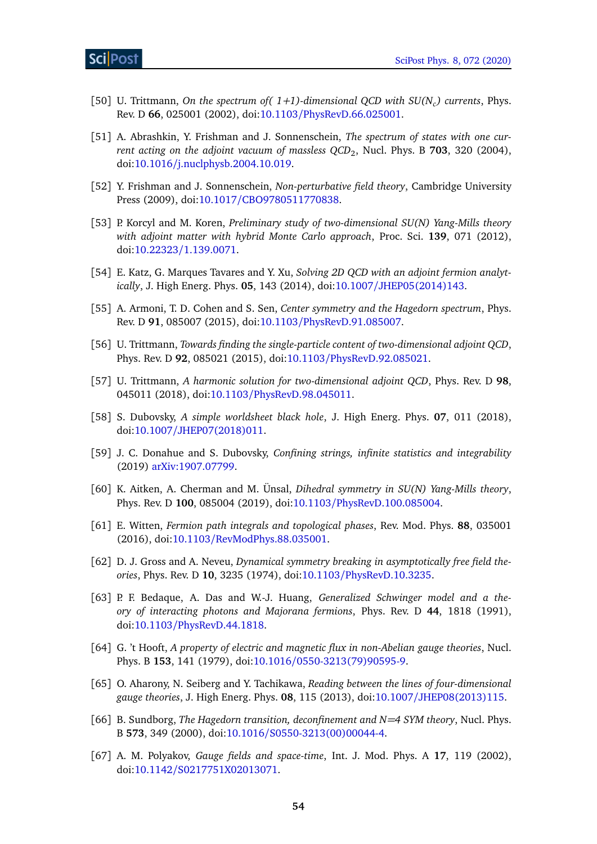- [50] U. Trittmann, *On the spectrum of( 1+1)-dimensional QCD with SU(N<sup>c</sup> ) currents*, Phys. Rev. D **66**, 025001 (2002), doi:10.1103/[PhysRevD.66.025001.](http://dx.doi.org/10.1103/PhysRevD.66.025001)
- [51] A. Abrashkin, Y. Frishman and J. Sonnenschein, *The spectrum of states with one current acting on the adjoint vacuum of massless QCD*<sup>2</sup> , Nucl. Phys. B **703**, 320 (2004), doi:10.1016/[j.nuclphysb.2004.10.019.](http://dx.doi.org/10.1016/j.nuclphysb.2004.10.019)
- [52] Y. Frishman and J. Sonnenschein, *Non-perturbative field theory*, Cambridge University Press (2009), doi:10.1017/[CBO9780511770838.](http://dx.doi.org/10.1017/CBO9780511770838)
- [53] P. Korcyl and M. Koren, *Preliminary study of two-dimensional SU(N) Yang-Mills theory with adjoint matter with hybrid Monte Carlo approach*, Proc. Sci. **139**, 071 (2012), doi:10.22323/[1.139.0071.](http://dx.doi.org/10.22323/1.139.0071)
- [54] E. Katz, G. Marques Tavares and Y. Xu, *Solving 2D QCD with an adjoint fermion analytically*, J. High Energ. Phys. **05**, 143 (2014), doi:10.1007/[JHEP05\(2014\)143.](http://dx.doi.org/10.1007/JHEP05(2014)143)
- [55] A. Armoni, T. D. Cohen and S. Sen, *Center symmetry and the Hagedorn spectrum*, Phys. Rev. D **91**, 085007 (2015), doi:10.1103/[PhysRevD.91.085007.](http://dx.doi.org/10.1103/PhysRevD.91.085007)
- [56] U. Trittmann, *Towards finding the single-particle content of two-dimensional adjoint QCD*, Phys. Rev. D **92**, 085021 (2015), doi:10.1103/[PhysRevD.92.085021.](http://dx.doi.org/10.1103/PhysRevD.92.085021)
- [57] U. Trittmann, *A harmonic solution for two-dimensional adjoint QCD*, Phys. Rev. D **98**, 045011 (2018), doi:10.1103/[PhysRevD.98.045011.](http://dx.doi.org/10.1103/PhysRevD.98.045011)
- [58] S. Dubovsky, *A simple worldsheet black hole*, J. High Energ. Phys. **07**, 011 (2018), doi:10.1007/[JHEP07\(2018\)011.](http://dx.doi.org/10.1007/JHEP07(2018)011)
- <span id="page-53-0"></span>[59] J. C. Donahue and S. Dubovsky, *Confining strings, infinite statistics and integrability* (2019) [arXiv:1907.07799.](https://arxiv.org/abs/1907.07799)
- <span id="page-53-1"></span>[60] K. Aitken, A. Cherman and M. Ünsal, *Dihedral symmetry in SU(N) Yang-Mills theory*, Phys. Rev. D **100**, 085004 (2019), doi:10.1103/[PhysRevD.100.085004.](http://dx.doi.org/10.1103/PhysRevD.100.085004)
- <span id="page-53-2"></span>[61] E. Witten, *Fermion path integrals and topological phases*, Rev. Mod. Phys. **88**, 035001 (2016), doi:10.1103/[RevModPhys.88.035001.](http://dx.doi.org/10.1103/RevModPhys.88.035001)
- <span id="page-53-3"></span>[62] D. J. Gross and A. Neveu, *Dynamical symmetry breaking in asymptotically free field theories*, Phys. Rev. D **10**, 3235 (1974), doi:10.1103/[PhysRevD.10.3235.](http://dx.doi.org/10.1103/PhysRevD.10.3235)
- <span id="page-53-5"></span>[63] P. F. Bedaque, A. Das and W.-J. Huang, *Generalized Schwinger model and a theory of interacting photons and Majorana fermions*, Phys. Rev. D **44**, 1818 (1991), doi:10.1103/[PhysRevD.44.1818.](http://dx.doi.org/10.1103/PhysRevD.44.1818)
- <span id="page-53-4"></span>[64] G. 't Hooft, *A property of electric and magnetic flux in non-Abelian gauge theories*, Nucl. Phys. B **153**, 141 (1979), doi:10.1016/[0550-3213\(79\)90595-9.](http://dx.doi.org/10.1016/0550-3213(79)90595-9)
- <span id="page-53-6"></span>[65] O. Aharony, N. Seiberg and Y. Tachikawa, *Reading between the lines of four-dimensional gauge theories*, J. High Energ. Phys. **08**, 115 (2013), doi:10.1007/[JHEP08\(2013\)115.](http://dx.doi.org/10.1007/JHEP08(2013)115)
- <span id="page-53-7"></span>[66] B. Sundborg, *The Hagedorn transition, deconfinement and N=4 SYM theory*, Nucl. Phys. B **573**, 349 (2000), doi:10.1016/[S0550-3213\(00\)00044-4.](http://dx.doi.org/10.1016/S0550-3213(00)00044-4)
- [67] A. M. Polyakov, *Gauge fields and space-time*, Int. J. Mod. Phys. A **17**, 119 (2002), doi:10.1142/[S0217751X02013071.](http://dx.doi.org/10.1142/S0217751X02013071)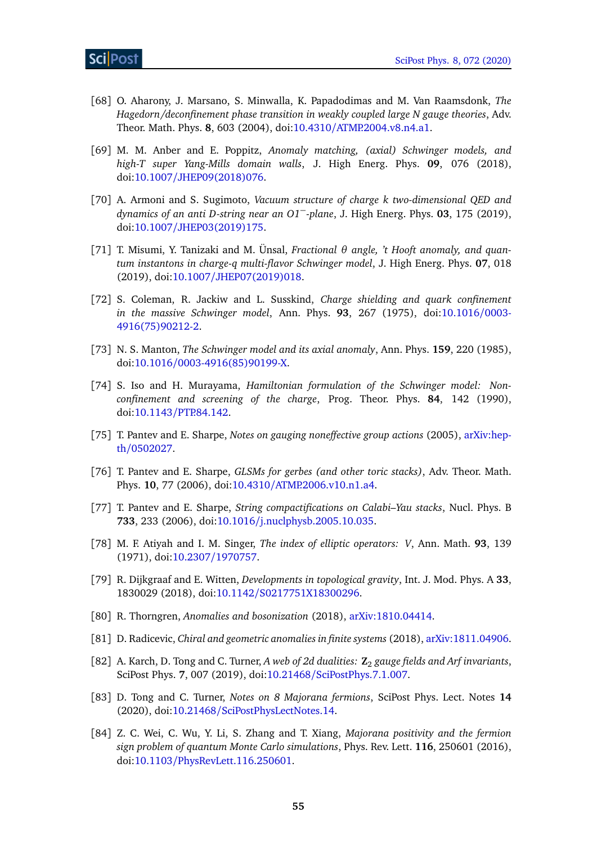- <span id="page-54-0"></span>[68] O. Aharony, J. Marsano, S. Minwalla, K. Papadodimas and M. Van Raamsdonk, *The Hagedorn/deconfinement phase transition in weakly coupled large N gauge theories*, Adv. Theor. Math. Phys. **8**, 603 (2004), doi:10.4310/[ATMP.2004.v8.n4.a1.](http://dx.doi.org/10.4310/ATMP.2004.v8.n4.a1)
- <span id="page-54-1"></span>[69] M. M. Anber and E. Poppitz, *Anomaly matching, (axial) Schwinger models, and high-T super Yang-Mills domain walls*, J. High Energ. Phys. **09**, 076 (2018), doi:10.1007/[JHEP09\(2018\)076.](http://dx.doi.org/10.1007/JHEP09(2018)076)
- [70] A. Armoni and S. Sugimoto, *Vacuum structure of charge k two-dimensional QED and dynamics of an anti D-string near an O1*−*-plane*, J. High Energ. Phys. **03**, 175 (2019), doi:10.1007/[JHEP03\(2019\)175.](http://dx.doi.org/10.1007/JHEP03(2019)175)
- <span id="page-54-2"></span>[71] T. Misumi, Y. Tanizaki and M. Ünsal, *Fractional θ angle, 't Hooft anomaly, and quantum instantons in charge-q multi-flavor Schwinger model*, J. High Energ. Phys. **07**, 018 (2019), doi:10.1007/[JHEP07\(2019\)018.](http://dx.doi.org/10.1007/JHEP07(2019)018)
- <span id="page-54-7"></span>[72] S. Coleman, R. Jackiw and L. Susskind, *Charge shielding and quark confinement in the massive Schwinger model*, Ann. Phys. **93**, 267 (1975), doi[:10.1016](http://dx.doi.org/10.1016/0003-4916(75)90212-2)/0003- [4916\(75\)90212-2.](http://dx.doi.org/10.1016/0003-4916(75)90212-2)
- [73] N. S. Manton, *The Schwinger model and its axial anomaly*, Ann. Phys. **159**, 220 (1985), doi:10.1016/[0003-4916\(85\)90199-X.](http://dx.doi.org/10.1016/0003-4916(85)90199-X)
- <span id="page-54-8"></span>[74] S. Iso and H. Murayama, *Hamiltonian formulation of the Schwinger model: Nonconfinement and screening of the charge*, Prog. Theor. Phys. **84**, 142 (1990), doi:10.1143/[PTP.84.142.](http://dx.doi.org/10.1143/PTP.84.142)
- <span id="page-54-9"></span>[75] T. Pantev and E. Sharpe, *Notes on gauging noneffective group actions* (2005), [arXiv:hep](https://arxiv.org/abs/hep-th/0502027)th/[0502027.](https://arxiv.org/abs/hep-th/0502027)
- [76] T. Pantev and E. Sharpe, *GLSMs for gerbes (and other toric stacks)*, Adv. Theor. Math. Phys. **10**, 77 (2006), doi:10.4310/[ATMP.2006.v10.n1.a4.](http://dx.doi.org/10.4310/ATMP.2006.v10.n1.a4)
- <span id="page-54-10"></span>[77] T. Pantev and E. Sharpe, *String compactifications on Calabi–Yau stacks*, Nucl. Phys. B **733**, 233 (2006), doi:10.1016/[j.nuclphysb.2005.10.035.](http://dx.doi.org/10.1016/j.nuclphysb.2005.10.035)
- <span id="page-54-3"></span>[78] M. F. Atiyah and I. M. Singer, *The index of elliptic operators: V*, Ann. Math. **93**, 139 (1971), doi:10.2307/[1970757.](http://dx.doi.org/10.2307/1970757)
- <span id="page-54-4"></span>[79] R. Dijkgraaf and E. Witten, *Developments in topological gravity*, Int. J. Mod. Phys. A **33**, 1830029 (2018), doi:10.1142/[S0217751X18300296.](http://dx.doi.org/10.1142/S0217751X18300296)
- <span id="page-54-5"></span>[80] R. Thorngren, *Anomalies and bosonization* (2018), [arXiv:1810.04414.](https://arxiv.org/abs/1810.04414)
- [81] D. Radicevic, *Chiral and geometric anomalies in finite systems* (2018), [arXiv:1811.04906.](https://arxiv.org/abs/1811.04906)
- [82] A. Karch, D. Tong and C. Turner, *A web of 2d dualities:* **Z**<sup>2</sup> *gauge fields and Arf invariants*, SciPost Phys. **7**, 007 (2019), doi:10.21468/[SciPostPhys.7.1.007.](http://dx.doi.org/10.21468/SciPostPhys.7.1.007)
- <span id="page-54-6"></span>[83] D. Tong and C. Turner, *Notes on 8 Majorana fermions*, SciPost Phys. Lect. Notes **14** (2020), doi:10.21468/[SciPostPhysLectNotes.14.](http://dx.doi.org/10.21468/SciPostPhysLectNotes.14)
- <span id="page-54-11"></span>[84] Z. C. Wei, C. Wu, Y. Li, S. Zhang and T. Xiang, *Majorana positivity and the fermion sign problem of quantum Monte Carlo simulations*, Phys. Rev. Lett. **116**, 250601 (2016), doi:10.1103/[PhysRevLett.116.250601.](http://dx.doi.org/10.1103/PhysRevLett.116.250601)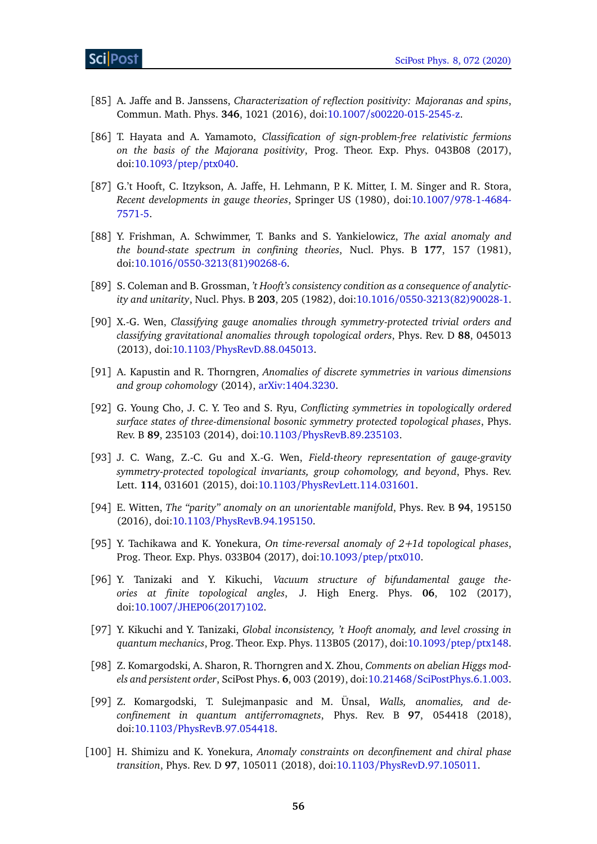- [85] A. Jaffe and B. Janssens, *Characterization of reflection positivity: Majoranas and spins*, Commun. Math. Phys. **346**, 1021 (2016), doi:10.1007/[s00220-015-2545-z.](http://dx.doi.org/10.1007/s00220-015-2545-z)
- <span id="page-55-0"></span>[86] T. Hayata and A. Yamamoto, *Classification of sign-problem-free relativistic fermions on the basis of the Majorana positivity*, Prog. Theor. Exp. Phys. 043B08 (2017), doi[:10.1093](http://dx.doi.org/10.1093/ptep/ptx040)/ptep/ptx040.
- <span id="page-55-1"></span>[87] G.'t Hooft, C. Itzykson, A. Jaffe, H. Lehmann, P. K. Mitter, I. M. Singer and R. Stora, *Recent developments in gauge theories*, Springer US (1980), doi:10.1007/[978-1-4684-](http://dx.doi.org/10.1007/978-1-4684-7571-5) [7571-5.](http://dx.doi.org/10.1007/978-1-4684-7571-5)
- [88] Y. Frishman, A. Schwimmer, T. Banks and S. Yankielowicz, *The axial anomaly and the bound-state spectrum in confining theories*, Nucl. Phys. B **177**, 157 (1981), doi:10.1016/[0550-3213\(81\)90268-6.](http://dx.doi.org/10.1016/0550-3213(81)90268-6)
- <span id="page-55-2"></span>[89] S. Coleman and B. Grossman, *'t Hooft's consistency condition as a consequence of analyticity and unitarity*, Nucl. Phys. B **203**, 205 (1982), doi:10.1016/[0550-3213\(82\)90028-1.](http://dx.doi.org/10.1016/0550-3213(82)90028-1)
- <span id="page-55-3"></span>[90] X.-G. Wen, *Classifying gauge anomalies through symmetry-protected trivial orders and classifying gravitational anomalies through topological orders*, Phys. Rev. D **88**, 045013 (2013), doi:10.1103/[PhysRevD.88.045013.](http://dx.doi.org/10.1103/PhysRevD.88.045013)
- [91] A. Kapustin and R. Thorngren, *Anomalies of discrete symmetries in various dimensions and group cohomology* (2014), [arXiv:1404.3230.](https://arxiv.org/abs/1404.3230)
- [92] G. Young Cho, J. C. Y. Teo and S. Ryu, *Conflicting symmetries in topologically ordered surface states of three-dimensional bosonic symmetry protected topological phases*, Phys. Rev. B **89**, 235103 (2014), doi:10.1103/[PhysRevB.89.235103.](http://dx.doi.org/10.1103/PhysRevB.89.235103)
- [93] J. C. Wang, Z.-C. Gu and X.-G. Wen, *Field-theory representation of gauge-gravity symmetry-protected topological invariants, group cohomology, and beyond*, Phys. Rev. Lett. **114**, 031601 (2015), doi:10.1103/[PhysRevLett.114.031601.](http://dx.doi.org/10.1103/PhysRevLett.114.031601)
- [94] E. Witten, *The "parity" anomaly on an unorientable manifold*, Phys. Rev. B **94**, 195150 (2016), doi:10.1103/[PhysRevB.94.195150.](http://dx.doi.org/10.1103/PhysRevB.94.195150)
- [95] Y. Tachikawa and K. Yonekura, *On time-reversal anomaly of 2+1d topological phases*, Prog. Theor. Exp. Phys. 033B04 (2017), doi[:10.1093](http://dx.doi.org/10.1093/ptep/ptx010)/ptep/ptx010.
- [96] Y. Tanizaki and Y. Kikuchi, *Vacuum structure of bifundamental gauge theories at finite topological angles*, J. High Energ. Phys. **06**, 102 (2017), doi:10.1007/[JHEP06\(2017\)102.](http://dx.doi.org/10.1007/JHEP06(2017)102)
- [97] Y. Kikuchi and Y. Tanizaki, *Global inconsistency, 't Hooft anomaly, and level crossing in quantum mechanics*, Prog. Theor. Exp. Phys. 113B05 (2017), doi[:10.1093](http://dx.doi.org/10.1093/ptep/ptx148)/ptep/ptx148.
- [98] Z. Komargodski, A. Sharon, R. Thorngren and X. Zhou, *Comments on abelian Higgs models and persistent order*, SciPost Phys. **6**, 003 (2019), doi:10.21468/[SciPostPhys.6.1.003.](http://dx.doi.org/10.21468/SciPostPhys.6.1.003)
- <span id="page-55-4"></span>[99] Z. Komargodski, T. Sulejmanpasic and M. Ünsal, *Walls, anomalies, and deconfinement in quantum antiferromagnets*, Phys. Rev. B **97**, 054418 (2018), doi:10.1103/[PhysRevB.97.054418.](http://dx.doi.org/10.1103/PhysRevB.97.054418)
- [100] H. Shimizu and K. Yonekura, *Anomaly constraints on deconfinement and chiral phase transition*, Phys. Rev. D **97**, 105011 (2018), doi:10.1103/[PhysRevD.97.105011.](http://dx.doi.org/10.1103/PhysRevD.97.105011)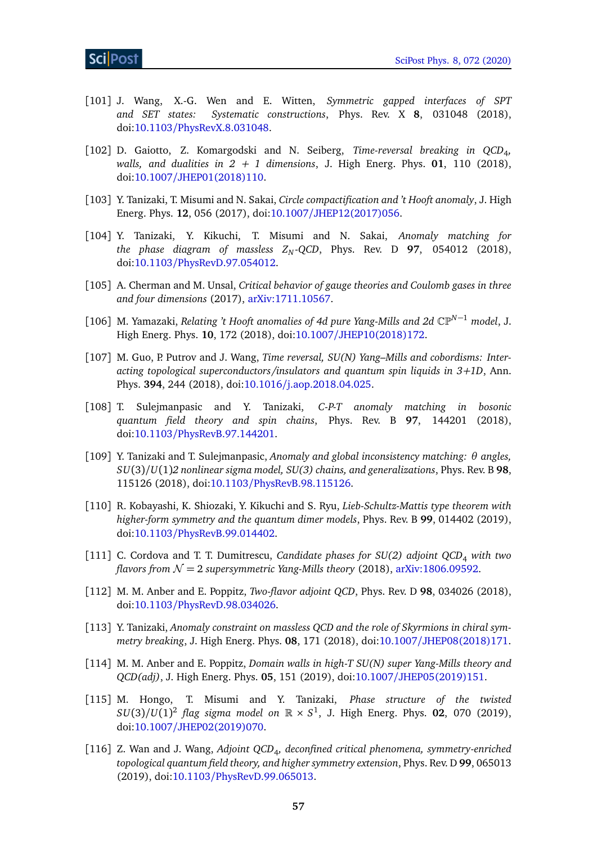- [101] J. Wang, X.-G. Wen and E. Witten, *Symmetric gapped interfaces of SPT Systematic constructions*, Phys. Rev. X 8, 031048 (2018), doi:10.1103/[PhysRevX.8.031048.](http://dx.doi.org/10.1103/PhysRevX.8.031048)
- [102] D. Gaiotto, Z. Komargodski and N. Seiberg, *Time-reversal breaking in QCD*<sup>4</sup> *, walls, and dualities in*  $2 + 1$  *dimensions, J. High Energ. Phys.* **01**, 110 (2018), doi:10.1007/[JHEP01\(2018\)110.](http://dx.doi.org/10.1007/JHEP01(2018)110)
- <span id="page-56-0"></span>[103] Y. Tanizaki, T. Misumi and N. Sakai, *Circle compactification and 't Hooft anomaly*, J. High Energ. Phys. **12**, 056 (2017), doi:10.1007/[JHEP12\(2017\)056.](http://dx.doi.org/10.1007/JHEP12(2017)056)
- [104] Y. Tanizaki, Y. Kikuchi, T. Misumi and N. Sakai, *Anomaly matching for the phase diagram of massless*  $Z_N$ *-QCD*, Phys. Rev. D 97, 054012 (2018), doi:10.1103/[PhysRevD.97.054012.](http://dx.doi.org/10.1103/PhysRevD.97.054012)
- <span id="page-56-1"></span>[105] A. Cherman and M. Unsal, *Critical behavior of gauge theories and Coulomb gases in three and four dimensions* (2017), [arXiv:1711.10567.](https://arxiv.org/abs/1711.10567)
- [106] M. Yamazaki, *Relating 't Hooft anomalies of 4d pure Yang-Mills and 2d* CP*N*−<sup>1</sup> *model*, J. High Energ. Phys. **10**, 172 (2018), doi:10.1007/[JHEP10\(2018\)172.](http://dx.doi.org/10.1007/JHEP10(2018)172)
- [107] M. Guo, P. Putrov and J. Wang, *Time reversal, SU(N) Yang–Mills and cobordisms: Interacting topological superconductors/insulators and quantum spin liquids in 3+1D*, Ann. Phys. **394**, 244 (2018), doi:10.1016/[j.aop.2018.04.025.](http://dx.doi.org/10.1016/j.aop.2018.04.025)
- [108] T. Sulejmanpasic and Y. Tanizaki, *C-P-T anomaly matching in bosonic quantum field theory and spin chains*, Phys. Rev. B **97**, 144201 (2018), doi:10.1103/[PhysRevB.97.144201.](http://dx.doi.org/10.1103/PhysRevB.97.144201)
- [109] Y. Tanizaki and T. Sulejmanpasic, *Anomaly and global inconsistency matching: θ angles, SU*(3)*/U*(1)*2 nonlinear sigma model, SU(3) chains, and generalizations*, Phys. Rev. B **98**, 115126 (2018), doi:10.1103/[PhysRevB.98.115126.](http://dx.doi.org/10.1103/PhysRevB.98.115126)
- [110] R. Kobayashi, K. Shiozaki, Y. Kikuchi and S. Ryu, *Lieb-Schultz-Mattis type theorem with higher-form symmetry and the quantum dimer models*, Phys. Rev. B **99**, 014402 (2019), doi:10.1103/[PhysRevB.99.014402.](http://dx.doi.org/10.1103/PhysRevB.99.014402)
- [111] C. Cordova and T. T. Dumitrescu, *Candidate phases for SU(2) adjoint QCD*<sup>4</sup> *with two flavors from*  $\mathcal{N} = 2$  *supersymmetric Yang-Mills theory* (2018), [arXiv:1806.09592.](https://arxiv.org/abs/1806.09592)
- [112] M. M. Anber and E. Poppitz, *Two-flavor adjoint QCD*, Phys. Rev. D **98**, 034026 (2018), doi:10.1103/[PhysRevD.98.034026.](http://dx.doi.org/10.1103/PhysRevD.98.034026)
- [113] Y. Tanizaki, *Anomaly constraint on massless QCD and the role of Skyrmions in chiral symmetry breaking*, J. High Energ. Phys. **08**, 171 (2018), doi:10.1007/[JHEP08\(2018\)171.](http://dx.doi.org/10.1007/JHEP08(2018)171)
- [114] M. M. Anber and E. Poppitz, *Domain walls in high-T SU(N) super Yang-Mills theory and QCD(adj)*, J. High Energ. Phys. **05**, 151 (2019), doi:10.1007/[JHEP05\(2019\)151.](http://dx.doi.org/10.1007/JHEP05(2019)151)
- [115] M. Hongo, T. Misumi and Y. Tanizaki, *Phase structure of the twisted*  $SU(3)/U(1)^2$  flag sigma model on  $\mathbb{R} \times S^1$ , J. High Energ. Phys. 02, 070 (2019), doi:10.1007/[JHEP02\(2019\)070.](http://dx.doi.org/10.1007/JHEP02(2019)070)
- [116] Z. Wan and J. Wang, *Adjoint QCD*<sup>4</sup> *, deconfined critical phenomena, symmetry-enriched topological quantum field theory, and higher symmetry extension*, Phys. Rev. D **99**, 065013 (2019), doi:10.1103/[PhysRevD.99.065013.](http://dx.doi.org/10.1103/PhysRevD.99.065013)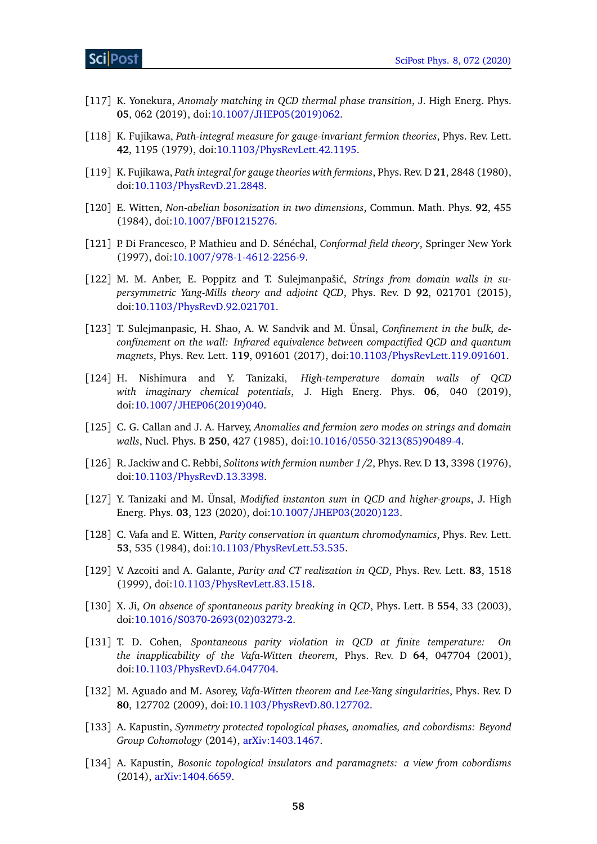- <span id="page-57-0"></span>[117] K. Yonekura, *Anomaly matching in QCD thermal phase transition*, J. High Energ. Phys. **05**, 062 (2019), doi:10.1007/[JHEP05\(2019\)062.](http://dx.doi.org/10.1007/JHEP05(2019)062)
- <span id="page-57-1"></span>[118] K. Fujikawa, *Path-integral measure for gauge-invariant fermion theories*, Phys. Rev. Lett. **42**, 1195 (1979), doi:10.1103/[PhysRevLett.42.1195.](http://dx.doi.org/10.1103/PhysRevLett.42.1195)
- <span id="page-57-2"></span>[119] K. Fujikawa, *Path integral for gauge theories with fermions*, Phys. Rev. D **21**, 2848 (1980), doi:10.1103/[PhysRevD.21.2848.](http://dx.doi.org/10.1103/PhysRevD.21.2848)
- <span id="page-57-3"></span>[120] E. Witten, *Non-abelian bosonization in two dimensions*, Commun. Math. Phys. **92**, 455 (1984), doi:10.1007/[BF01215276.](http://dx.doi.org/10.1007/BF01215276)
- <span id="page-57-4"></span>[121] P. Di Francesco, P. Mathieu and D. Sénéchal, *Conformal field theory*, Springer New York (1997), doi:10.1007/[978-1-4612-2256-9.](http://dx.doi.org/10.1007/978-1-4612-2256-9)
- <span id="page-57-5"></span>[122] M. M. Anber, E. Poppitz and T. Sulejmanpašić, *Strings from domain walls in supersymmetric Yang-Mills theory and adjoint QCD*, Phys. Rev. D **92**, 021701 (2015), doi:10.1103/[PhysRevD.92.021701.](http://dx.doi.org/10.1103/PhysRevD.92.021701)
- [123] T. Sulejmanpasic, H. Shao, A. W. Sandvik and M. Ünsal, *Confinement in the bulk, deconfinement on the wall: Infrared equivalence between compactified QCD and quantum magnets*, Phys. Rev. Lett. **119**, 091601 (2017), doi:10.1103/[PhysRevLett.119.091601.](http://dx.doi.org/10.1103/PhysRevLett.119.091601)
- <span id="page-57-6"></span>[124] H. Nishimura and Y. Tanizaki, *High-temperature domain walls of QCD with imaginary chemical potentials*, J. High Energ. Phys. **06**, 040 (2019), doi:10.1007/[JHEP06\(2019\)040.](http://dx.doi.org/10.1007/JHEP06(2019)040)
- <span id="page-57-7"></span>[125] C. G. Callan and J. A. Harvey, *Anomalies and fermion zero modes on strings and domain walls*, Nucl. Phys. B **250**, 427 (1985), doi:10.1016/[0550-3213\(85\)90489-4.](http://dx.doi.org/10.1016/0550-3213(85)90489-4)
- <span id="page-57-8"></span>[126] R. Jackiw and C. Rebbi, *Solitons with fermion number 1/2*, Phys. Rev. D **13**, 3398 (1976), doi:10.1103/[PhysRevD.13.3398.](http://dx.doi.org/10.1103/PhysRevD.13.3398)
- <span id="page-57-9"></span>[127] Y. Tanizaki and M. Ünsal, *Modified instanton sum in QCD and higher-groups*, J. High Energ. Phys. **03**, 123 (2020), doi:10.1007/[JHEP03\(2020\)123.](http://dx.doi.org/10.1007/JHEP03(2020)123)
- <span id="page-57-10"></span>[128] C. Vafa and E. Witten, *Parity conservation in quantum chromodynamics*, Phys. Rev. Lett. **53**, 535 (1984), doi:10.1103/[PhysRevLett.53.535.](http://dx.doi.org/10.1103/PhysRevLett.53.535)
- <span id="page-57-11"></span>[129] V. Azcoiti and A. Galante, *Parity and CT realization in QCD*, Phys. Rev. Lett. **83**, 1518 (1999), doi:10.1103/[PhysRevLett.83.1518.](http://dx.doi.org/10.1103/PhysRevLett.83.1518)
- [130] X. Ji, *On absence of spontaneous parity breaking in QCD*, Phys. Lett. B **554**, 33 (2003), doi:10.1016/[S0370-2693\(02\)03273-2.](http://dx.doi.org/10.1016/S0370-2693(02)03273-2)
- <span id="page-57-12"></span>[131] T. D. Cohen, *Spontaneous parity violation in QCD at finite temperature: On the inapplicability of the Vafa-Witten theorem*, Phys. Rev. D **64**, 047704 (2001), doi:10.1103/[PhysRevD.64.047704.](http://dx.doi.org/10.1103/PhysRevD.64.047704)
- <span id="page-57-13"></span>[132] M. Aguado and M. Asorey, *Vafa-Witten theorem and Lee-Yang singularities*, Phys. Rev. D **80**, 127702 (2009), doi:10.1103/[PhysRevD.80.127702.](http://dx.doi.org/10.1103/PhysRevD.80.127702)
- <span id="page-57-14"></span>[133] A. Kapustin, *Symmetry protected topological phases, anomalies, and cobordisms: Beyond Group Cohomology* (2014), [arXiv:1403.1467.](https://arxiv.org/abs/1403.1467)
- <span id="page-57-15"></span>[134] A. Kapustin, *Bosonic topological insulators and paramagnets: a view from cobordisms* (2014), [arXiv:1404.6659.](https://arxiv.org/abs/1404.6659)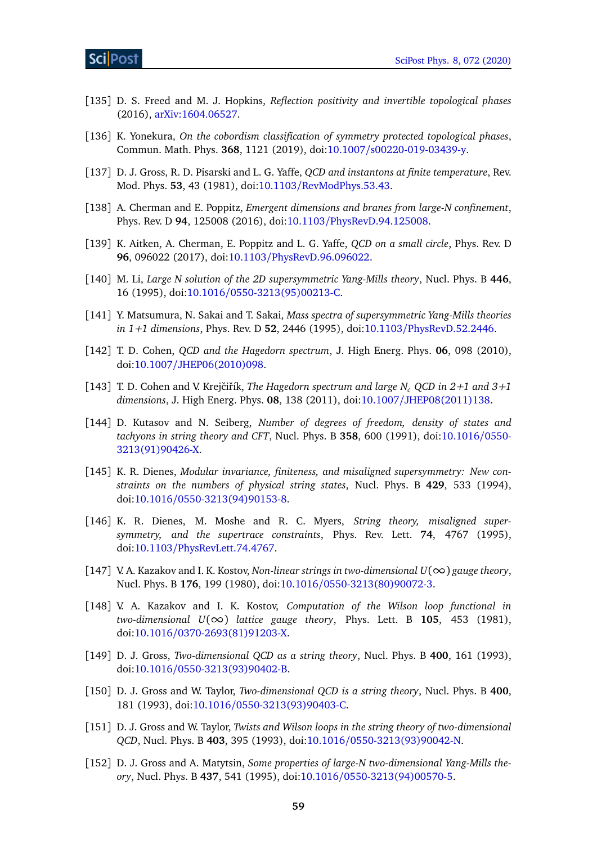- <span id="page-58-0"></span>[135] D. S. Freed and M. J. Hopkins, *Reflection positivity and invertible topological phases* (2016), [arXiv:1604.06527.](https://arxiv.org/abs/1604.06527)
- <span id="page-58-1"></span>[136] K. Yonekura, *On the cobordism classification of symmetry protected topological phases*, Commun. Math. Phys. **368**, 1121 (2019), doi:10.1007/[s00220-019-03439-y.](http://dx.doi.org/10.1007/s00220-019-03439-y)
- <span id="page-58-2"></span>[137] D. J. Gross, R. D. Pisarski and L. G. Yaffe, *QCD and instantons at finite temperature*, Rev. Mod. Phys. **53**, 43 (1981), doi:10.1103/[RevModPhys.53.43.](http://dx.doi.org/10.1103/RevModPhys.53.43)
- <span id="page-58-3"></span>[138] A. Cherman and E. Poppitz, *Emergent dimensions and branes from large-N confinement*, Phys. Rev. D **94**, 125008 (2016), doi:10.1103/[PhysRevD.94.125008.](http://dx.doi.org/10.1103/PhysRevD.94.125008)
- <span id="page-58-4"></span>[139] K. Aitken, A. Cherman, E. Poppitz and L. G. Yaffe, *QCD on a small circle*, Phys. Rev. D **96**, 096022 (2017), doi:10.1103/[PhysRevD.96.096022.](http://dx.doi.org/10.1103/PhysRevD.96.096022)
- <span id="page-58-5"></span>[140] M. Li, *Large N solution of the 2D supersymmetric Yang-Mills theory*, Nucl. Phys. B **446**, 16 (1995), doi:10.1016/[0550-3213\(95\)00213-C.](http://dx.doi.org/10.1016/0550-3213(95)00213-C)
- <span id="page-58-6"></span>[141] Y. Matsumura, N. Sakai and T. Sakai, *Mass spectra of supersymmetric Yang-Mills theories in 1+1 dimensions*, Phys. Rev. D **52**, 2446 (1995), doi:10.1103/[PhysRevD.52.2446.](http://dx.doi.org/10.1103/PhysRevD.52.2446)
- <span id="page-58-7"></span>[142] T. D. Cohen, *QCD and the Hagedorn spectrum*, J. High Energ. Phys. **06**, 098 (2010), doi:10.1007/[JHEP06\(2010\)098.](http://dx.doi.org/10.1007/JHEP06(2010)098)
- <span id="page-58-8"></span>[143] T. D. Cohen and V. Krejčiřík, *The Hagedorn spectrum and large*  $N_c$  *QCD in 2+1 and 3+1 dimensions*, J. High Energ. Phys. **08**, 138 (2011), doi:10.1007/[JHEP08\(2011\)138.](http://dx.doi.org/10.1007/JHEP08(2011)138)
- <span id="page-58-9"></span>[144] D. Kutasov and N. Seiberg, *Number of degrees of freedom, density of states and tachyons in string theory and CFT*, Nucl. Phys. B **358**, 600 (1991), doi[:10.1016](http://dx.doi.org/10.1016/0550-3213(91)90426-X)/0550- [3213\(91\)90426-X.](http://dx.doi.org/10.1016/0550-3213(91)90426-X)
- [145] K. R. Dienes, *Modular invariance, finiteness, and misaligned supersymmetry: New constraints on the numbers of physical string states*, Nucl. Phys. B **429**, 533 (1994), doi:10.1016/[0550-3213\(94\)90153-8.](http://dx.doi.org/10.1016/0550-3213(94)90153-8)
- <span id="page-58-10"></span>[146] K. R. Dienes, M. Moshe and R. C. Myers, *String theory, misaligned supersymmetry, and the supertrace constraints*, Phys. Rev. Lett. **74**, 4767 (1995), doi:10.1103/[PhysRevLett.74.4767.](http://dx.doi.org/10.1103/PhysRevLett.74.4767)
- <span id="page-58-11"></span>[147] V. A. Kazakov and I. K. Kostov, *Non-linear strings in two-dimensional U*(∞) *gauge theory*, Nucl. Phys. B **176**, 199 (1980), doi:10.1016/[0550-3213\(80\)90072-3.](http://dx.doi.org/10.1016/0550-3213(80)90072-3)
- [148] V. A. Kazakov and I. K. Kostov, *Computation of the Wilson loop functional in*  $two$ -dimensional  $U(\infty)$  *lattice gauge theory*, Phys. Lett. B 105, 453 (1981), doi:10.1016/[0370-2693\(81\)91203-X.](http://dx.doi.org/10.1016/0370-2693(81)91203-X)
- [149] D. J. Gross, *Two-dimensional QCD as a string theory*, Nucl. Phys. B **400**, 161 (1993), doi:10.1016/[0550-3213\(93\)90402-B.](http://dx.doi.org/10.1016/0550-3213(93)90402-B)
- [150] D. J. Gross and W. Taylor, *Two-dimensional QCD is a string theory*, Nucl. Phys. B **400**, 181 (1993), doi:10.1016/[0550-3213\(93\)90403-C.](http://dx.doi.org/10.1016/0550-3213(93)90403-C)
- [151] D. J. Gross and W. Taylor, *Twists and Wilson loops in the string theory of two-dimensional QCD*, Nucl. Phys. B **403**, 395 (1993), doi:10.1016/[0550-3213\(93\)90042-N.](http://dx.doi.org/10.1016/0550-3213(93)90042-N)
- <span id="page-58-12"></span>[152] D. J. Gross and A. Matytsin, *Some properties of large-N two-dimensional Yang-Mills theory*, Nucl. Phys. B **437**, 541 (1995), doi:10.1016/[0550-3213\(94\)00570-5.](http://dx.doi.org/10.1016/0550-3213(94)00570-5)